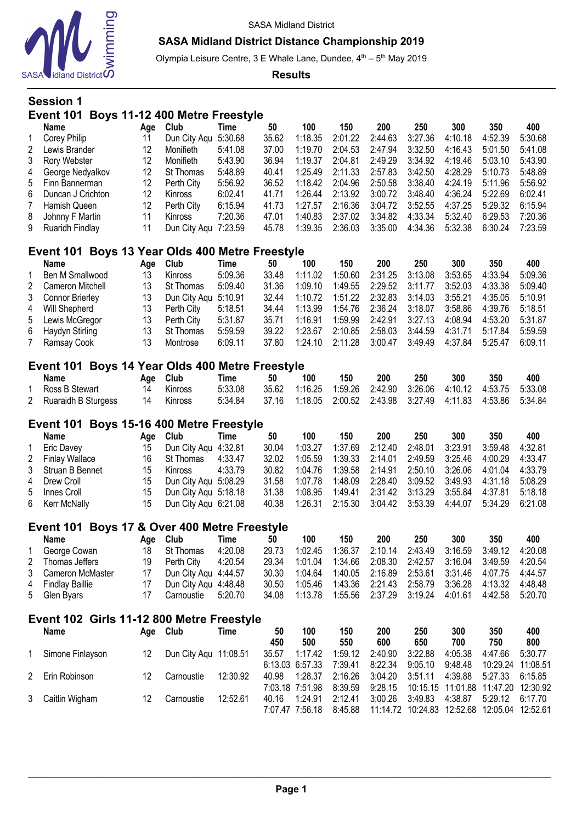

Olympia Leisure Centre, 3 E Whale Lane, Dundee, 4<sup>th</sup> - 5<sup>th</sup> May 2019

**Results**

# **Session 1 Event 101 Boys 11-12 400 Metre Freestyle**

| Name                | Aae | <b>Club</b>          | Time    | 50    | 100     | 150     | 200     | 250     | 300     | 350     | 400     |
|---------------------|-----|----------------------|---------|-------|---------|---------|---------|---------|---------|---------|---------|
| Corey Philip        | 11  | Dun City Aqu 5:30.68 |         | 35.62 | 1:18.35 | 2:01.22 | 2:44.63 | 3:27.36 | 4:10.18 | 4:52.39 | 5:30.68 |
| 2 Lewis Brander     | 12  | Monifieth            | 5:41.08 | 37.00 | 1:19.70 | 2:04.53 | 2:47.94 | 3:32.50 | 4:16.43 | 5:01.50 | 5:41.08 |
| 3 Rory Webster      | 12  | Monifieth            | 5:43.90 | 36.94 | 1:19.37 | 2:04.81 | 2:49.29 | 3:34.92 | 4:19.46 | 5:03.10 | 5:43.90 |
| 4 George Nedyalkov  | 12  | St Thomas            | 5:48.89 | 40.41 | 1:25.49 | 2:11.33 | 2:57.83 | 3:42.50 | 4:28.29 | 5:10.73 | 5:48.89 |
| 5 Finn Bannerman    | 12  | Perth City           | 5:56.92 | 36.52 | 1:18.42 | 2:04.96 | 2:50.58 | 3:38.40 | 4:24.19 | 5:11.96 | 5:56.92 |
| 6 Duncan J Crichton | 12  | Kinross              | 6:02.41 | 41.71 | 1:26.44 | 2:13.92 | 3:00.72 | 3:48.40 | 4:36.24 | 5:22.69 | 6:02.41 |
| 7 Hamish Queen      | 12  | Perth City           | 6:15.94 | 41.73 | 1:27.57 | 2:16.36 | 3:04.72 | 3:52.55 | 4:37.25 | 5:29.32 | 6:15.94 |
| 8 Johnny F Martin   | 11  | <b>Kinross</b>       | 7:20.36 | 47.01 | 1:40.83 | 2:37.02 | 3:34.82 | 4:33.34 | 5:32.40 | 6:29.53 | 7:20.36 |
| 9 Ruaridh Findlay   | 11  | Dun City Agu 7:23.59 |         | 45.78 | 1:39.35 | 2:36.03 | 3:35.00 | 4:34.36 | 5:32.38 | 6:30.24 | 7:23.59 |

# **Event 101 Boys 13 Year Olds 400 Metre Freestyle**

|   | Name              | Aae | Club                 | Time    | 50    | 100     | 150      | 200     | 250     | 300     | 350     | 400     |
|---|-------------------|-----|----------------------|---------|-------|---------|----------|---------|---------|---------|---------|---------|
|   | Ben M Smallwood   | 13  | <b>Kinross</b>       | 5:09.36 | 33.48 | 1:11.02 | 1:50.60. | 2:31.25 | 3:13.08 | 3:53.65 | 4:33.94 | 5:09.36 |
| 2 | Cameron Mitchell  |     | St Thomas            | 5:09.40 | 31.36 | 1:09.10 | 1:49.55  | 2:29.52 | 3:11.77 | 3:52.03 | 4:33.38 | 5:09.40 |
|   | 3 Connor Brierley |     | Dun City Aqu 5:10.91 |         | 32.44 | 1:10.72 | 1:51.22  | 2:32.83 | 3:14.03 | 3:55.21 | 4:35.05 | 5:10.91 |
|   | 4 Will Shepherd   | 13  | Perth City           | 5:18.51 | 34.44 | 1:13.99 | 1:54.76  | 2:36.24 | 3:18.07 | 3:58.86 | 4:39.76 | 5:18.51 |
|   | 5 Lewis McGregor  | 13  | Perth City           | 5:31.87 | 35.71 | 1:16.91 | 1:59.99  | 2.42.91 | 3:27.13 | 4:08.94 | 4:53.20 | 5:31.87 |
|   | 6 Haydyn Stirling | 13  | St Thomas            | 5:59.59 | 39.22 | 1:23.67 | 2:10.85  | 2:58.03 | 3:44.59 | 4:31.71 | 5:17.84 | 5:59.59 |
|   | 7 Ramsay Cook     | 13  | Montrose             | 6:09.11 | 37.80 | 1:24.10 | 2:11.28  | 3:00.47 | 3:49.49 | 4:37.84 | 5:25.47 | 6:09.11 |

## **Event 101 Boys 14 Year Olds 400 Metre Freestyle**

| <b>Name</b>           |    | Age Club       | Time    | 50 | 100                                                                  | 150 | 200 | 250 | 300 | 350 | 400 |
|-----------------------|----|----------------|---------|----|----------------------------------------------------------------------|-----|-----|-----|-----|-----|-----|
| Ross B Stewart        | 14 | Kinross        | 5:33.08 |    | 35.62  1:16.25  1:59.26  2:42.90  3:26.06  4:10.12  4:53.75  5:33.08 |     |     |     |     |     |     |
| 2 Ruaraidh B Sturgess | 14 | <b>Kinross</b> | 5:34.84 |    | 37.16  1:18.05  2:00.52  2:43.98  3:27.49  4:11.83  4:53.86  5:34.84 |     |     |     |     |     |     |

## **Event 101 Boys 15-16 400 Metre Freestyle**

| Name              | Age Club |                         | Time    | 50    | 100     | 150     | 200                                                                  | 250     | 300     | 350     | 400     |
|-------------------|----------|-------------------------|---------|-------|---------|---------|----------------------------------------------------------------------|---------|---------|---------|---------|
| Eric Davey        | 15       | Dun City Agu 4:32.81    |         | 30.04 | 1:03.27 | 1:37.69 | 2:12.40                                                              | 2:48.01 | 3:23.91 | 3:59.48 | 4:32.81 |
| 2 Finlay Wallace  |          | 16 St Thomas            | 4:33.47 | 32.02 | 1:05.59 |         | 1:39.33  2:14.01  2:49.59  3:25.46  4:00.29                          |         |         |         | 4:33.47 |
| 3 Struan B Bennet |          | Kinross                 | 4:33.79 | 30.82 | 1:04.76 |         | 1:39.58  2:14.91  2:50.10  3:26.06  4:01.04                          |         |         |         | 4:33.79 |
| 4 Drew Croll      |          | 15 Dun City Agu 5:08.29 |         | 31.58 | 1:07.78 |         | 1:48.09  2:28.40  3:09.52  3:49.93  4:31.18                          |         |         |         | 5:08.29 |
| 5 Innes Croll     |          | 15 Dun City Agu 5:18.18 |         | 31.38 | 1:08.95 |         | 1:49.41  2:31.42  3:13.29  3:55.84  4:37.81  5:18.18                 |         |         |         |         |
| 6 Kerr McNally    |          | 15 Dun City Agu 6:21.08 |         |       |         |         | 40.38  1:26.31  2:15.30  3:04.42  3:53.39  4:44.07  5:34.29  6:21.08 |         |         |         |         |

## **Event 101 Boys 17 & Over 400 Metre Freestyle**

| Name               | Aae | Club                 | Time    | 50    | 100     | 150     | 200                       | 250 | 300 | 350                                                           | 400     |
|--------------------|-----|----------------------|---------|-------|---------|---------|---------------------------|-----|-----|---------------------------------------------------------------|---------|
| George Cowan       | 18  | St Thomas            | 4:20.08 | 29.73 | 1:02.45 | 1:36.37 | 2:10.14  2:43.49  3:16.59 |     |     | $\degree$ 3:49.12                                             | 4:20.08 |
| 2 Thomas Jeffers   |     | 19 Perth City        | 4:20.54 | 29.34 | 1:01.04 |         |                           |     |     | 1:34.66  2:08.30  2:42.57  3:16.04  3:49.59  4:20.54          |         |
| 3 Cameron McMaster |     | Dun City Agu 4:44.57 |         | 30.30 |         |         |                           |     |     | 1:04.64  1:40.05  2:16.89  2:53.61  3:31.46  4:07.75  4:44.57 |         |
| 4 Findlay Baillie  |     | Dun City Aqu 4:48.48 |         | 30.50 | 1:05.46 |         |                           |     |     | 1:43.36  2:21.43  2:58.79  3:36.28  4:13.32  4:48.48          |         |
| 5 Glen Byars       |     | Carnoustie           | 5:20.70 | 34.08 | 1:13.78 |         |                           |     |     | 1:55.56 2:37.29 3:19.24 4:01.61 4:42.58 5:20.70               |         |

## **Event 102 Girls 11-12 800 Metre Freestyle**

| <b>Name</b>        |    | Age Club              | Time     | 50    | 100             | 150             | 200                                                       | 250                                    | 300             | 350               | 400     |
|--------------------|----|-----------------------|----------|-------|-----------------|-----------------|-----------------------------------------------------------|----------------------------------------|-----------------|-------------------|---------|
|                    |    |                       |          | 450   | 500             | 550             | 600                                                       | 650                                    | 700             | 750               | 800     |
| 1 Simone Finlayson | 12 | Dun City Agu 11:08.51 |          | 35.57 | 1:17.42         | 1:59.12         | 2:40.90                                                   | 3:22.88                                | 4:05.38         | 4:47.66           | 5:30.77 |
|                    |    |                       |          |       | 6:13.03 6:57.33 | 7:39.41         | 8:22.34                                                   | 9:05.10                                | 9:48.48         | 10:29.24 11:08.51 |         |
| 2 Erin Robinson    | 12 | Carnoustie            | 12:30.92 | 40.98 | 1:28.37         | 2:16.26 3:04.20 |                                                           | 3:51.11                                | 4:39.88 5:27.33 |                   | 6:15.85 |
|                    |    |                       |          |       | 7:03.18 7:51.98 | 8:39.59         | 9:28.15                                                   | 10:15.15  11:01.88  11:47.20  12:30.92 |                 |                   |         |
| 3 Caitlin Wigham   | 12 | Carnoustie            | 12:52.61 | 40.16 | 1:24.91         | 2:12.41         | 3:00.26                                                   | 3:49.83                                | 4:38.87         | 5:29.12           | 6:17.70 |
|                    |    |                       |          |       | 7:07.47 7:56.18 |                 | 8:45.88  11:14.72  10:24.83  12:52.68  12:05.04  12:52.61 |                                        |                 |                   |         |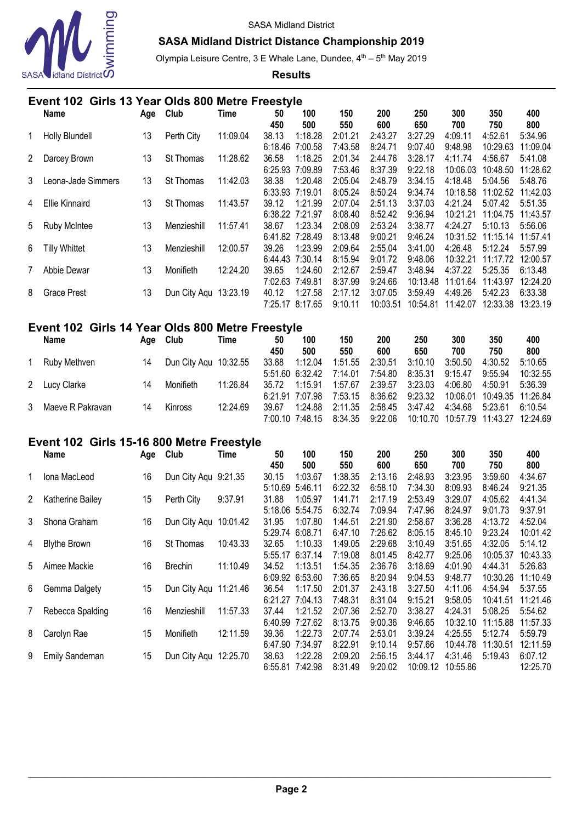

# **SASA Midland District Distance Championship 2019**

Olympia Leisure Centre, 3 E Whale Lane, Dundee, 4<sup>th</sup> – 5<sup>th</sup> May 2019

**Results**

|                      | Event 102 Girls 13 Year Olds 800 Metre Freestyle |     |                  |          |         |         |         |          |          |          |          |          |  |
|----------------------|--------------------------------------------------|-----|------------------|----------|---------|---------|---------|----------|----------|----------|----------|----------|--|
|                      | <b>Name</b>                                      | Age | Club             | Time     | 50      | 100     | 150     | 200      | 250      | 300      | 350      | 400      |  |
|                      |                                                  |     |                  |          | 450     | 500     | 550     | 600      | 650      | 700      | 750      | 800      |  |
|                      | Holly Blundell                                   | 13  | Perth City       | 11:09.04 | 38.13   | 1:18.28 | 2:01.21 | 2:43.27  | 3:27.29  | 4:09.11  | 4:52.61  | 5:34.96  |  |
|                      |                                                  |     |                  |          | 6:18.46 | 7:00.58 | 7:43.58 | 8:24.71  | 9:07.40  | 9:48.98  | 10:29.63 | 11:09.04 |  |
| $\mathbf{2}^{\circ}$ | Darcey Brown                                     | 13  | <b>St Thomas</b> | 11:28.62 | 36.58   | 1:18.25 | 2:01.34 | 2:44.76  | 3:28.17  | 4:11.74  | 4:56.67  | 5:41.08  |  |
|                      |                                                  |     |                  |          | 6:25.93 | 7:09.89 | 7:53.46 | 8:37.39  | 9:22.18  | 10:06.03 | 10:48.50 | 11:28.62 |  |
| 3                    | Leona-Jade Simmers                               | 13  | <b>St Thomas</b> | 11:42.03 | 38.38   | 1:20.48 | 2:05.04 | 2:48.79  | 3:34.15  | 4:18.48  | 5:04.56  | 5:48.76  |  |
|                      |                                                  |     |                  |          | 6:33.93 | 7:19.01 | 8:05.24 | 8:50.24  | 9:34.74  | 10:18.58 | 11:02.52 | 11:42.03 |  |
| 4                    | <b>Ellie Kinnaird</b>                            | 13  | <b>St Thomas</b> | 11:43.57 | 39.12   | 1:21.99 | 2:07.04 | 2:51.13  | 3:37.03  | 4:21.24  | 5:07.42  | 5:51.35  |  |
|                      |                                                  |     |                  |          | 6:38.22 | 7:21.97 | 8:08.40 | 8:52.42  | 9:36.94  | 10:21.21 | 11:04.75 | 11:43.57 |  |
| 5                    | <b>Ruby McIntee</b>                              | 13  | Menzieshill      | 11:57.41 | 38.67   | 1:23.34 | 2:08.09 | 2:53.24  | 3:38.77  | 4:24.27  | 5:10.13  | 5:56.06  |  |
|                      |                                                  |     |                  |          | 6:41.82 | 7:28.49 | 8:13.48 | 9:00.21  | 9:46.24  | 10:31.52 | 11:15.14 | 11:57.41 |  |
| 6                    | <b>Tilly Whittet</b>                             | 13  | Menzieshill      | 12:00.57 | 39.26   | 1:23.99 | 2:09.64 | 2:55.04  | 3:41.00  | 4:26.48  | 5:12.24  | 5:57.99  |  |
|                      |                                                  |     |                  |          | 6:44.43 | 7:30.14 | 8:15.94 | 9:01.72  | 9:48.06  | 10:32.21 | 11:17.72 | 12:00.57 |  |
|                      | Abbie Dewar                                      | 13  | Monifieth        | 12:24.20 | 39.65   | 1:24.60 | 2:12.67 | 2:59.47  | 3:48.94  | 4:37.22  | 5:25.35  | 6:13.48  |  |
|                      |                                                  |     |                  |          | 7:02.63 | 7:49.81 | 8:37.99 | 9:24.66  | 10:13.48 | 11:01.64 | 11:43.97 | 12:24.20 |  |
| 8                    | <b>Grace Prest</b>                               | 13  | Dun City Aqu     | 13:23.19 | 40.12   | 1:27.58 | 2:17.12 | 3:07.05  | 3:59.49  | 4:49.26  | 5:42.23  | 6:33.38  |  |
|                      |                                                  |     |                  |          | 7:25.17 | 8:17.65 | 9:10.11 | 10:03.51 | 10:54.81 | 11:42.07 | 12:33.38 | 13:23.19 |  |
|                      |                                                  |     |                  |          |         |         |         |          |          |          |          |          |  |

|   | Event 102 Girls 14 Year Olds 800 Metre Freestyle |     |                       |          |           |                            |                    |                    |                    |                    |                                       |                     |
|---|--------------------------------------------------|-----|-----------------------|----------|-----------|----------------------------|--------------------|--------------------|--------------------|--------------------|---------------------------------------|---------------------|
|   | <b>Name</b>                                      | Age | Club                  | Time     | 50<br>450 | 100<br>500                 | 150<br>550         | 200<br>600         | 250<br>650         | 300<br>700         | 350<br>750                            | 400<br>800          |
|   | Ruby Methven                                     | 14  | Dun City Agu 10:32.55 |          | 33.88     | 1:12.04<br>5:51.60 6:32.42 | 1:51.55            | 2:30.51            | 3:10.10            | 3:50.50            | 4:30.52                               | 5:10.65             |
|   | 2 Lucy Clarke                                    | 14  | Monifieth             | 11:26.84 | 35.72     | 1:15.91                    | 7:14.01<br>1:57.67 | 7:54.80<br>2:39.57 | 8:35.31<br>3:23.03 | 9:15.47<br>4:06.80 | 9:55.94<br>4:50.91                    | 10:32.55<br>5:36.39 |
| 3 | Maeve R Pakravan                                 | 14  | Kinross               | 12:24.69 | 39.67     | 6:21.91 7:07.98<br>1:24.88 | 7:53.15<br>2:11.35 | 8:36.62<br>2:58.45 | 9:23.32<br>3:47.42 | 4:34.68            | 10:06.01 10:49.35 11:26.84<br>5:23.61 | 6:10.54             |
|   |                                                  |     |                       |          |           | 7:00.10 7:48.15            |                    | 8:34.35 9:22.06    | 10:10.70           |                    |                                       |                     |

# **Event 102 Girls 15-16 800 Metre Freestyle**

|    | Name                | Age | Club                 | Time     | 50      | 100     | 150     | 200     | 250      | 300      | 350      | 400      |
|----|---------------------|-----|----------------------|----------|---------|---------|---------|---------|----------|----------|----------|----------|
|    |                     |     |                      |          | 450     | 500     | 550     | 600     | 650      | 700      | 750      | 800      |
|    | Iona MacLeod        | 16  | Dun City Aqu 9:21.35 |          | 30.15   | 1:03.67 | 1:38.35 | 2:13.16 | 2:48.93  | 3:23.95  | 3:59.60  | 4:34.67  |
|    |                     |     |                      |          | 5:10.69 | 5:46.11 | 6:22.32 | 6:58.10 | 7:34.30  | 8:09.93  | 8:46.24  | 9:21.35  |
| 2  | Katherine Bailey    | 15  | Perth City           | 9:37.91  | 31.88   | 1:05.97 | 1:41.71 | 2:17.19 | 2:53.49  | 3:29.07  | 4:05.62  | 4:41.34  |
|    |                     |     |                      |          | 5:18.06 | 5:54.75 | 6:32.74 | 7:09.94 | 7:47.96  | 8:24.97  | 9:01.73  | 9:37.91  |
| 3  | Shona Graham        | 16  | Dun City Aqu         | 10:01.42 | 31.95   | 1:07.80 | 1:44.51 | 2:21.90 | 2:58.67  | 3:36.28  | 4:13.72  | 4:52.04  |
|    |                     |     |                      |          | 5:29.74 | 6:08.71 | 6:47.10 | 7:26.62 | 8:05.15  | 8:45.10  | 9:23.24  | 10:01.42 |
| 4  | <b>Blythe Brown</b> | 16  | St Thomas            | 10:43.33 | 32.65   | 1:10.33 | 1:49.05 | 2:29.68 | 3:10.49  | 3:51.65  | 4:32.05  | 5:14.12  |
|    |                     |     |                      |          | 5:55.17 | 6:37.14 | 7:19.08 | 8:01.45 | 8:42.77  | 9:25.06  | 10:05.37 | 10:43.33 |
| 5. | Aimee Mackie        | 16  | <b>Brechin</b>       | 11:10.49 | 34.52   | 1:13.51 | 1:54.35 | 2:36.76 | 3:18.69  | 4:01.90  | 4:44.31  | 5:26.83  |
|    |                     |     |                      |          | 6:09.92 | 6:53.60 | 7:36.65 | 8:20.94 | 9:04.53  | 9:48.77  | 10:30.26 | 11:10.49 |
| 6  | Gemma Dalgety       | 15  | Dun City Agu         | 11:21.46 | 36.54   | 1:17.50 | 2:01.37 | 2:43.18 | 3:27.50  | 4:11.06  | 4:54.94  | 5:37.55  |
|    |                     |     |                      |          | 6:21.27 | 7:04.13 | 7:48.31 | 8:31.04 | 9:15.21  | 9:58.05  | 10:41.51 | 11:21.46 |
|    | Rebecca Spalding    | 16  | Menzieshill          | 11:57.33 | 37.44   | 1:21.52 | 2:07.36 | 2:52.70 | 3:38.27  | 4:24.31  | 5:08.25  | 5:54.62  |
|    |                     |     |                      |          | 6:40.99 | 7:27.62 | 8:13.75 | 9:00.36 | 9:46.65  | 10:32.10 | 11:15.88 | 11:57.33 |
| 8  | Carolyn Rae         | 15  | Monifieth            | 12:11.59 | 39.36   | 1:22.73 | 2:07.74 | 2:53.01 | 3:39.24  | 4:25.55  | 5:12.74  | 5:59.79  |
|    |                     |     |                      |          | 6:47.90 | 7:34.97 | 8:22.91 | 9:10.14 | 9:57.66  | 10:44.78 | 11:30.51 | 12:11.59 |
| 9  | Emily Sandeman      | 15  | Dun City Agu         | 12:25.70 | 38.63   | 1:22.28 | 2:09.20 | 2:56.15 | 3:44.17  | 4:31.46  | 5:19.43  | 6:07.12  |
|    |                     |     |                      |          | 6:55.81 | 7:42.98 | 8:31.49 | 9:20.02 | 10:09.12 | 10:55.86 |          | 12:25.70 |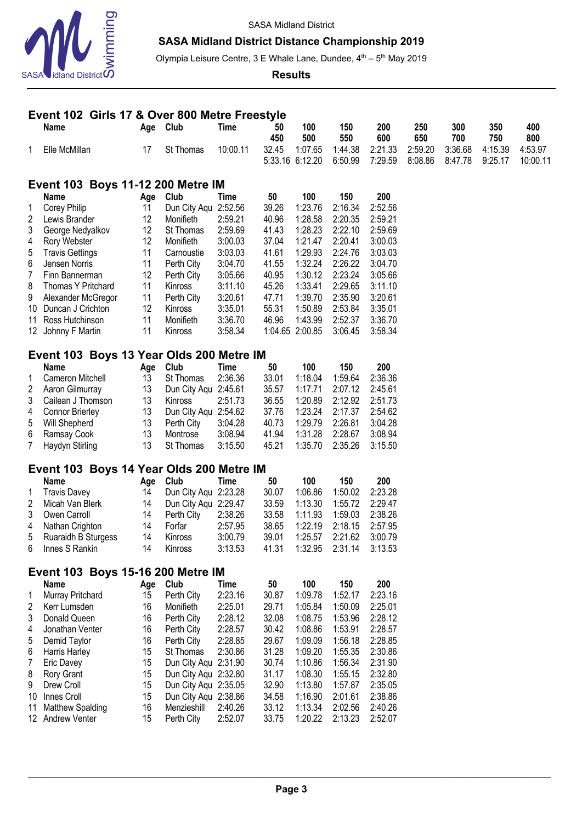

# **SASA Midland District Distance Championship 2019**

Olympia Leisure Centre, 3 E Whale Lane, Dundee, 4<sup>th</sup> – 5<sup>th</sup> May 2019

#### **Results**

|                | Event 102 Girls 17 & Over 800 Metre Freestyle |          |                                              |                    |                          |                    |                    |                    |                    |                    |                    |                     |
|----------------|-----------------------------------------------|----------|----------------------------------------------|--------------------|--------------------------|--------------------|--------------------|--------------------|--------------------|--------------------|--------------------|---------------------|
|                | Name                                          |          | Age Club                                     | <b>Time</b>        | 50<br>450                | 100<br>500         | 150<br>550         | 200<br>600         | 250<br>650         | 300<br>700         | 350<br>750         | 400<br>800          |
| 1              | Elle McMillan                                 | 17       | St Thomas                                    | 10:00.11           | 32.45<br>5:33.16 6:12.20 | 1:07.65            | 1:44.38<br>6:50.99 | 2:21.33<br>7:29.59 | 2:59.20<br>8:08.86 | 3:36.68<br>8:47.78 | 4:15.39<br>9:25.17 | 4:53.97<br>10:00.11 |
|                | <b>Event 103 Boys 11-12 200 Metre IM</b>      |          |                                              |                    |                          |                    |                    |                    |                    |                    |                    |                     |
|                | <b>Name</b>                                   | Age      | Club                                         | Time               | 50                       | 100                | 150                | 200                |                    |                    |                    |                     |
| 1              | <b>Corey Philip</b>                           | 11       | Dun City Aqu 2:52.56                         |                    | 39.26                    | 1:23.76            | 2:16.34            | 2:52.56            |                    |                    |                    |                     |
| 2              | Lewis Brander                                 | 12       | Monifieth                                    | 2:59.21            | 40.96                    | 1:28.58            | 2:20.35            | 2:59.21            |                    |                    |                    |                     |
| 3              | George Nedyalkov                              | 12       | St Thomas                                    | 2:59.69            | 41.43                    | 1:28.23            | 2:22.10            | 2:59.69            |                    |                    |                    |                     |
| 4              | Rory Webster                                  | 12       | Monifieth                                    | 3:00.03            | 37.04                    | 1:21.47            | 2:20.41            | 3:00.03            |                    |                    |                    |                     |
| 5              | <b>Travis Gettings</b>                        | 11       | Carnoustie                                   | 3:03.03            | 41.61                    | 1:29.93            | 2:24.76            | 3:03.03            |                    |                    |                    |                     |
| 6              | Jensen Norris                                 | 11       | Perth City                                   | 3:04.70            | 41.55                    | 1:32.24            | 2:26.22            | 3:04.70            |                    |                    |                    |                     |
| $\overline{7}$ | Finn Bannerman                                | 12       | Perth City                                   | 3:05.66            | 40.95                    | 1:30.12            | 2:23.24            | 3:05.66            |                    |                    |                    |                     |
| 8              | Thomas Y Pritchard                            | 11       | Kinross                                      | 3:11.10            | 45.26                    | 1:33.41            | 2:29.65            | 3:11.10            |                    |                    |                    |                     |
| 9              | Alexander McGregor                            | 11       | Perth City                                   | 3:20.61            | 47.71                    | 1:39.70            | 2:35.90            | 3:20.61            |                    |                    |                    |                     |
|                | 10 Duncan J Crichton                          | 12       | Kinross                                      | 3:35.01            | 55.31                    | 1:50.89            | 2:53.84            | 3:35.01            |                    |                    |                    |                     |
| 11             | Ross Hutchinson                               | 11       | Monifieth                                    | 3:36.70            | 46.96                    | 1:43.99            | 2:52.37            | 3:36.70            |                    |                    |                    |                     |
|                | 12 Johnny F Martin                            | 11       | Kinross                                      | 3:58.34            | 1:04.65 2:00.85          |                    | 3:06.45            | 3:58.34            |                    |                    |                    |                     |
|                | Event 103 Boys 13 Year Olds 200 Metre IM      |          |                                              |                    |                          |                    |                    |                    |                    |                    |                    |                     |
|                | <b>Name</b>                                   | Age      | Club                                         | Time               | 50                       | 100                | 150                | 200                |                    |                    |                    |                     |
| 1              | Cameron Mitchell                              | 13       | St Thomas                                    | 2:36.36            | 33.01                    | 1:18.04            | 1:59.64            | 2:36.36            |                    |                    |                    |                     |
| 2              | Aaron Gilmurray                               | 13       | Dun City Aqu 2:45.61                         |                    | 35.57                    | 1:17.71            | 2:07.12            | 2:45.61            |                    |                    |                    |                     |
| 3              | Cailean J Thomson                             | 13       | Kinross                                      | 2:51.73            | 36.55                    | 1:20.89            | 2:12.92            | 2:51.73            |                    |                    |                    |                     |
| 4              | <b>Connor Brierley</b>                        | 13       | Dun City Aqu 2:54.62                         |                    | 37.76                    | 1:23.24            | 2:17.37            | 2:54.62            |                    |                    |                    |                     |
| 5              | <b>Will Shepherd</b>                          | 13       | Perth City                                   | 3:04.28            | 40.73                    | 1:29.79            | 2:26.81            | 3:04.28            |                    |                    |                    |                     |
| 6              | Ramsay Cook                                   | 13       | Montrose                                     | 3:08.94            | 41.94                    | 1:31.28            | 2:28.67            | 3:08.94            |                    |                    |                    |                     |
| 7              | Haydyn Stirling                               | 13       | St Thomas                                    | 3:15.50            | 45.21                    | 1:35.70            | 2:35.26            | 3:15.50            |                    |                    |                    |                     |
|                | Event 103 Boys 14 Year Olds 200 Metre IM      |          |                                              |                    |                          |                    |                    |                    |                    |                    |                    |                     |
|                | Name                                          | Age      | Club                                         | Time               | 50                       | 100                | 150                | 200                |                    |                    |                    |                     |
| 1              | <b>Travis Davey</b>                           | 14       | Dun City Aqu 2:23.28                         |                    | 30.07                    | 1:06.86            | 1:50.02            | 2:23.28            |                    |                    |                    |                     |
| 2              | Micah Van Blerk                               | 14       | Dun City Aqu 2:29.47                         |                    | 33.59                    | 1:13.30            | 1:55.72            | 2:29.47            |                    |                    |                    |                     |
| 3              | Owen Carroll                                  | 14       | Perth City                                   | 2:38.26            | 33.58                    | 1:11.93            | 1:59.03            | 2:38.26            |                    |                    |                    |                     |
| 4              | Nathan Crighton                               | 14       | Forfar                                       | 2:57.95            | 38.65                    | 1:22.19            | 2:18.15            | 2:57.95            |                    |                    |                    |                     |
| 5              | Ruaraidh B Sturgess                           | 14       | Kinross                                      | 3:00.79<br>3:13.53 | 39.01                    | 1:25.57            | 2:21.62            | 3:00.79<br>3:13.53 |                    |                    |                    |                     |
| 6              | Innes S Rankin                                | 14       | Kinross                                      |                    | 41.31                    | 1:32.95            | 2:31.14            |                    |                    |                    |                    |                     |
|                | <b>Event 103 Boys 15-16 200 Metre IM</b>      |          |                                              |                    |                          |                    |                    |                    |                    |                    |                    |                     |
|                | Name                                          |          | Age Club                                     | <b>Time</b>        | 50                       | 100                | 150                | 200                |                    |                    |                    |                     |
| 1              | Murray Pritchard                              | 15       | Perth City                                   | 2:23.16            | 30.87                    | 1:09.78            | 1:52.17            | 2:23.16            |                    |                    |                    |                     |
| $\overline{2}$ | Kerr Lumsden                                  | 16       | Monifieth                                    | 2:25.01            | 29.71                    | 1:05.84            | 1:50.09            | 2:25.01            |                    |                    |                    |                     |
| 3              | Donald Queen                                  | 16       | Perth City                                   | 2:28.12            | 32.08                    | 1:08.75            | 1:53.96            | 2:28.12            |                    |                    |                    |                     |
| 4              | Jonathan Venter                               | 16       | Perth City                                   | 2:28.57            | 30.42                    | 1:08.86            | 1:53.91            | 2:28.57            |                    |                    |                    |                     |
| 5              | Demid Taylor                                  | 16       | Perth City                                   | 2:28.85            | 29.67                    | 1:09.09            | 1:56.18            | 2:28.85            |                    |                    |                    |                     |
| 6              | Harris Harley                                 | 15       | St Thomas                                    | 2:30.86            | 31.28                    | 1:09.20            | 1:55.35            | 2:30.86            |                    |                    |                    |                     |
| $\overline{7}$ | Eric Davey                                    | 15       | Dun City Aqu 2:31.90                         |                    | 30.74                    | 1:10.86            | 1:56.34            | 2:31.90            |                    |                    |                    |                     |
| 8<br>9         | Rory Grant<br>Drew Croll                      | 15<br>15 | Dun City Aqu 2:32.80<br>Dun City Aqu 2:35.05 |                    | 31.17<br>32.90           | 1:08.30<br>1:13.80 | 1:55.15<br>1:57.87 | 2:32.80<br>2:35.05 |                    |                    |                    |                     |
| 10             | Innes Croll                                   | 15       | Dun City Aqu 2:38.86                         |                    | 34.58                    | 1:16.90            | 2:01.61            | 2:38.86            |                    |                    |                    |                     |
| 11             | Matthew Spalding                              | 16       | Menzieshill                                  | 2:40.26            | 33.12                    | 1:13.34            | 2:02.56            | 2:40.26            |                    |                    |                    |                     |
|                | 12 Andrew Venter                              | 15       | Perth City                                   | 2:52.07            | 33.75                    | 1:20.22            | 2:13.23            | 2:52.07            |                    |                    |                    |                     |
|                |                                               |          |                                              |                    |                          |                    |                    |                    |                    |                    |                    |                     |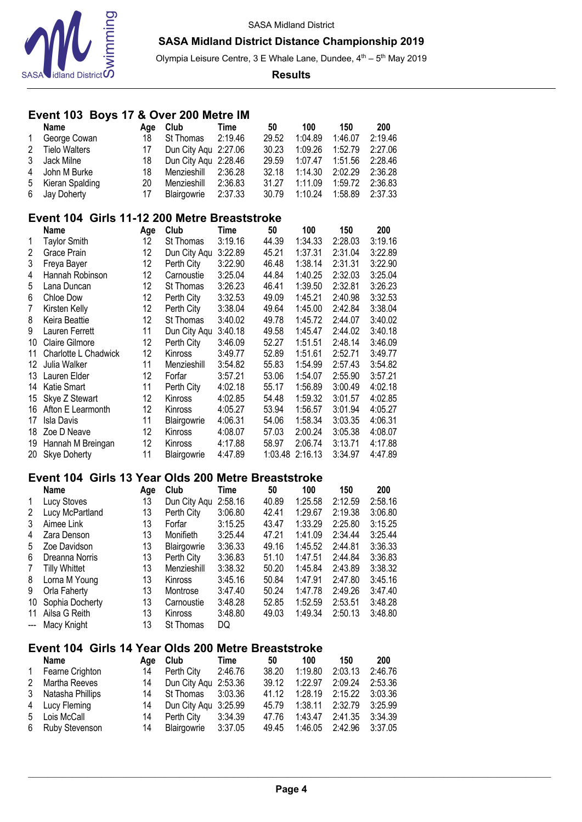

Olympia Leisure Centre, 3 E Whale Lane, Dundee, 4<sup>th</sup> - 5<sup>th</sup> May 2019

**Results**

## **Event 103 Boys 17 & Over 200 Metre IM**

|                | <b>Name</b>                                  | Age | Club                 | Time    | 50      | 100     | 150     | 200     |
|----------------|----------------------------------------------|-----|----------------------|---------|---------|---------|---------|---------|
| 1              | George Cowan                                 | 18  | St Thomas            | 2:19.46 | 29.52   | 1:04.89 | 1:46.07 | 2:19.46 |
| $\overline{2}$ | <b>Tielo Walters</b>                         | 17  | Dun City Aqu         | 2:27.06 | 30.23   | 1:09.26 | 1:52.79 | 2:27.06 |
| 3              | Jack Milne                                   | 18  | Dun City Aqu 2:28.46 |         | 29.59   | 1:07.47 | 1:51.56 | 2:28.46 |
| 4              | John M Burke                                 | 18  | Menzieshill          | 2:36.28 | 32.18   | 1:14.30 | 2:02.29 | 2:36.28 |
| 5              | Kieran Spalding                              | 20  | Menzieshill          | 2:36.83 | 31.27   | 1:11.09 | 1:59.72 | 2:36.83 |
| 6              | Jay Doherty                                  | 17  | Blairgowrie          | 2:37.33 | 30.79   | 1:10.24 | 1:58.89 | 2:37.33 |
|                | Event 104 Girls 11-12 200 Metre Breaststroke |     |                      |         |         |         |         |         |
|                | Name                                         | Age | Club                 | Time    | 50      | 100     | 150     | 200     |
| 1              | <b>Taylor Smith</b>                          | 12  | St Thomas            | 3:19.16 | 44.39   | 1:34.33 | 2:28.03 | 3:19.16 |
| 2              | Grace Prain                                  | 12  | Dun City Aqu         | 3:22.89 | 45.21   | 1:37.31 | 2:31.04 | 3:22.89 |
| 3              | Freya Bayer                                  | 12  | Perth City           | 3:22.90 | 46.48   | 1:38.14 | 2:31.31 | 3:22.90 |
| 4              | Hannah Robinson                              | 12  | Carnoustie           | 3:25.04 | 44.84   | 1:40.25 | 2:32.03 | 3:25.04 |
| 5              | Lana Duncan                                  | 12  | St Thomas            | 3:26.23 | 46.41   | 1:39.50 | 2:32.81 | 3:26.23 |
| 6              | Chloe Dow                                    | 12  | Perth City           | 3:32.53 | 49.09   | 1:45.21 | 2:40.98 | 3:32.53 |
| 7              | Kirsten Kelly                                | 12  | Perth City           | 3:38.04 | 49.64   | 1:45.00 | 2:42.84 | 3:38.04 |
| 8              | Keira Beattie                                | 12  | St Thomas            | 3:40.02 | 49.78   | 1:45.72 | 2:44.07 | 3:40.02 |
| 9              | Lauren Ferrett                               | 11  | Dun City Aqu         | 3:40.18 | 49.58   | 1:45.47 | 2:44.02 | 3:40.18 |
| 10             | <b>Claire Gilmore</b>                        | 12  | Perth City           | 3:46.09 | 52.27   | 1:51.51 | 2:48.14 | 3:46.09 |
| 11             | Charlotte L Chadwick                         | 12  | Kinross              | 3:49.77 | 52.89   | 1:51.61 | 2:52.71 | 3:49.77 |
| 12             | Julia Walker                                 | 11  | Menzieshill          | 3:54.82 | 55.83   | 1:54.99 | 2:57.43 | 3:54.82 |
| 13             | Lauren Elder                                 | 12  | Forfar               | 3:57.21 | 53.06   | 1:54.07 | 2:55.90 | 3:57.21 |
| 14             | Katie Smart                                  | 11  | Perth City           | 4:02.18 | 55.17   | 1:56.89 | 3:00.49 | 4:02.18 |
| 15             | Skye Z Stewart                               | 12  | Kinross              | 4:02.85 | 54.48   | 1:59.32 | 3:01.57 | 4:02.85 |
| 16             | Afton E Learmonth                            | 12  | Kinross              | 4:05.27 | 53.94   | 1:56.57 | 3:01.94 | 4:05.27 |
| 17             | <b>Isla Davis</b>                            | 11  | Blairgowrie          | 4:06.31 | 54.06   | 1:58.34 | 3:03.35 | 4:06.31 |
| 18             | Zoe D Neave                                  | 12  | Kinross              | 4:08.07 | 57.03   | 2:00.24 | 3:05.38 | 4:08.07 |
| 19             | Hannah M Breingan                            | 12  | Kinross              | 4:17.88 | 58.97   | 2:06.74 | 3:13.71 | 4:17.88 |
| 20             | <b>Skye Doherty</b>                          | 11  | Blairgowrie          | 4:47.89 | 1:03.48 | 2:16.13 | 3:34.97 | 4:47.89 |

#### **Event 104 Girls 13 Year Olds 200 Metre Breaststroke**

|                                                                                                                                                                                                                                                                                                                                                                                                                                                                            | <b>Name</b>     | Age | Club           | Time    | 50    | 100     | 150     | 200     |
|----------------------------------------------------------------------------------------------------------------------------------------------------------------------------------------------------------------------------------------------------------------------------------------------------------------------------------------------------------------------------------------------------------------------------------------------------------------------------|-----------------|-----|----------------|---------|-------|---------|---------|---------|
| $\mathbf{1}$                                                                                                                                                                                                                                                                                                                                                                                                                                                               | Lucy Stoves     | 13  | Dun City Aqu   | 2:58.16 | 40.89 | 1:25.58 | 2:12.59 | 2:58.16 |
| 2                                                                                                                                                                                                                                                                                                                                                                                                                                                                          | Lucy McPartland | 13  | Perth City     | 3:06.80 | 42.41 | 1:29.67 | 2:19.38 | 3:06.80 |
| 3                                                                                                                                                                                                                                                                                                                                                                                                                                                                          | Aimee Link      | 13  | Forfar         | 3:15.25 | 43.47 | 1:33.29 | 2:25.80 | 3:15.25 |
| 4                                                                                                                                                                                                                                                                                                                                                                                                                                                                          | Zara Denson     | 13  | Monifieth      | 3:25.44 | 47.21 | 1:41.09 | 2:34.44 | 3:25.44 |
| 5                                                                                                                                                                                                                                                                                                                                                                                                                                                                          | Zoe Davidson    | 13  | Blairgowrie    | 3:36.33 | 49.16 | 1:45.52 | 2:44.81 | 3:36.33 |
| 6                                                                                                                                                                                                                                                                                                                                                                                                                                                                          | Dreanna Norris  | 13  | Perth City     | 3:36.83 | 51.10 | 1:47.51 | 2:44.84 | 3:36.83 |
| 7                                                                                                                                                                                                                                                                                                                                                                                                                                                                          | Tilly Whittet   | 13  | Menzieshill    | 3:38.32 | 50.20 | 1:45.84 | 2:43.89 | 3:38.32 |
| 8                                                                                                                                                                                                                                                                                                                                                                                                                                                                          | Lorna M Young   | 13  | <b>Kinross</b> | 3:45.16 | 50.84 | 1:47.91 | 2:47.80 | 3:45.16 |
| 9                                                                                                                                                                                                                                                                                                                                                                                                                                                                          | Orla Faherty    | 13  | Montrose       | 3:47.40 | 50.24 | 1:47.78 | 2:49.26 | 3:47.40 |
| 10                                                                                                                                                                                                                                                                                                                                                                                                                                                                         | Sophia Docherty | 13  | Carnoustie     | 3:48.28 | 52.85 | 1:52.59 | 2:53.51 | 3:48.28 |
| 11                                                                                                                                                                                                                                                                                                                                                                                                                                                                         | Ailsa G Reith   | 13  | Kinross        | 3:48.80 | 49.03 | 1:49.34 | 2:50.13 | 3:48.80 |
| $\frac{1}{2} \left( \frac{1}{2} \right) \left( \frac{1}{2} \right) \left( \frac{1}{2} \right) \left( \frac{1}{2} \right) \left( \frac{1}{2} \right) \left( \frac{1}{2} \right) \left( \frac{1}{2} \right) \left( \frac{1}{2} \right) \left( \frac{1}{2} \right) \left( \frac{1}{2} \right) \left( \frac{1}{2} \right) \left( \frac{1}{2} \right) \left( \frac{1}{2} \right) \left( \frac{1}{2} \right) \left( \frac{1}{2} \right) \left( \frac{1}{2} \right) \left( \frac$ | Macy Knight     | 13  | St Thomas      | DQ      |       |         |         |         |

## **Event 104 Girls 14 Year Olds 200 Metre Breaststroke**

|              | Name               | Aae | Club                    | Time    | 50    | 100                 | 150     | 200     |
|--------------|--------------------|-----|-------------------------|---------|-------|---------------------|---------|---------|
| $\mathbf{1}$ | Fearne Crighton    | 14  | Perth City              | 2:46.76 | 38.20 | 1:19.80             | 2:03.13 | 2:46.76 |
| 2            | Martha Reeves      |     | 14 Dun City Agu 2:53.36 |         | 39.12 | 1:22.97             | 2:09.24 | 2:53.36 |
|              | 3 Natasha Phillips |     | 14 St Thomas 3:03.36    |         | 41.12 | 1:28.19 2:15.22     |         | 3:03.36 |
|              | 4 Lucy Fleming     | 14  | Dun City Aqu 3:25.99    |         | 45.79 | $1:38.11$ $2:32.79$ |         | 3:25.99 |
|              | 5 Lois McCall      | 14  | Perth City              | 3:34.39 | 47.76 | 1:43.47 2:41.35     |         | 3:34.39 |
|              | 6 Ruby Stevenson   | 14  | Blairgowrie 3:37.05     |         | 49.45 | 1:46.05 2:42.96     |         | 3:37.05 |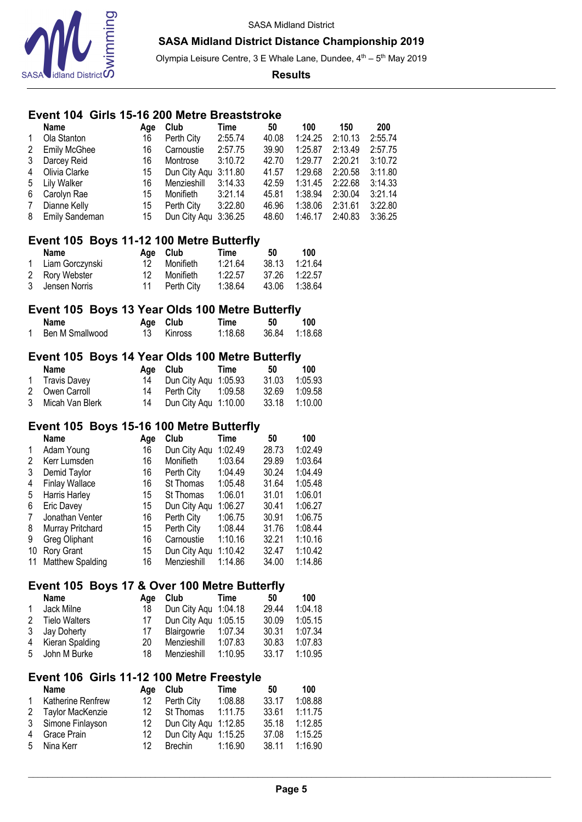

Olympia Leisure Centre, 3 E Whale Lane, Dundee, 4<sup>th</sup> – 5<sup>th</sup> May 2019

#### **Results**

## **Event 104 Girls 15-16 200 Metre Breaststroke**

|                         | Event 104 Girls 15-16 200 Metre Breaststroke            |                  |                      |             |       |         |         |         |
|-------------------------|---------------------------------------------------------|------------------|----------------------|-------------|-------|---------|---------|---------|
|                         | <b>Name</b>                                             | Age              | Club                 | Time        | 50    | 100     | 150     | 200     |
| 1                       | Ola Stanton                                             | 16               | Perth City           | 2:55.74     | 40.08 | 1:24.25 | 2:10.13 | 2:55.74 |
| $\overline{\mathbf{c}}$ | <b>Emily McGhee</b>                                     | 16               | Carnoustie           | 2:57.75     | 39.90 | 1:25.87 | 2:13.49 | 2:57.75 |
| 3                       | Darcey Reid                                             | 16               | Montrose             | 3:10.72     | 42.70 | 1:29.77 | 2:20.21 | 3:10.72 |
| 4                       | Olivia Clarke                                           | 15               | Dun City Aqu 3:11.80 |             | 41.57 | 1:29.68 | 2:20.58 | 3:11.80 |
| 5                       | <b>Lily Walker</b>                                      | 16               | Menzieshill          | 3:14.33     | 42.59 | 1:31.45 | 2:22.68 | 3:14.33 |
| 6                       | Carolyn Rae                                             | 15               | Monifieth            | 3:21.14     | 45.81 | 1:38.94 | 2:30.04 | 3:21.14 |
| $\overline{7}$          | Dianne Kelly                                            | 15               | Perth City           | 3:22.80     | 46.96 | 1:38.06 | 2:31.61 | 3:22.80 |
| 8                       | Emily Sandeman                                          | 15               | Dun City Aqu 3:36.25 |             | 48.60 | 1:46.17 | 2:40.83 | 3:36.25 |
|                         | Event 105 Boys 11-12 100 Metre Butterfly                |                  |                      |             |       |         |         |         |
|                         | <b>Name</b>                                             | Age              | Club                 | <b>Time</b> | 50    | 100     |         |         |
| 1                       | Liam Gorczynski                                         | 12 <sup>°</sup>  | Monifieth            | 1:21.64     | 38.13 | 1:21.64 |         |         |
| $\overline{2}$          | Rory Webster                                            | 12 <sup>°</sup>  | Monifieth            | 1:22.57     | 37.26 | 1:22.57 |         |         |
| 3                       | Jensen Norris                                           | 11               | Perth City           | 1:38.64     | 43.06 | 1:38.64 |         |         |
|                         | Event 105 Boys 13 Year Olds 100 Metre Butterfly         |                  |                      |             |       |         |         |         |
|                         | <b>Name</b>                                             | Age              | Club                 | <b>Time</b> | 50    | 100     |         |         |
| 1                       | Ben M Smallwood                                         | 13               | Kinross              | 1:18.68     | 36.84 | 1:18.68 |         |         |
|                         | Event 105 Boys 14 Year Olds 100 Metre Butterfly         |                  |                      |             |       |         |         |         |
|                         | <b>Name</b>                                             | Age              | Club                 | Time        | 50    | 100     |         |         |
| 1                       | <b>Travis Davey</b>                                     | 14               | Dun City Aqu 1:05.93 |             | 31.03 | 1:05.93 |         |         |
| $\overline{2}$          | Owen Carroll                                            | 14               | Perth City           | 1:09.58     | 32.69 | 1:09.58 |         |         |
| 3                       | Micah Van Blerk                                         | 14               | Dun City Aqu 1:10.00 |             | 33.18 | 1:10.00 |         |         |
|                         |                                                         |                  |                      |             |       |         |         |         |
|                         | Event 105 Boys 15-16 100 Metre Butterfly<br><b>Name</b> |                  | Club                 |             | 50    | 100     |         |         |
| 1                       | Adam Young                                              | Age<br>16        | Dun City Aqu 1:02.49 | Time        | 28.73 | 1:02.49 |         |         |
| $\overline{2}$          | Kerr Lumsden                                            | 16               | Monifieth            | 1:03.64     | 29.89 | 1:03.64 |         |         |
| 3                       | Demid Taylor                                            | 16               | Perth City           | 1:04.49     | 30.24 | 1:04.49 |         |         |
| 4                       | <b>Finlay Wallace</b>                                   | 16               | St Thomas            | 1:05.48     | 31.64 | 1:05.48 |         |         |
| 5                       | Harris Harley                                           | 15               | St Thomas            | 1:06.01     | 31.01 | 1:06.01 |         |         |
| 6                       | Eric Davey                                              | 15               | Dun City Aqu 1:06.27 |             | 30.41 | 1:06.27 |         |         |
| $\overline{7}$          | Jonathan Venter                                         | 16               | Perth City           | 1:06.75     | 30.91 | 1:06.75 |         |         |
| 8                       | Murray Pritchard                                        | 15               | Perth City           | 1:08.44     | 31.76 | 1:08.44 |         |         |
| 9                       | Greg Oliphant                                           | 16               | Carnoustie           | 1:10.16     | 32.21 | 1:10.16 |         |         |
|                         | 10 Rory Grant                                           | 15 <sub>15</sub> | Dun City Aqu 1:10.42 |             | 32.47 | 1:10.42 |         |         |
|                         | 11 Matthew Spalding                                     | 16               | Menzieshill          | 1:14.86     | 34.00 | 1:14.86 |         |         |
|                         |                                                         |                  |                      |             |       |         |         |         |
|                         | Event 105 Boys 17 & Over 100 Metre Butterfly            |                  |                      |             |       |         |         |         |
|                         | Name                                                    | Age              | Club                 | <b>Time</b> | 50    | 100     |         |         |
| 1                       | Jack Milne                                              | 18               | Dun City Agu 1:04.18 |             | 29.44 | 1:04.18 |         |         |
| $\overline{2}$          | <b>Tielo Walters</b>                                    | 17               | Dun City Aqu         | 1:05.15     | 30.09 | 1:05.15 |         |         |
| 3                       | Jay Doherty                                             | 17               | Blairgowrie          | 1:07.34     | 30.31 | 1:07.34 |         |         |
| 4                       | Kieran Spalding                                         | 20               | Menzieshill          | 1:07.83     | 30.83 | 1:07.83 |         |         |
| 5                       | John M Burke                                            | 18               | Menzieshill          | 1:10.95     | 33.17 | 1:10.95 |         |         |

# **Event 106 Girls 11-12 100 Metre Freestyle**

|              | <b>Name</b>        | Aae | Club                    | Time    | 50    | 100     |
|--------------|--------------------|-----|-------------------------|---------|-------|---------|
| $\mathbf{1}$ | Katherine Renfrew  | 12  | Perth City              | 1:08.88 | 33.17 | 1:08.88 |
|              | 2 Taylor MacKenzie | 12. | St Thomas               | 1:11.75 | 33.61 | 1:11.75 |
|              | 3 Simone Finlayson |     | 12 Dun City Agu 1:12.85 |         | 35.18 | 1:12.85 |
|              | 4 Grace Prain      | 12  | Dun City Agu 1:15.25    |         | 37.08 | 1:15.25 |
|              | 5 Nina Kerr        | 12  | Brechin                 | 1:16.90 | 38.11 | 1:16.90 |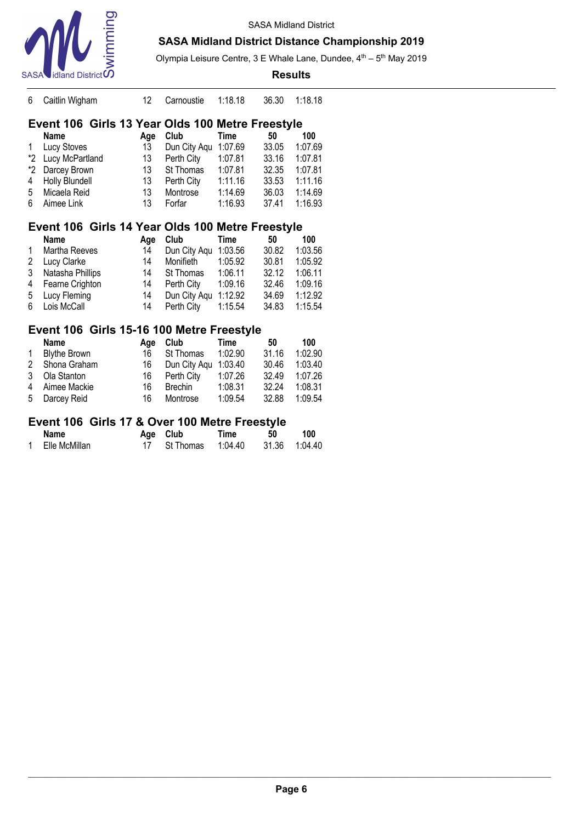

#### **SASA Midland District Distance Championship 2019**

Olympia Leisure Centre, 3 E Whale Lane, Dundee,  $4<sup>th</sup> - 5<sup>th</sup>$  May 2019

|    | $\mathsf{SASA}$ idland District $\mathsf{\Omega}$ |     |              |         | <b>Results</b> |         |
|----|---------------------------------------------------|-----|--------------|---------|----------------|---------|
| 6  | Caitlin Wigham                                    | 12  | Carnoustie   | 1:18.18 | 36.30          | 1:18.18 |
|    | Event 106 Girls 13 Year Olds 100 Metre Freestyle  |     |              |         |                |         |
|    | Name                                              | Age | Club         | Time    | 50             | 100     |
| 1  | Lucy Stoves                                       | 13  | Dun City Agu | 1:07.69 | 33.05          | 1:07.69 |
| *2 | Lucy McPartland                                   | 13  | Perth City   | 1:07.81 | 33.16          | 1:07.81 |
| *2 | Darcey Brown                                      | 13  | St Thomas    | 1:07.81 | 32.35          | 1:07.81 |
| 4  | Holly Blundell                                    | 13  | Perth City   | 1:11.16 | 33.53          | 1:11.16 |
| 5  | Micaela Reid                                      | 13  | Montrose     | 1:14.69 | 36.03          | 1:14.69 |
| 6  | Aimee Link                                        | 13  | Forfar       | 1:16.93 | 37.41          | 1:16.93 |
|    | Event 106 Girls 14 Year Olds 100 Metre Freestyle  |     |              |         |                |         |
|    | Name                                              | Age | Club         | Time    | 50             | 100     |
| 1  | Martha Reeves                                     | 14  | Dun City Agu | 1:03.56 | 30.82          | 1:03.56 |
| 2  | Lucy Clarke                                       | 14  | Monifieth    | 1:05.92 | 30.81          | 1:05.92 |
| 3  | Natasha Phillips                                  | 14  | St Thomas    | 1:06.11 | 32.12          | 1:06.11 |
| 4  | Fearne Crighton                                   | 14  | Perth City   | 1:09.16 | 32.46          | 1:09.16 |
| 5  | Lucy Fleming                                      | 14  | Dun City Aqu | 1:12.92 | 34.69          | 1:12.92 |
| 6  | Lois McCall                                       | 14  | Perth City   | 1:15.54 | 34.83          | 1:15.54 |

#### **Event 106 Girls 15-16 100 Metre Freestyle**

|              | <b>Name</b>         | Aae | Club                 | Time    | 50    | 100     |
|--------------|---------------------|-----|----------------------|---------|-------|---------|
| $\mathbf{1}$ | <b>Blythe Brown</b> | 16  | St Thomas            | 1:02.90 | 31.16 | 1:02.90 |
|              | 2 Shona Graham      | 16  | Dun City Aqu 1:03.40 |         | 30.46 | 1:03.40 |
|              | 3 Ola Stanton       | 16  | Perth City           | 1:07.26 | 32.49 | 1:07.26 |
|              | 4 Aimee Mackie      | 16  | Brechin              | 1:08.31 | 32.24 | 1:08.31 |
|              | 5 Darcey Reid       | 16  | Montrose             | 1:09.54 | 32.88 | 1:09.54 |

#### **Event 106 Girls 17 & Over 100 Metre Freestyle**

| Name          | Age Club                              | Time | -50 | 100 |
|---------------|---------------------------------------|------|-----|-----|
| Elle McMillan | 17 St Thomas  1:04.40  31.36  1:04.40 |      |     |     |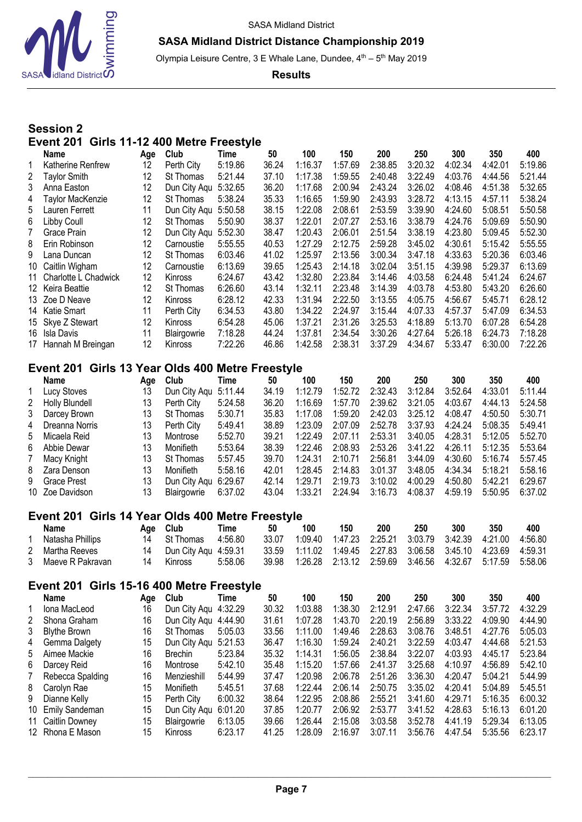



Olympia Leisure Centre, 3 E Whale Lane, Dundee, 4<sup>th</sup> - 5<sup>th</sup> May 2019

**Results**

# **Session 2 Event 201 Girls 11-12 400 Metre Freestyle**

|                | Name                                             | Age      | Club                                    | Time               | 50             | 100                | 150                | 200                | 250                | 300                | 350                | 400                |
|----------------|--------------------------------------------------|----------|-----------------------------------------|--------------------|----------------|--------------------|--------------------|--------------------|--------------------|--------------------|--------------------|--------------------|
| 1              | Katherine Renfrew                                | 12       | Perth City                              | 5:19.86            | 36.24          | 1:16.37            | 1:57.69            | 2:38.85            | 3:20.32            | 4:02.34            | 4:42.01            | 5:19.86            |
| $\overline{2}$ | <b>Taylor Smith</b>                              | 12       | St Thomas                               | 5:21.44            | 37.10          | 1:17.38            | 1:59.55            | 2:40.48            | 3:22.49            | 4:03.76            | 4:44.56            | 5:21.44            |
| 3              | Anna Easton                                      | 12       | Dun City Aqu                            | 5:32.65            | 36.20          | 1:17.68            | 2:00.94            | 2:43.24            | 3:26.02            | 4:08.46            | 4:51.38            | 5:32.65            |
| 4              | Taylor MacKenzie                                 | 12       | St Thomas                               | 5:38.24            | 35.33          | 1:16.65            | 1:59.90            | 2:43.93            | 3:28.72            | 4:13.15            | 4:57.11            | 5:38.24            |
| 5              | Lauren Ferrett                                   | 11       | Dun City Aqu                            | 5:50.58            | 38.15          | 1:22.08            | 2:08.61            | 2:53.59            | 3:39.90            | 4:24.60            | 5:08.51            | 5:50.58            |
| 6              | Libby Coull                                      | 12       | St Thomas                               | 5:50.90            | 38.37          | 1:22.01            | 2:07.27            | 2:53.16            | 3:38.79            | 4:24.76            | 5:09.69            | 5:50.90            |
| 7              | Grace Prain                                      | 12       | Dun City Aqu                            | 5:52.30            | 38.47          | 1:20.43            | 2:06.01            | 2:51.54            | 3:38.19            | 4:23.80            | 5:09.45            | 5:52.30            |
| 8              | Erin Robinson                                    | 12       | Carnoustie                              | 5:55.55            | 40.53          | 1:27.29            | 2:12.75            | 2:59.28            | 3:45.02            | 4:30.61            | 5:15.42            | 5:55.55            |
| 9              | Lana Duncan                                      | 12       | St Thomas                               | 6:03.46            | 41.02          | 1:25.97            | 2:13.56            | 3:00.34            | 3:47.18            | 4:33.63            | 5:20.36            | 6:03.46            |
| 10             | Caitlin Wigham                                   | 12       | Carnoustie                              | 6:13.69            | 39.65          | 1:25.43            | 2:14.18            | 3:02.04            | 3:51.15            | 4:39.98            | 5:29.37            | 6:13.69            |
| 11             | Charlotte L Chadwick                             | 12       | Kinross                                 | 6:24.67            | 43.42          | 1:32.80            | 2:23.84            | 3:14.46            | 4:03.58            | 6:24.48            | 5:41.24            | 6:24.67            |
| 12             | Keira Beattie                                    | 12       | St Thomas                               | 6:26.60            | 43.14          | 1:32.11            | 2:23.48            | 3:14.39            | 4:03.78            | 4:53.80            | 5:43.20            | 6:26.60            |
| 13             | Zoe D Neave                                      | 12       | Kinross                                 | 6:28.12            | 42.33          | 1:31.94            | 2:22.50            | 3:13.55            | 4:05.75            | 4:56.67            | 5:45.71            | 6:28.12            |
| 14             | Katie Smart                                      | 11       | Perth City                              | 6:34.53            | 43.80          | 1:34.22            | 2:24.97            | 3:15.44            | 4:07.33            | 4:57.37            | 5:47.09            | 6:34.53            |
| 15             | Skye Z Stewart                                   | 12       | Kinross                                 | 6:54.28            | 45.06          | 1:37.21            | 2:31.26            | 3:25.53            | 4:18.89            | 5:13.70            | 6:07.28            | 6:54.28            |
| 16             | Isla Davis                                       | 11       | Blairgowrie                             | 7:18.28            | 44.24          | 1:37.81            | 2:34.54            | 3:30.26            | 4:27.64            | 5:26.18            | 6:24.73            | 7:18.28            |
| 17             | Hannah M Breingan                                | 12       | Kinross                                 | 7:22.26            | 46.86          | 1:42.58            | 2:38.31            | 3:37.29            | 4:34.67            | 5:33.47            | 6:30.00            | 7:22.26            |
|                |                                                  |          |                                         |                    |                |                    |                    |                    |                    |                    |                    |                    |
|                | Event 201 Girls 13 Year Olds 400 Metre Freestyle |          |                                         |                    |                |                    |                    |                    |                    |                    |                    |                    |
|                | Name                                             | Age      | Club                                    | Time               | 50             | 100                | 150                | 200                | 250                | 300                | 350                | 400                |
| 1              | Lucy Stoves                                      | 13       | Dun City Aqu                            | 5:11.44            | 34.19          | 1:12.79            | 1:52.72            | 2:32.43            | 3:12.84            | 3:52.64            | 4:33.01            | 5:11.44            |
| 2              | Holly Blundell                                   | 13       | Perth City                              | 5:24.58            | 36.20          | 1:16.69            | 1:57.70            | 2:39.62            | 3:21.05            | 4:03.67            | 4:44.13            | 5:24.58            |
| 3              | Darcey Brown                                     | 13       | St Thomas                               | 5:30.71            | 35.83          | 1:17.08            | 1:59.20            | 2:42.03            | 3:25.12            | 4:08.47            | 4:50.50            | 5:30.71            |
| 4              | Dreanna Norris                                   | 13       | Perth City                              | 5:49.41            | 38.89          | 1:23.09            | 2:07.09            | 2:52.78            | 3:37.93            | 4:24.24            | 5:08.35            | 5:49.41            |
| 5              | Micaela Reid                                     | 13       | Montrose                                | 5:52.70            | 39.21          | 1:22.49            | 2:07.11            | 2:53.31            | 3:40.05            | 4:28.31            | 5:12.05            | 5:52.70            |
| 6              | Abbie Dewar                                      | 13       | Monifieth                               | 5:53.64            | 38.39          | 1:22.46            | 2:08.93            | 2:53.26            | 3:41.22            | 4:26.11            | 5:12.35            | 5:53.64            |
| 7              | Macy Knight                                      | 13       | St Thomas                               | 5:57.45            | 39.70          | 1:24.31            | 2:10.71            | 2:56.81            | 3:44.09            | 4:30.60            | 5:16.74            | 5:57.45            |
| 8              | Zara Denson                                      | 13       | Monifieth                               | 5:58.16            | 42.01          | 1:28.45            | 2:14.83            | 3:01.37            | 3:48.05            | 4:34.34            | 5:18.21            | 5:58.16            |
| 9              | <b>Grace Prest</b>                               | 13       | Dun City Aqu                            | 6:29.67            | 42.14          | 1:29.71            | 2:19.73            | 3:10.02            | 4:00.29            | 4:50.80            | 5:42.21            | 6:29.67            |
| 10             | Zoe Davidson                                     | 13       | Blairgowrie                             | 6:37.02            | 43.04          | 1:33.21            | 2:24.94            | 3:16.73            | 4:08.37            | 4:59.19            | 5:50.95            | 6:37.02            |
|                |                                                  |          |                                         |                    |                |                    |                    |                    |                    |                    |                    |                    |
|                | Event 201 Girls 14 Year Olds 400 Metre Freestyle |          |                                         |                    |                |                    |                    |                    |                    |                    |                    |                    |
|                | <b>Name</b>                                      | Age      | Club                                    | <b>Time</b>        | 50             | 100                | 150                | 200                | 250                | 300                | 350                | 400                |
|                | Natasha Phillips                                 | 14       | St Thomas                               | 4:56.80            | 33.07          | 1:09.40            | 1:47.23            | 2:25.21            | 3:03.79            | 3:42.39            | 4:21.00            | 4:56.80            |
| 2              | Martha Reeves                                    | 14       | Dun City Aqu                            | 4:59.31            | 33.59          | 1:11.02            | 1:49.45            | 2:27.83            | 3:06.58            | 3:45.10            | 4:23.69            | 4:59.31            |
| 3              | Maeve R Pakravan                                 | 14       | Kinross                                 | 5:58.06            | 39.98          | 1:26.28            | 2:13.12            | 2:59.69            | 3:46.56            | 4:32.67            | 5:17.59            | 5:58.06            |
|                | Event 201                                        |          |                                         |                    |                |                    |                    |                    |                    |                    |                    |                    |
|                | Name                                             | Age      | Girls 15-16 400 Metre Freestyle<br>Club | Time               | 50             | 100                | 150                | 200                | 250                | 300                | 350                | 400                |
| 1              | Iona MacLeod                                     | 16       | Dun City Aqu                            | 4:32.29            | 30.32          | 1:03.88            | 1:38.30            | 2:12.91            | 2:47.66            | 3:22.34            | 3:57.72            | 4:32.29            |
| 2              | Shona Graham                                     | 16       | Dun City Aqu 4:44.90                    |                    | 31.61          | 1:07.28            | 1:43.70            | 2:20.19            | 2:56.89            | 3:33.22            | 4:09.90            | 4:44.90            |
| 3              | <b>Blythe Brown</b>                              | 16       | St Thomas                               | 5:05.03            | 33.56          | 1:11.00            | 1:49.46            | 2:28.63            | 3:08.76            | 3:48.51            | 4:27.76            | 5:05.03            |
| 4              | Gemma Dalgety                                    | 15       | Dun City Aqu 5:21.53                    |                    | 36.47          | 1:16.30            | 1:59.24            | 2:40.21            | 3:22.59            | 4:03.47            | 4:44.68            | 5:21.53            |
|                | Aimee Mackie                                     | 16       | <b>Brechin</b>                          |                    | 35.32          | 1:14.31            | 1:56.05            | 2:38.84            | 3:22.07            | 4:03.93            | 4:45.17            | 5:23.84            |
| 5              | Darcey Reid                                      | 16       | Montrose                                | 5:23.84<br>5:42.10 | 35.48          | 1:15.20            | 1:57.66            | 2:41.37            | 3:25.68            | 4:10.97            | 4:56.89            | 5:42.10            |
| 6              |                                                  | 16       |                                         |                    | 37.47          | 1:20.98            | 2:06.78            | 2:51.26            | 3:36.30            | 4:20.47            |                    |                    |
| 7              | Rebecca Spalding                                 |          | Menzieshill                             | 5:44.99            |                |                    |                    | 2:50.75            |                    |                    | 5:04.21            | 5:44.99<br>5:45.51 |
| 8<br>9         | Carolyn Rae                                      | 15       | Monifieth                               | 5:45.51            | 37.68          | 1:22.44<br>1:22.95 | 2:06.14            |                    | 3:35.02            | 4:20.41            | 5:04.89            |                    |
|                | Dianne Kelly                                     | 15       | Perth City                              | 6:00.32            | 38.64          |                    | 2:08.86            | 2:55.21            | 3:41.60            | 4:29.71            | 5:16.35            | 6:00.32            |
| 10             | <b>Emily Sandeman</b>                            | 15       | Dun City Aqu                            | 6:01.20            | 37.85          | 1:20.77            | 2:06.92            | 2:53.77            | 3:41.52            | 4:28.63            | 5:16.13            | 6:01.20            |
| 11<br>12       | Caitlin Downey<br>Rhona E Mason                  | 15<br>15 | Blairgowrie<br>Kinross                  | 6:13.05<br>6:23.17 | 39.66<br>41.25 | 1:26.44<br>1:28.09 | 2:15.08<br>2:16.97 | 3:03.58<br>3:07.11 | 3:52.78<br>3:56.76 | 4:41.19<br>4:47.54 | 5:29.34<br>5:35.56 | 6:13.05<br>6:23.17 |
|                |                                                  |          |                                         |                    |                |                    |                    |                    |                    |                    |                    |                    |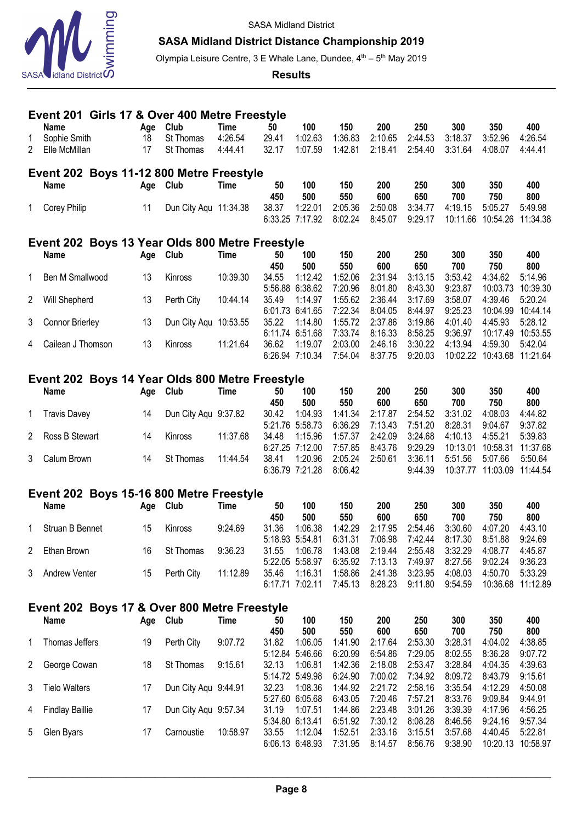

#### **SASA Midland District Distance Championship 2019**

Olympia Leisure Centre, 3 E Whale Lane, Dundee, 4<sup>th</sup> – 5<sup>th</sup> May 2019

#### **Results**

|                | Event 201 Girls 17 & Over 400 Metre Freestyle               |     |                       |             |                          |                            |                    |                    |                    |                    |                    |                    |
|----------------|-------------------------------------------------------------|-----|-----------------------|-------------|--------------------------|----------------------------|--------------------|--------------------|--------------------|--------------------|--------------------|--------------------|
|                | <b>Name</b>                                                 | Age | Club                  | <b>Time</b> | 50                       | 100                        | 150                | 200                | 250                | 300                | 350                | 400                |
| 1              | Sophie Smith                                                | 18  | St Thomas             | 4:26.54     | 29.41                    | 1:02.63                    | 1:36.83            | 2:10.65            | 2:44.53            | 3:18.37            | 3:52.96            | 4:26.54            |
| $\overline{2}$ | Elle McMillan                                               | 17  | St Thomas             | 4:44.41     | 32.17                    | 1:07.59                    | 1:42.81            | 2:18.41            | 2:54.40            | 3:31.64            | 4:08.07            | 4:44.41            |
|                |                                                             |     |                       |             |                          |                            |                    |                    |                    |                    |                    |                    |
|                | Event 202 Boys 11-12 800 Metre Freestyle                    |     |                       |             |                          |                            |                    |                    |                    |                    |                    |                    |
|                | <b>Name</b>                                                 | Age | Club                  | <b>Time</b> | 50                       | 100                        | 150                | 200                | 250                | 300                | 350                | 400                |
|                |                                                             |     |                       |             | 450<br>38.37             | 500<br>1:22.01             | 550<br>2:05.36     | 600<br>2:50.08     | 650<br>3:34.77     | 700<br>4:19.15     | 750<br>5:05.27     | 800<br>5:49.98     |
| 1              | <b>Corey Philip</b>                                         | 11  | Dun City Aqu 11:34.38 |             | 6:33.25 7:17.92          |                            | 8:02.24            | 8:45.07            | 9:29.17            | 10:11.66           | 10:54.26           | 11:34.38           |
|                |                                                             |     |                       |             |                          |                            |                    |                    |                    |                    |                    |                    |
|                | Event 202 Boys 13 Year Olds 800 Metre Freestyle             |     |                       |             |                          |                            |                    |                    |                    |                    |                    |                    |
|                | <b>Name</b>                                                 | Age | Club                  | <b>Time</b> | 50                       | 100                        | 150                | 200                | 250                | 300                | 350                | 400                |
| 1              | Ben M Smallwood                                             | 13  | Kinross               | 10:39.30    | 450<br>34.55             | 500<br>1:12.42             | 550<br>1:52.06     | 600<br>2:31.94     | 650<br>3:13.15     | 700<br>3:53.42     | 750<br>4:34.62     | 800<br>5:14.96     |
|                |                                                             |     |                       |             | 5:56.88 6:38.62          |                            | 7:20.96            | 8:01.80            | 8:43.30            | 9:23.87            | 10:03.73           | 10:39.30           |
| 2              | Will Shepherd                                               | 13  | Perth City            | 10:44.14    | 35.49                    | 1:14.97                    | 1:55.62            | 2:36.44            | 3:17.69            | 3:58.07            | 4:39.46            | 5:20.24            |
|                |                                                             |     |                       |             | 6:01.73 6:41.65          |                            | 7:22.34            | 8:04.05            | 8:44.97            | 9:25.23            | 10:04.99           | 10:44.14           |
| 3              | <b>Connor Brierley</b>                                      | 13  | Dun City Aqu 10:53.55 |             | 35.22                    | 1:14.80                    | 1:55.72            | 2:37.86            | 3:19.86            | 4:01.40            | 4:45.93            | 5:28.12            |
|                |                                                             |     |                       |             | 6:11.74 6:51.68          |                            | 7:33.74            | 8:16.33            | 8:58.25            | 9:36.97            | 10:17.49           | 10:53.55           |
| 4              | Cailean J Thomson                                           | 13  | Kinross               | 11:21.64    | 36.62                    | 1:19.07                    | 2:03.00            | 2:46.16            | 3:30.22            | 4:13.94            | 4:59.30            | 5:42.04            |
|                |                                                             |     |                       |             | 6:26.94 7:10.34          |                            | 7:54.04            | 8:37.75            | 9:20.03            | 10:02.22           | 10:43.68           | 11:21.64           |
|                | Event 202 Boys 14 Year Olds 800 Metre Freestyle             |     |                       |             |                          |                            |                    |                    |                    |                    |                    |                    |
|                |                                                             |     |                       |             |                          |                            |                    |                    |                    |                    |                    |                    |
|                |                                                             |     |                       |             |                          |                            |                    |                    |                    |                    |                    |                    |
|                | <b>Name</b>                                                 | Age | Club                  | <b>Time</b> | 50                       | 100                        | 150                | 200                | 250                | 300                | 350                | 400                |
|                |                                                             |     |                       |             | 450                      | 500                        | 550                | 600                | 650                | 700                | 750                | 800                |
| 1              | <b>Travis Davey</b>                                         | 14  | Dun City Aqu 9:37.82  |             | 30.42<br>5:21.76 5:58.73 | 1:04.93                    | 1:41.34<br>6:36.29 | 2:17.87<br>7:13.43 | 2:54.52<br>7:51.20 | 3:31.02<br>8:28.31 | 4:08.03<br>9:04.67 | 4:44.82<br>9:37.82 |
| 2              | Ross B Stewart                                              | 14  | Kinross               | 11:37.68    | 34.48                    | 1:15.96                    | 1:57.37            | 2:42.09            | 3:24.68            | 4:10.13            | 4:55.21            | 5:39.83            |
|                |                                                             |     |                       |             | 6:27.25 7:12.00          |                            | 7:57.85            | 8:43.76            | 9:29.29            | 10:13.01           | 10:58.31           | 11:37.68           |
| 3              | Calum Brown                                                 | 14  | St Thomas             | 11:44.54    | 38.41                    | 1:20.96                    | 2:05.24            | 2:50.61            | 3:36.11            | 5:51.56            | 5:07.66            | 5:50.64            |
|                |                                                             |     |                       |             | 6:36.79 7:21.28          |                            | 8:06.42            |                    | 9:44.39            | 10:37.77           | 11:03.09           | 11:44.54           |
|                |                                                             |     |                       |             |                          |                            |                    |                    |                    |                    |                    |                    |
|                | Event 202 Boys 15-16 800 Metre Freestyle                    |     |                       |             |                          |                            |                    |                    |                    |                    |                    |                    |
|                | <b>Name</b>                                                 | Age | Club                  | Time        | 50                       | 100                        | 150                | 200                | 250                | 300                | 350                | 400                |
| 1              |                                                             |     |                       |             | 450                      | 500<br>1:06.38             | 550                | 600                | 650<br>2:54.46     | 700                | 750                | 800                |
|                | Struan B Bennet                                             | 15  | Kinross               | 9:24.69     | 31.36                    |                            | 1:42.29<br>6:31.31 | 2:17.95<br>7:06.98 | 7:42.44            | 3:30.60<br>8:17.30 | 4:07.20<br>8:51.88 | 4:43.10<br>9:24.69 |
| 2              | Ethan Brown                                                 | 16  | St Thomas             | 9:36.23     | 5:18.93 5:54.81<br>31.55 | 1:06.78                    | 1:43.08            | 2:19.44            | 2:55.48            | 3:32.29            | 4:08.77            | 4:45.87            |
|                |                                                             |     |                       |             | 5:22.05 5:58.97          |                            | 6:35.92            | 7:13.13            | 7:49.97            | 8:27.56            | 9:02.24            | 9:36.23            |
| 3              | Andrew Venter                                               | 15  | Perth City            | 11:12.89    | 35.46                    | 1:16.31                    | 1:58.86            | 2:41.38            | 3:23.95            | 4:08.03            | 4:50.70            | 5:33.29            |
|                |                                                             |     |                       |             | 6:17.71 7:02.11          |                            | 7:45.13            | 8:28.23            | 9:11.80            | 9:54.59            |                    | 10:36.68 11:12.89  |
|                |                                                             |     |                       |             |                          |                            |                    |                    |                    |                    |                    |                    |
|                | Event 202 Boys 17 & Over 800 Metre Freestyle<br><b>Name</b> |     |                       | <b>Time</b> | 50                       | 100                        |                    |                    |                    |                    |                    | 400                |
|                |                                                             |     | Age Club              |             | 450                      | 500                        | 150<br>550         | 200<br>600         | 250<br>650         | 300<br>700         | 350<br>750         | 800                |
| 1              | Thomas Jeffers                                              | 19  | Perth City            | 9:07.72     | 31.82                    | 1:06.05                    | 1:41.90            | 2:17.64            | 2:53.30            | 3:28.31            | 4:04.02            | 4:38.85            |
|                | George Cowan                                                |     | St Thomas             | 9:15.61     | 32.13                    | 5:12.84 5:46.66<br>1:06.81 | 6:20.99<br>1:42.36 | 6:54.86<br>2:18.08 | 7:29.05<br>2:53.47 | 8:02.55<br>3:28.84 | 8:36.28            | 9:07.72<br>4:39.63 |

3 Tielo Walters 17 Dun City Aqu 9:44.91 32.23 1:08.36 1:44.92 2:21.72 2:58.16 3:35.54 4:12.29 4:50.08

4 Findlay Baillie 17 Dun City Aqu 9:57.34 31.19 1:07.51 1:44.86 2:23.48 3:01.26 3:39.39 4:17.96 4:56.25

5 Glen Byars 17 Carnoustie 10:58.97 33.55 1:12.04 1:52.51 2:33.16 3:15.51 3:57.68 4:40.45 5:22.81

5:14.72 5:49.98 6:24.90 7:00.02 7:34.92 8:09.72 8:43.79 9:15.61

5:27.60 6:05.68 6:43.05 7:20.46 7:57.21 8:33.76 9:09.84 9:44.91

5:34.80 6:13.41 6:51.92 7:30.12 8:08.28 8:46.56 9:24.16 9:57.34

6:06.13 6:48.93 7:31.95 8:14.57 8:56.76 9:38.90 10:20.13 10:58.97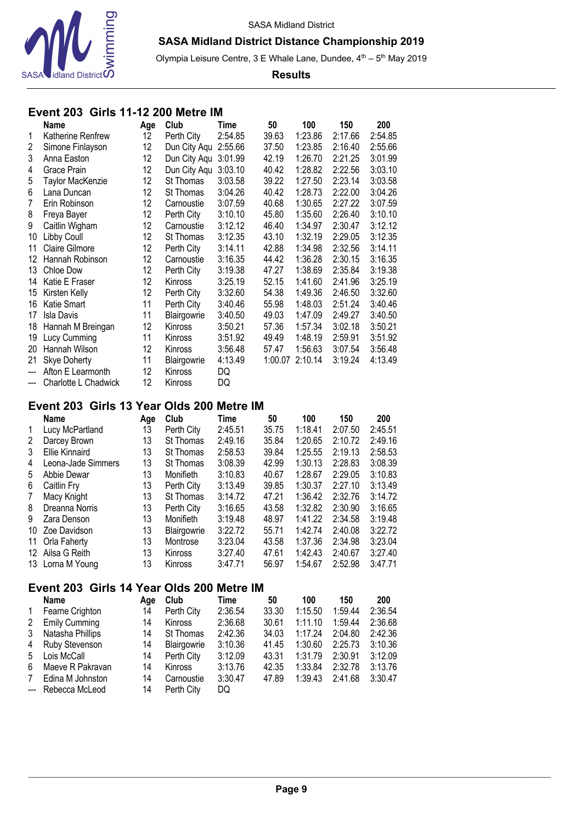

Olympia Leisure Centre, 3 E Whale Lane, Dundee, 4<sup>th</sup> – 5<sup>th</sup> May 2019

#### **Results**

## **Event 203 Girls 11-12 200 Metre IM**

|                          | <b>Name</b>           | Age             | Club           | Time    | 50    | 100             | 150     | 200     |
|--------------------------|-----------------------|-----------------|----------------|---------|-------|-----------------|---------|---------|
| 1                        | Katherine Renfrew     | 12              | Perth City     | 2:54.85 | 39.63 | 1:23.86         | 2:17.66 | 2:54.85 |
| 2                        | Simone Finlayson      | 12 <sup>°</sup> | Dun City Aqu   | 2:55.66 | 37.50 | 1:23.85         | 2:16.40 | 2:55.66 |
| 3                        | Anna Easton           | 12              | Dun City Aqu   | 3:01.99 | 42.19 | 1:26.70         | 2:21.25 | 3:01.99 |
| 4                        | Grace Prain           | 12              | Dun City Aqu   | 3:03.10 | 40.42 | 1:28.82         | 2:22.56 | 3:03.10 |
| 5                        | Taylor MacKenzie      | 12              | St Thomas      | 3:03.58 | 39.22 | 1:27.50         | 2:23.14 | 3:03.58 |
| 6                        | Lana Duncan           | 12              | St Thomas      | 3:04.26 | 40.42 | 1:28.73         | 2:22.00 | 3:04.26 |
| 7                        | Erin Robinson         | 12              | Carnoustie     | 3:07.59 | 40.68 | 1:30.65         | 2:27.22 | 3:07.59 |
| 8                        | Freya Bayer           | 12              | Perth City     | 3:10.10 | 45.80 | 1:35.60         | 2:26.40 | 3:10.10 |
| 9                        | Caitlin Wigham        | 12              | Carnoustie     | 3:12.12 | 46.40 | 1:34.97         | 2:30.47 | 3:12.12 |
| 10                       | Libby Coull           | 12              | St Thomas      | 3:12.35 | 43.10 | 1:32.19         | 2:29.05 | 3:12.35 |
| 11                       | <b>Claire Gilmore</b> | 12              | Perth City     | 3:14.11 | 42.88 | 1:34.98         | 2:32.56 | 3:14.11 |
| 12                       | Hannah Robinson       | 12              | Carnoustie     | 3:16.35 | 44.42 | 1:36.28         | 2:30.15 | 3:16.35 |
| 13                       | Chloe Dow             | 12              | Perth City     | 3:19.38 | 47.27 | 1:38.69         | 2:35.84 | 3:19.38 |
| 14                       | Katie E Fraser        | 12              | <b>Kinross</b> | 3:25.19 | 52.15 | 1:41.60         | 2:41.96 | 3:25.19 |
| 15                       | Kirsten Kelly         | 12              | Perth City     | 3:32.60 | 54.38 | 1:49.36         | 2:46.50 | 3:32.60 |
| 16                       | Katie Smart           | 11              | Perth City     | 3:40.46 | 55.98 | 1:48.03         | 2:51.24 | 3:40.46 |
| 17                       | Isla Davis            | 11              | Blairgowrie    | 3:40.50 | 49.03 | 1:47.09         | 2:49.27 | 3:40.50 |
| 18                       | Hannah M Breingan     | 12              | <b>Kinross</b> | 3:50.21 | 57.36 | 1:57.34         | 3:02.18 | 3:50.21 |
| 19                       | Lucy Cumming          | 11              | Kinross        | 3:51.92 | 49.49 | 1:48.19         | 2:59.91 | 3:51.92 |
| 20                       | Hannah Wilson         | 12              | Kinross        | 3:56.48 | 57.47 | 1:56.63         | 3:07.54 | 3:56.48 |
| 21                       | <b>Skye Doherty</b>   | 11              | Blairgowrie    | 4:13.49 |       | 1:00.07 2:10.14 | 3:19.24 | 4:13.49 |
| $\overline{a}$           | Afton E Learmonth     | 12              | Kinross        | DQ      |       |                 |         |         |
| $\overline{\phantom{a}}$ | Charlotte L Chadwick  | 12              | Kinross        | DQ      |       |                 |         |         |

# **Event 203 Girls 13 Year Olds 200 Metre IM**

|              | <b>Name</b>        | Age | Club        | Time    | 50    | 100     | 150     | 200     |
|--------------|--------------------|-----|-------------|---------|-------|---------|---------|---------|
| $\mathbf{1}$ | Lucy McPartland    | 13  | Perth City  | 2:45.51 | 35.75 | 1:18.41 | 2:07.50 | 2:45.51 |
| 2            | Darcey Brown       | 13  | St Thomas   | 2:49.16 | 35.84 | 1:20.65 | 2:10.72 | 2:49.16 |
| 3            | Ellie Kinnaird     | 13  | St Thomas   | 2:58.53 | 39.84 | 1:25.55 | 2:19.13 | 2:58.53 |
| 4            | Leona-Jade Simmers | 13  | St Thomas   | 3:08.39 | 42.99 | 1:30.13 | 2:28.83 | 3:08.39 |
| 5            | Abbie Dewar        | 13  | Monifieth   | 3:10.83 | 40.67 | 1:28.67 | 2:29.05 | 3:10.83 |
| 6            | Caitlin Fry        | 13  | Perth City  | 3:13.49 | 39.85 | 1:30.37 | 2:27.10 | 3:13.49 |
| 7            | Macy Knight        | 13  | St Thomas   | 3:14.72 | 47.21 | 1:36.42 | 2:32.76 | 3:14.72 |
| 8            | Dreanna Norris     | 13  | Perth City  | 3:16.65 | 43.58 | 1:32.82 | 2:30.90 | 3:16.65 |
| 9            | Zara Denson        | 13  | Monifieth   | 3:19.48 | 48.97 | 1:41.22 | 2:34.58 | 3:19.48 |
| 10           | Zoe Davidson       | 13  | Blairgowrie | 3:22.72 | 55.71 | 1:42.74 | 2:40.08 | 3:22.72 |
| 11           | Orla Faherty       | 13  | Montrose    | 3:23.04 | 43.58 | 1:37.36 | 2:34.98 | 3:23.04 |
| 12           | Ailsa G Reith      | 13  | Kinross     | 3:27.40 | 47.61 | 1:42.43 | 2:40.67 | 3:27.40 |
|              | 13 Lorna M Young   | 13  | Kinross     | 3:47.71 | 56.97 | 1:54.67 | 2:52.98 | 3:47.71 |

## **Event 203 Girls 14 Year Olds 200 Metre IM**

|                | <b>Name</b>          | Aae | Club           | Time    | 50    | 100     | 150     | 200     |
|----------------|----------------------|-----|----------------|---------|-------|---------|---------|---------|
| $\mathbf{1}$   | Fearne Crighton      | 14  | Perth City     | 2:36.54 | 33.30 | 1:15.50 | 1:59.44 | 2:36.54 |
| $2^{\circ}$    | <b>Emily Cumming</b> | 14  | Kinross        | 2:36.68 | 30.61 | 1:11.10 | 1:59.44 | 2:36.68 |
| 3              | Natasha Phillips     | 14  | St Thomas      | 2:42.36 | 34.03 | 1:17.24 | 2:04.80 | 2:42.36 |
| 4              | Ruby Stevenson       | 14  | Blairgowrie    | 3:10.36 | 41.45 | 1:30.60 | 2:25.73 | 3:10.36 |
| 5              | Lois McCall          | 14  | Perth City     | 3:12.09 | 43.31 | 1:31.79 | 2:30.91 | 3:12.09 |
| 6              | Maeve R Pakravan     | 14  | <b>Kinross</b> | 3:13.76 | 42.35 | 1:33.84 | 2:32.78 | 3:13.76 |
| $\overline{7}$ | Edina M Johnston     | 14  | Carnoustie     | 3:30.47 | 47.89 | 1:39.43 | 2:41.68 | 3:30.47 |
|                | --- Rebecca McLeod   | 14  | Perth City     | DQ      |       |         |         |         |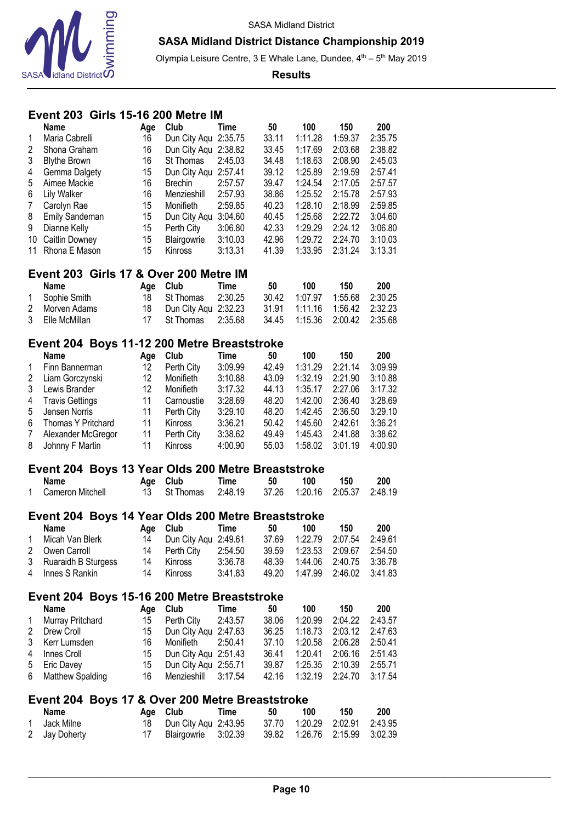



Olympia Leisure Centre, 3 E Whale Lane, Dundee, 4<sup>th</sup> – 5<sup>th</sup> May 2019

#### **Results**

## **Event 203 Girls 15-16 200 Metre IM**

|                     | <b>Name</b>                                        | Age      | Club                                | Time               | 50             | 100                | 150                | 200                |
|---------------------|----------------------------------------------------|----------|-------------------------------------|--------------------|----------------|--------------------|--------------------|--------------------|
| 1                   | Maria Cabrelli                                     | 16       | Dun City Aqu 2:35.75                |                    | 33.11          | 1:11.28            | 1:59.37            | 2:35.75            |
| $\overline{2}$      | Shona Graham                                       | 16       | Dun City Aqu 2:38.82                |                    | 33.45          | 1:17.69            | 2:03.68            | 2:38.82            |
| 3                   | <b>Blythe Brown</b>                                | 16       | St Thomas                           | 2:45.03            | 34.48          | 1:18.63            | 2:08.90            | 2:45.03            |
| 4                   | Gemma Dalgety                                      | 15       | Dun City Aqu                        | 2:57.41            | 39.12          | 1:25.89            | 2:19.59            | 2:57.41            |
| 5                   | Aimee Mackie                                       | 16       | <b>Brechin</b>                      | 2:57.57            | 39.47          | 1:24.54            | 2:17.05            | 2:57.57            |
| 6                   | Lily Walker                                        | 16       | Menzieshill                         | 2:57.93            | 38.86          | 1:25.52            | 2:15.78            | 2:57.93            |
|                     |                                                    |          |                                     |                    |                |                    |                    |                    |
| $\overline{7}$      | Carolyn Rae                                        | 15       | Monifieth                           | 2:59.85            | 40.23          | 1:28.10            | 2:18.99            | 2:59.85            |
| 8                   | Emily Sandeman                                     | 15       | Dun City Aqu                        | 3:04.60            | 40.45          | 1:25.68            | 2:22.72            | 3:04.60            |
| 9                   | Dianne Kelly                                       | 15       | Perth City                          | 3:06.80            | 42.33          | 1:29.29            | 2:24.12            | 3:06.80            |
| 10                  | Caitlin Downey                                     | 15       | Blairgowrie                         | 3:10.03            | 42.96          | 1:29.72            | 2:24.70            | 3:10.03            |
| 11                  | Rhona E Mason                                      | 15       | Kinross                             | 3:13.31            | 41.39          | 1:33.95            | 2:31.24            | 3:13.31            |
|                     | Event 203 Girls 17 & Over 200 Metre IM             |          |                                     |                    |                |                    |                    |                    |
|                     | Name                                               | Age      | Club                                | <b>Time</b>        | 50             | 100                | 150                | 200                |
|                     |                                                    | 18       | St Thomas                           | 2:30.25            | 30.42          | 1:07.97            | 1:55.68            | 2:30.25            |
| 1                   | Sophie Smith                                       |          |                                     |                    |                |                    |                    |                    |
| $\overline{2}$      | Morven Adams                                       | 18       | Dun City Aqu 2:32.23                |                    | 31.91          | 1:11.16            | 1:56.42            | 2:32.23            |
| 3                   | Elle McMillan                                      | 17       | St Thomas                           | 2:35.68            | 34.45          | 1:15.36            | 2:00.42            | 2:35.68            |
|                     | Event 204 Boys 11-12 200 Metre Breaststroke        |          |                                     |                    |                |                    |                    |                    |
|                     | <b>Name</b>                                        | Age      | Club                                | <b>Time</b>        | 50             | 100                | 150                | 200                |
| 1                   | Finn Bannerman                                     | 12       | Perth City                          | 3:09.99            | 42.49          | 1:31.29            | 2:21.14            | 3:09.99            |
| $\overline{2}$      | Liam Gorczynski                                    | 12       | Monifieth                           | 3:10.88            | 43.09          | 1:32.19            | 2:21.90            | 3:10.88            |
| 3                   | Lewis Brander                                      | 12       | Monifieth                           | 3:17.32            | 44.13          | 1:35.17            | 2:27.06            | 3:17.32            |
|                     |                                                    |          |                                     |                    |                | 1:42.00            |                    |                    |
| 4                   | <b>Travis Gettings</b>                             | 11       | Carnoustie                          | 3:28.69            | 48.20          |                    | 2:36.40            | 3:28.69            |
| 5                   | Jensen Norris                                      | 11       | Perth City                          | 3:29.10            | 48.20          | 1:42.45            | 2:36.50            | 3:29.10            |
| 6                   | Thomas Y Pritchard                                 | 11       | Kinross                             | 3:36.21            | 50.42          | 1:45.60            | 2:42.61            | 3:36.21            |
| 7                   | Alexander McGregor                                 | 11       | Perth City                          | 3:38.62            | 49.49          | 1:45.43            | 2:41.88            | 3:38.62            |
| 8                   | Johnny F Martin                                    | 11       |                                     | 4:00.90            |                | 1:58.02            | 3:01.19            |                    |
|                     |                                                    |          | Kinross                             |                    | 55.03          |                    |                    | 4:00.90            |
|                     |                                                    |          |                                     |                    |                |                    |                    |                    |
|                     | Event 204 Boys 13 Year Olds 200 Metre Breaststroke |          |                                     |                    |                |                    |                    |                    |
| 1                   | <b>Name</b>                                        | Age      | Club                                | <b>Time</b>        | 50             | 100                | 150                | 200                |
|                     | Cameron Mitchell                                   | 13       | St Thomas                           | 2:48.19            | 37.26          | 1:20.16            | 2:05.37            | 2:48.19            |
|                     | Event 204 Boys 14 Year Olds 200 Metre Breaststroke |          |                                     |                    |                |                    |                    |                    |
|                     | <b>Name</b>                                        | Age      | Club                                | <b>Time</b>        | 50             | 100                | 150                | 200                |
| 1                   | Micah Van Blerk                                    | 14       |                                     | 2:49.61            | 37.69          | 1:22.79            | 2:07.54            | 2:49.61            |
| $\overline{2}$      |                                                    | 14       | Dun City Aqu                        | 2:54.50            |                | 1:23.53            |                    | 2:54.50            |
|                     | Owen Carroll                                       |          | Perth City                          |                    | 39.59          |                    | 2:09.67            |                    |
| 3<br>4              | Ruaraidh B Sturgess<br>Innes S Rankin              | 14<br>14 | Kinross<br>Kinross                  | 3:36.78<br>3:41.83 | 48.39<br>49.20 | 1:44.06<br>1:47.99 | 2:40.75<br>2:46.02 | 3:36.78<br>3:41.83 |
|                     |                                                    |          |                                     |                    |                |                    |                    |                    |
|                     | Event 204 Boys 15-16 200 Metre Breaststroke        |          |                                     |                    |                |                    |                    |                    |
|                     | <b>Name</b>                                        | Age      | Club                                | <b>Time</b>        | 50             | 100                | 150                | 200                |
| 1                   | Murray Pritchard                                   | 15       | Perth City                          | 2:43.57            | 38.06          | 1:20.99            | 2:04.22            | 2:43.57            |
| $\overline{c}$      | Drew Croll                                         | 15       | Dun City Aqu 2:47.63                |                    | 36.25          | 1:18.73            | 2:03.12            | 2:47.63            |
| 3                   | Kerr Lumsden                                       | 16       | Monifieth                           | 2:50.41            | 37.10          | 1:20.58            | 2:06.28            | 2:50.41            |
| 4                   | Innes Croll                                        | 15       | Dun City Aqu 2:51.43                |                    | 36.41          | 1:20.41            | 2:06.16            | 2:51.43            |
| 5                   | Eric Davey                                         | 15       | Dun City Agu 2:55.71                |                    | 39.87          | 1:25.35            | 2:10.39            | 2:55.71            |
| 6                   | Matthew Spalding                                   | 16       | Menzieshill                         | 3:17.54            | 42.16          | 1:32.19            | 2:24.70            | 3:17.54            |
|                     |                                                    |          |                                     |                    |                |                    |                    |                    |
|                     | Event 204 Boys 17 & Over 200 Metre Breaststroke    |          |                                     |                    |                |                    |                    |                    |
|                     | Name                                               | Age      | Club                                | <b>Time</b>        | 50             | 100                | 150                | 200                |
| 1<br>$\overline{2}$ | Jack Milne<br>Jay Doherty                          | 18<br>17 | Dun City Aqu 2:43.95<br>Blairgowrie | 3:02.39            | 37.70<br>39.82 | 1:20.29<br>1:26.76 | 2:02.91<br>2:15.99 | 2:43.95<br>3:02.39 |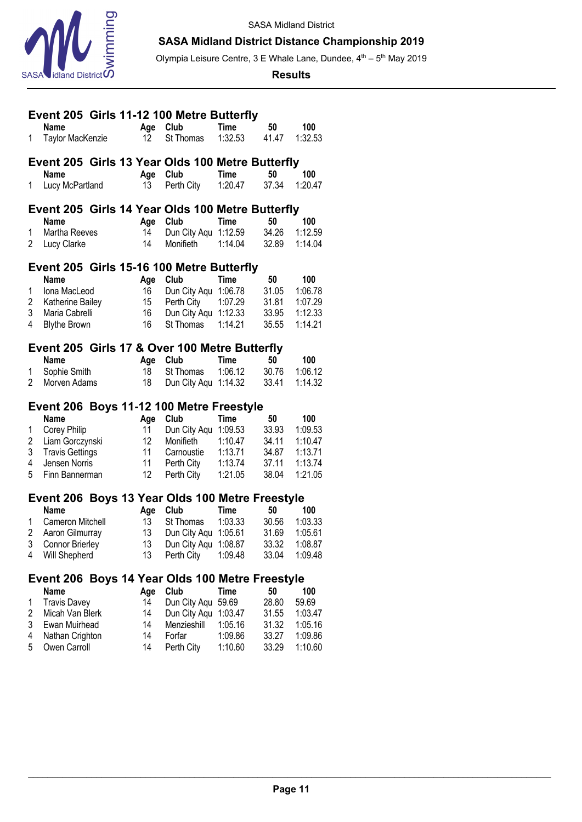



Olympia Leisure Centre, 3 E Whale Lane, Dundee, 4<sup>th</sup> – 5<sup>th</sup> May 2019

#### **Results**

|                | Event 205 Girls 11-12 100 Metre Butterfly        |                 |                      |             |       |         |
|----------------|--------------------------------------------------|-----------------|----------------------|-------------|-------|---------|
|                | <b>Name</b>                                      | Age             | Club                 | <b>Time</b> | 50    | 100     |
| 1              | Taylor MacKenzie                                 | 12              | St Thomas            | 1:32.53     | 41.47 | 1:32.53 |
|                |                                                  |                 |                      |             |       |         |
|                | Event 205 Girls 13 Year Olds 100 Metre Butterfly |                 |                      |             |       |         |
|                | <b>Name</b>                                      | Age             | Club                 | <b>Time</b> | 50    | 100     |
| 1              | Lucy McPartland                                  | 13              | Perth City           | 1:20.47     | 37.34 | 1:20.47 |
|                | Event 205 Girls 14 Year Olds 100 Metre Butterfly |                 |                      |             |       |         |
|                | <b>Name</b>                                      | Age             | Club                 | <b>Time</b> | 50    | 100     |
| 1              | Martha Reeves                                    | 14              | Dun City Aqu 1:12.59 |             | 34.26 | 1:12.59 |
| 2              | Lucy Clarke                                      | 14              | Monifieth            | 1:14.04     | 32.89 | 1:14.04 |
|                |                                                  |                 |                      |             |       |         |
|                | Event 205 Girls 15-16 100 Metre Butterfly        |                 |                      |             |       |         |
|                | <b>Name</b>                                      | Age             | Club                 | <b>Time</b> | 50    | 100     |
| 1              | Iona MacLeod                                     | 16              | Dun City Aqu 1:06.78 |             | 31.05 | 1:06.78 |
| 2              | Katherine Bailey                                 | 15              | Perth City 1:07.29   |             | 31.81 | 1:07.29 |
| 3              | Maria Cabrelli                                   | 16              | Dun City Aqu 1:12.33 |             | 33.95 | 1:12.33 |
| 4              | <b>Blythe Brown</b>                              | 16              | St Thomas            | 1:14.21     | 35.55 | 1:14.21 |
|                | Event 205 Girls 17 & Over 100 Metre Butterfly    |                 |                      |             |       |         |
|                | <b>Name</b>                                      | Age             | Club                 | <b>Time</b> | 50    | 100     |
| 1              | Sophie Smith                                     | 18              | St Thomas            | 1:06.12     | 30.76 | 1:06.12 |
| $\overline{2}$ | Morven Adams                                     | 18              | Dun City Aqu 1:14.32 |             | 33.41 | 1:14.32 |
|                |                                                  |                 |                      |             |       |         |
|                | Event 206 Boys 11-12 100 Metre Freestyle         |                 |                      |             |       |         |
|                | <b>Name</b>                                      | Age             | Club                 | <b>Time</b> | 50    | 100     |
| 1              | Corey Philip                                     | 11              | Dun City Aqu 1:09.53 |             | 33.93 | 1:09.53 |
| 2              | Liam Gorczynski                                  | 12 <sup>°</sup> | Monifieth            | 1:10.47     | 34.11 | 1:10.47 |
| 3              | <b>Travis Gettings</b>                           | 11              | Carnoustie           | 1:13.71     | 34.87 | 1:13.71 |
| 4              | Jensen Norris                                    | 11              | Perth City           | 1:13.74     | 37.11 | 1:13.74 |
| 5              | Finn Bannerman                                   | 12              | Perth City           | 1:21.05     | 38.04 | 1:21.05 |
|                | Event 206 Boys 13 Year Olds 100 Metre Freestyle  |                 |                      |             |       |         |
|                | <b>Name</b>                                      | Age             | Club                 | <b>Time</b> | 50    | 100     |
| 1              | Cameron Mitchell                                 | 13              | St Thomas            | 1:03.33     | 30.56 | 1:03.33 |
| 2              | Aaron Gilmurray                                  | 13              | Dun City Aqu 1:05.61 |             | 31.69 | 1:05.61 |
| 3              | Connor Brierley                                  | 13              | Dun City Aqu 1:08.87 |             | 33.32 | 1:08.87 |
| 4              | Will Shepherd                                    | 13              | Perth City           | 1:09.48     | 33.04 | 1:09.48 |
|                |                                                  |                 |                      |             |       |         |
|                | Event 206 Boys 14 Year Olds 100 Metre Freestyle  |                 |                      |             |       |         |
|                | <b>Name</b>                                      | Age             | Club                 | <b>Time</b> | 50    | 100     |
| 1              | <b>Travis Davey</b>                              | 14              | Dun City Aqu 59.69   |             | 28.80 | 59.69   |
| 2              | Micah Van Blerk                                  | 14              | Dun City Aqu         | 1:03.47     | 31.55 | 1:03.47 |
| 3              | Ewan Muirhead                                    | 14              | Menzieshill          | 1:05.16     | 31.32 | 1:05.16 |
| 4              | Nathan Crighton                                  | 14              | Forfar               | 1:09.86     | 33.27 | 1:09.86 |
| 5              | Owen Carroll                                     | 14              | Perth City           | 1:10.60     | 33.29 | 1:10.60 |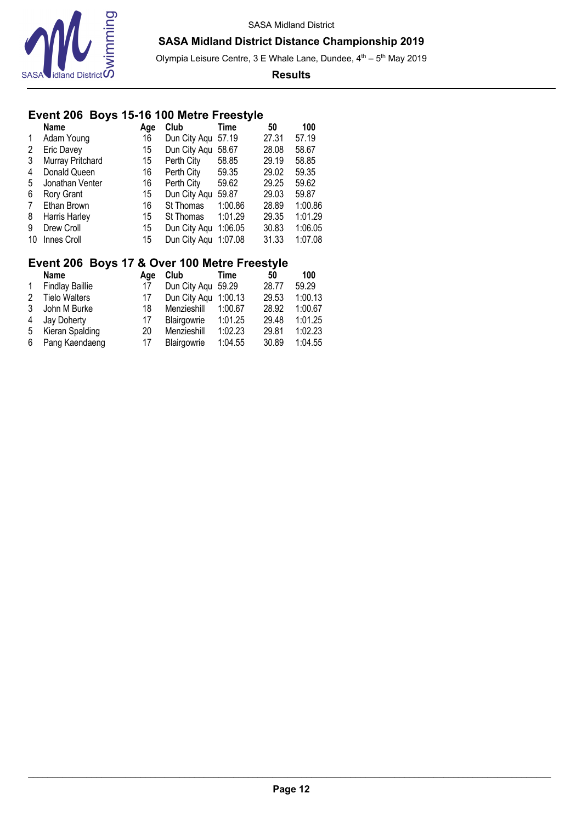

Olympia Leisure Centre, 3 E Whale Lane, Dundee,  $4<sup>th</sup> - 5<sup>th</sup>$  May 2019

#### **Results**

# **Event 206 Boys 15-16 100 Metre Freestyle**

|              | <b>Name</b>      | Age | Club         | Time    | 50    | 100     |
|--------------|------------------|-----|--------------|---------|-------|---------|
| $\mathbf{1}$ | Adam Young       | 16  | Dun City Aqu | 57.19   | 27.31 | 57.19   |
| 2            | Eric Davey       | 15  | Dun City Aqu | 58.67   | 28.08 | 58.67   |
| 3            | Murray Pritchard | 15  | Perth City   | 58.85   | 29.19 | 58.85   |
| 4            | Donald Queen     | 16  | Perth City   | 59.35   | 29.02 | 59.35   |
| 5            | Jonathan Venter  | 16  | Perth City   | 59.62   | 29.25 | 59.62   |
| 6            | Rory Grant       | 15  | Dun City Aqu | 59.87   | 29.03 | 59.87   |
| 7            | Ethan Brown      | 16  | St Thomas    | 1:00.86 | 28.89 | 1:00.86 |
| 8            | Harris Harley    | 15  | St Thomas    | 1:01.29 | 29.35 | 1:01.29 |
| 9            | Drew Croll       | 15  | Dun City Aqu | 1:06.05 | 30.83 | 1:06.05 |
| 10           | Innes Croll      | 15  | Dun City Aqu | 1:07.08 | 31.33 | 1:07.08 |

## **Event 206 Boys 17 & Over 100 Metre Freestyle**

|   | <b>Name</b>            | Aae | Club                 | Time    | 50    | 100     |
|---|------------------------|-----|----------------------|---------|-------|---------|
|   | <b>Findlay Baillie</b> | 17  | Dun City Agu 59.29   |         | 28.77 | 59.29   |
| 2 | <b>Tielo Walters</b>   | 17  | Dun City Agu 1:00.13 |         | 29.53 | 1:00.13 |
| 3 | John M Burke           | 18  | Menzieshill          | 1:00.67 | 28.92 | 1:00.67 |
| 4 | Jay Doherty            | 17  | Blairgowrie          | 1:01.25 | 29.48 | 1:01.25 |
| 5 | Kieran Spalding        | 20  | Menzieshill          | 1:02.23 | 29.81 | 1:02.23 |
| 6 | Pang Kaendaeng         | 17  | Blairgowrie          | 1:04.55 | 30.89 | 1:04.55 |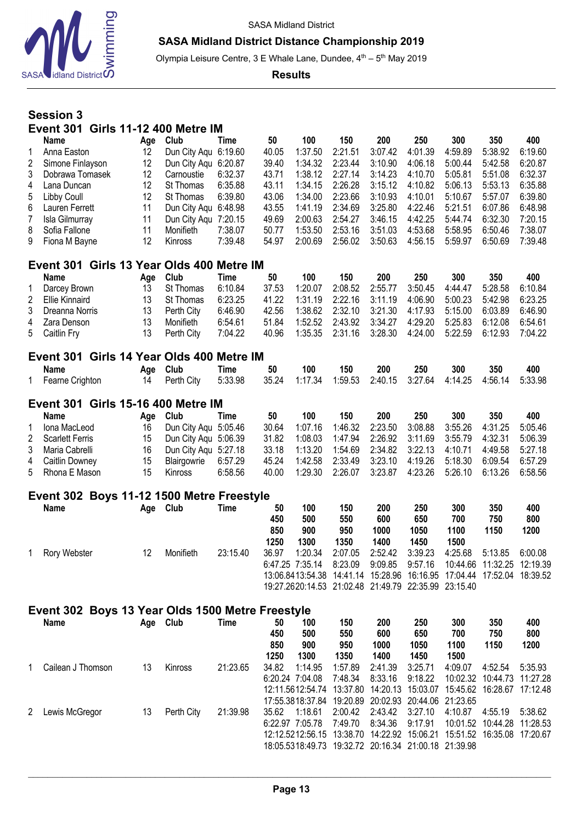

## **SASA Midland District Distance Championship 2019**

Olympia Leisure Centre, 3 E Whale Lane, Dundee, 4<sup>th</sup> – 5<sup>th</sup> May 2019

**Results**

# **Session 3 Event 301 Girls 11-12 400 Metre IM**

|              | Name                                         | Age | Club                            | Time    | 50    | 100     | 150     | 200     | 250     | 300     | 350     | 400     |  |  |
|--------------|----------------------------------------------|-----|---------------------------------|---------|-------|---------|---------|---------|---------|---------|---------|---------|--|--|
| 1            | Anna Easton                                  | 12  | Dun City Agu                    | 6:19.60 | 40.05 | 1:37.50 | 2:21.51 | 3:07.42 | 4:01.39 | 4:59.89 | 5:38.92 | 6:19.60 |  |  |
| 2            | Simone Finlayson                             | 12  | Dun City Aqu 6:20.87            |         | 39.40 | 1:34.32 | 2:23.44 | 3:10.90 | 4:06.18 | 5:00.44 | 5:42.58 | 6:20.87 |  |  |
| 3            | Dobrawa Tomasek                              | 12  | Carnoustie                      | 6:32.37 | 43.71 | 1:38.12 | 2:27.14 | 3:14.23 | 4:10.70 | 5:05.81 | 5:51.08 | 6:32.37 |  |  |
| 4            | Lana Duncan                                  | 12  | St Thomas                       | 6:35.88 | 43.11 | 1:34.15 | 2:26.28 | 3:15.12 | 4:10.82 | 5:06.13 | 5:53.13 | 6:35.88 |  |  |
| 5            | Libby Coull                                  | 12  | St Thomas                       | 6:39.80 | 43.06 | 1:34.00 | 2:23.66 | 3:10.93 | 4:10.01 | 5:10.67 | 5:57.07 | 6:39.80 |  |  |
| 6            | Lauren Ferrett                               | 11  | Dun City Aqu 6:48.98            |         | 43.55 | 1:41.19 | 2:34.69 | 3:25.80 | 4:22.46 | 5:21.51 | 6:07.86 | 6:48.98 |  |  |
|              | Isla Gilmurray                               | 11  | Dun City Agu                    | 7:20.15 | 49.69 | 2:00.63 | 2:54.27 | 3:46.15 | 4:42.25 | 5:44.74 | 6:32.30 | 7:20.15 |  |  |
| 8            | Sofia Fallone                                | 11  | Monifieth                       | 7:38.07 | 50.77 | 1:53.50 | 2:53.16 | 3:51.03 | 4:53.68 | 5:58.95 | 6:50.46 | 7:38.07 |  |  |
| 9            | Fiona M Bayne                                | 12  | <b>Kinross</b>                  | 7:39.48 | 54.97 | 2:00.69 | 2:56.02 | 3:50.63 | 4:56.15 | 5:59.97 | 6:50.69 | 7:39.48 |  |  |
|              | Girls 13 Year Olds 400 Metre IM<br>Event 301 |     |                                 |         |       |         |         |         |         |         |         |         |  |  |
|              |                                              |     |                                 |         |       |         |         |         |         |         |         |         |  |  |
|              | Name                                         | Age | Club                            | Time    | 50    | 100     | 150     | 200     | 250     | 300     | 350     | 400     |  |  |
|              | Darcey Brown                                 | 13  | St Thomas                       | 6:10.84 | 37.53 | 1:20.07 | 2:08.52 | 2:55.77 | 3:50.45 | 4:44.47 | 5:28.58 | 6:10.84 |  |  |
| 2            | Ellie Kinnaird                               | 13  | St Thomas                       | 6:23.25 | 41.22 | 1:31.19 | 2:22.16 | 3:11.19 | 4:06.90 | 5:00.23 | 5:42.98 | 6:23.25 |  |  |
| 3            | Dreanna Norris                               | 13  | Perth City                      | 6:46.90 | 42.56 | 1:38.62 | 2:32.10 | 3:21.30 | 4:17.93 | 5:15.00 | 6:03.89 | 6:46.90 |  |  |
| 4            | Zara Denson                                  | 13  | Monifieth                       | 6:54.61 | 51.84 | 1:52.52 | 2:43.92 | 3:34.27 | 4:29.20 | 5:25.83 | 6:12.08 | 6:54.61 |  |  |
| 5            | Caitlin Fry                                  | 13  | Perth City                      | 7:04.22 | 40.96 | 1:35.35 | 2:31.16 | 3:28.30 | 4:24.00 | 5:22.59 | 6:12.93 | 7:04.22 |  |  |
|              | Event 301                                    |     | Girls 14 Year Olds 400 Metre IM |         |       |         |         |         |         |         |         |         |  |  |
|              | <b>Name</b>                                  | Age | Club                            | Time    | 50    | 100     | 150     | 200     | 250     | 300     | 350     | 400     |  |  |
| $\mathbf{1}$ | Fearne Crighton                              | 14  | Perth City                      | 5:33.98 | 35.24 | 1:17.34 | 1:59.53 | 2:40.15 | 3:27.64 | 4:14.25 | 4:56.14 | 5:33.98 |  |  |

| Event 301 Girls 15-16 400 Metre IM |  |                         |         |       |                                                                      |     |            |     |     |                                                      |     |  |
|------------------------------------|--|-------------------------|---------|-------|----------------------------------------------------------------------|-----|------------|-----|-----|------------------------------------------------------|-----|--|
| Name                               |  | Age Club                | Time    | 50    | 100                                                                  | 150 | <b>200</b> | 250 | 300 | 350                                                  | 400 |  |
| 1 Iona MacLeod                     |  | 16 Dun City Agu 5:05.46 |         | 30.64 | 1:07.16                                                              |     |            |     |     | 1:46.32  2:23.50  3:08.88  3:55.26  4:31.25  5:05.46 |     |  |
| 2 Scarlett Ferris                  |  | 15 Dun City Agu 5:06.39 |         |       | 31.82  1:08.03  1:47.94  2:26.92  3:11.69  3:55.79  4:32.31  5:06.39 |     |            |     |     |                                                      |     |  |
| 3 Maria Cabrelli                   |  | 16 Dun City Agu 5:27.18 |         |       | 33.18  1:13.20  1:54.69  2:34.82  3:22.13  4:10.71  4:49.58  5:27.18 |     |            |     |     |                                                      |     |  |
| 4 Caitlin Downey                   |  | 15 Blairgowrie 6:57.29  |         |       | 45.24  1:42.58  2:33.49  3:23.10  4:19.26  5:18.30  6:09.54  6:57.29 |     |            |     |     |                                                      |     |  |
| 5 Rhona E Mason                    |  | 15 Kinross              | 6:58.56 |       | 40.00  1:29.30  2:26.07  3:23.87  4:23.26  5:26.10  6:13.26  6:58.56 |     |            |     |     |                                                      |     |  |

## **Event 302 Boys 11-12 1500 Metre Freestyle**

| <b>Name</b>  | Age | Club      | Time     | 50<br>450<br>850<br>1250 | 100<br>500<br>900<br>1300  | 150<br>550<br>950<br>1350                       | 200<br>600<br>1000<br>1400                                                                                           | 250<br>650<br>1050<br>1450 | 300<br>700<br>1100<br>1500 | 350<br>750<br>1150                    | 400<br>800<br>1200  |
|--------------|-----|-----------|----------|--------------------------|----------------------------|-------------------------------------------------|----------------------------------------------------------------------------------------------------------------------|----------------------------|----------------------------|---------------------------------------|---------------------|
| Rory Webster | 12  | Monifieth | 23:15.40 | 36.97                    | 1:20.34<br>6:47.25 7:35.14 | 2:07.05<br>8:23.09<br>13:06.8413:54.38 14:41.14 | 2:52.42<br>9:09.85<br>15:28.96  16:16.95  17:04.44  17:52.04<br>19:27.2620:14.53 21:02.48 21:49.79 22:35.99 23:15.40 | 3:39.23<br>9:57.16         | 4:25.68                    | 5:13.85<br>10:44.66 11:32.25 12:19.39 | 6:00.08<br>18:39.52 |

#### **Event 302 Boys 13 Year Olds 1500 Metre Freestyle Name Age Club Time 50 100 150 200 250 300 350 400 450 500 550 600 650 700 750 800 850 900 950 1000 1050 1100 1150 1200 1250 1300 1350 1400 1450 1500** 1 Cailean J Thomson 13 Kinross 21:23.65 34.82 1:14.95 1:57.89 2:41.39 3:25.71 4:09.07 4:52.54 5:35.93 6:20.24 7:04.08 7:48.34 8:33.16 9:18.22 10:02.32 10:44.73 11:27.28 12:11.5612:54.74 13:37.80 14:20.13 15:03.07 15:45.62 16:28.67 17:12.48 17:55.3818:37.84 19:20.89 20:02.93 20:44.06 21:23.65 2 Lewis McGregor 13 Perth City 21:39.98 35.62 1:18.61 2:00.42 2:43.42 3:27.10 4:10.87 4:55.19 5:38.62 6:22.97 7:05.78 7:49.70 8:34.36 9:17.91 10:01.52 10:44.28 11:28.53 12:12.5212:56.15 13:38.70 14:22.92 15:06.21 15:51.52 16:35.08 17:20.67 18:05.5318:49.73 19:32.72 20:16.34 21:00.18 21:39.98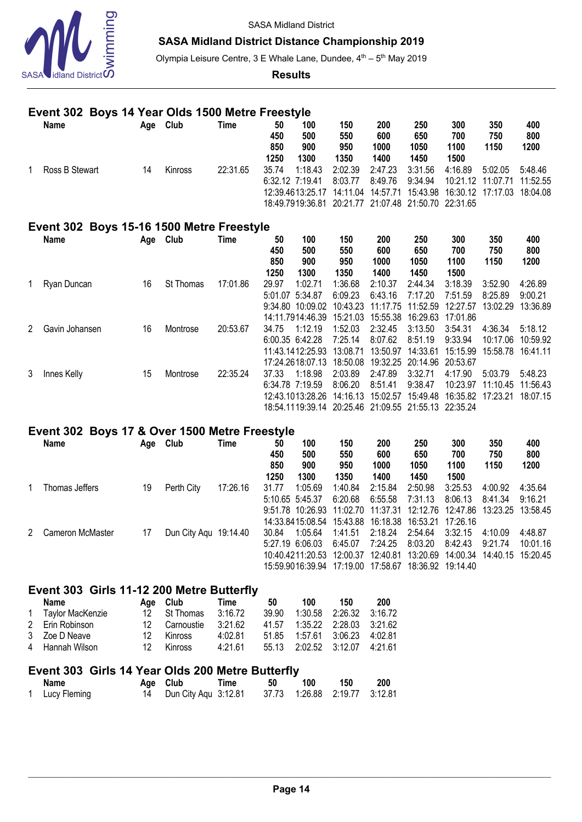

### **SASA Midland District Distance Championship 2019**

Olympia Leisure Centre, 3 E Whale Lane, Dundee, 4<sup>th</sup> - 5<sup>th</sup> May 2019

**Results**

## **Event 302 Boys 14 Year Olds 1500 Metre Freestyle**

| <b>Name</b>    | Age | Club           | Time     | 50              | 100     | 150                                                      | 200      | 250     | 300                                    | 350     | 400       |
|----------------|-----|----------------|----------|-----------------|---------|----------------------------------------------------------|----------|---------|----------------------------------------|---------|-----------|
|                |     |                |          | 450             | 500     | 550                                                      | 600      | 650     | 700                                    | 750     | 800       |
|                |     |                |          | 850             | 900     | 950                                                      | 1000     | 1050    | 1100                                   | 1150    | 1200      |
|                |     |                |          | 1250            | 1300    | 1350                                                     | 1400     | 1450    | 1500                                   |         |           |
| Ross B Stewart | 14  | <b>Kinross</b> | 22:31.65 | 35.74           | 1:18.43 | 2:02.39                                                  | 2:47.23  | 3:31.56 | 4:16.89                                | 5:02.05 | $-5.4846$ |
|                |     |                |          | 6:32.12 7:19.41 |         | 8:03.77                                                  | 8:49.76  | 9:34.94 | 10:21.12 11:07.71                      |         | 11:52.55  |
|                |     |                |          |                 |         | 12:39.4613:25.17 14:11.04                                | 14:57.71 |         | 15:43.98  16:30.12  17:17.03  18:04.08 |         |           |
|                |     |                |          |                 |         | 18:49.7919:36.81  20:21.77  21:07.48  21:50.70  22:31.65 |          |         |                                        |         |           |

# **Event 302 Boys 15-16 1500 Metre Freestyle**

|   | <b>Name</b>    | Age | Club             | Time     | 50      | 100                                                  | 150      | 200      | 250               | 300      | 350      | 400      |
|---|----------------|-----|------------------|----------|---------|------------------------------------------------------|----------|----------|-------------------|----------|----------|----------|
|   |                |     |                  |          | 450     | 500                                                  | 550      | 600      | 650               | 700      | 750      | 800      |
|   |                |     |                  |          | 850     | 900                                                  | 950      | 1000     | 1050              | 1100     | 1150     | 1200     |
|   |                |     |                  |          | 1250    | 1300                                                 | 1350     | 1400     | 1450              | 1500     |          |          |
|   | Ryan Duncan    | 16  | <b>St Thomas</b> | 17:01.86 | 29.97   | 1:02.71                                              | 1:36.68  | 2:10.37  | 2:44.34           | 3:18.39  | 3:52.90  | 4:26.89  |
|   |                |     |                  |          | 5:01.07 | 5:34.87                                              | 6:09.23  | 6:43.16  | 7:17.20           | 7:51.59  | 8:25.89  | 9:00.21  |
|   |                |     |                  |          | 9:34.80 | 10:09.02                                             | 10:43.23 | 11:17.75 | 11:52.59          | 12:27.57 | 13:02.29 | 13:36.89 |
|   |                |     |                  |          |         | 14:11.7914:46.39                                     | 15:21.03 | 15:55.38 | 16:29.63          | 17:01.86 |          |          |
| 2 | Gavin Johansen | 16  | Montrose         | 20:53.67 | 34.75   | 1:12.19                                              | 1:52.03  | 2:32.45  | 3:13.50           | 3:54.31  | 4:36.34  | 5:18.12  |
|   |                |     |                  |          |         | 6:00.35 6:42.28                                      | 7:25.14  | 8:07.62  | 8:51.19           | 9:33.94  | 10:17.06 | 10:59.92 |
|   |                |     |                  |          |         | 11:43.1412:25.93                                     | 13:08.71 | 13:50.97 | 14:33.61          | 15:15.99 | 15:58.78 | 16:41.11 |
|   |                |     |                  |          |         | 17:24.2618:07.13                                     | 18:50.08 |          | 19:32.25 20:14.96 | 20:53.67 |          |          |
| 3 | Innes Kelly    | 15  | Montrose         | 22:35.24 | 37.33   | 1:18.98                                              | 2:03.89  | 2:47.89  | 3:32.71           | 4:17.90  | 5:03.79  | 5:48.23  |
|   |                |     |                  |          |         | 6:34.78 7:19.59                                      | 8:06.20  | 8:51.41  | 9:38.47           | 10:23.97 | 11:10.45 | 11:56.43 |
|   |                |     |                  |          |         | 12:43.1013:28.26                                     | 14:16.13 | 15:02.57 | 15:49.48          | 16:35.82 | 17:23.21 | 18:07.15 |
|   |                |     |                  |          |         | 18:54.1119:39.14 20:25.46 21:09.55 21:55.13 22:35.24 |          |          |                   |          |          |          |

#### **Event 302 Boys 17 & Over 1500 Metre Freestyle**

| <b>Name</b>        | Age | Club                  | Time     | 50<br>450<br>850<br>1250 | 100<br>500<br>900<br>1300                                                            | 150<br>550<br>950<br>1350 | 200<br>600<br>1000<br>1400                 | 250<br>650<br>1050<br>1450                          | 300<br>700<br>1100<br>1500                                                                   | 350<br>750<br>1150 | 400<br>800<br>1200  |
|--------------------|-----|-----------------------|----------|--------------------------|--------------------------------------------------------------------------------------|---------------------------|--------------------------------------------|-----------------------------------------------------|----------------------------------------------------------------------------------------------|--------------------|---------------------|
| Thomas Jeffers     | 19  | Perth City            | 17:26.16 | 31.77                    | 1:05.69<br>5:10.65 5:45.37<br>14:33.8415:08.54 15:43.88                              | 1:40.84<br>6:20.68        | 2:15.84<br>6:55.58                         | 2:50.98<br>7:31.13<br>16:18.38  16:53.21  17:26.16  | 3:25.53<br>8:06.13<br>9:51.78 10:26.93 11:02.70 11:37.31 12:12.76 12:47.86 13:23.25 13:58.45 | 4:00.92<br>8:41.34 | 4:35.64<br>9:16.21  |
| 2 Cameron McMaster | 17  | Dun City Aqu 19:14.40 |          | 30.84                    | 1:05.64<br>5:27.19 6:06.03<br>10:40.4211:20.53 12:00.37<br>15:59.9016:39.94 17:19.00 | 1:41.51<br>6:45.07        | 2:18.24<br>7:24.25<br>12:40.81<br>17:58.67 | 2:54.64<br>8:03.20<br>13:20.69<br>18:36.92 19:14.40 | 3:32.15<br>8:42.43<br>14:00.34 14:40.15 15:20.45                                             | 4:10.09<br>9:21.74 | 4:48.87<br>10:01.16 |

#### **Event 303 Girls 11-12 200 Metre Butterfly**

| Name               | Age Club      | Time    | 50    | 100                           | 150                       | 200 |
|--------------------|---------------|---------|-------|-------------------------------|---------------------------|-----|
| 1 Taylor MacKenzie | 12 St Thomas  | 3:16.72 | 39.90 |                               | 1:30.58  2:26.32  3:16.72 |     |
| 2 Erin Robinson    | 12 Carnoustie | 3:21.62 |       | 41.57 1:35.22 2:28.03 3:21.62 |                           |     |
| 3 Zoe D Neave      | 12 Kinross    | 4:02.81 |       |                               |                           |     |
| 4 Hannah Wilson    | 12 Kinross    | 4:21.61 |       | 55.13 2:02.52 3:12.07 4:21.61 |                           |     |

## **Event 303 Girls 14 Year Olds 200 Metre Butterfly**

| <b>Name</b>    | Age Club                                              | Time | 50 | 100 | 150 | - 200 |
|----------------|-------------------------------------------------------|------|----|-----|-----|-------|
| 1 Lucy Fleming | 14 Dun City Aqu 3:12.81 37.73 1:26.88 2:19.77 3:12.81 |      |    |     |     |       |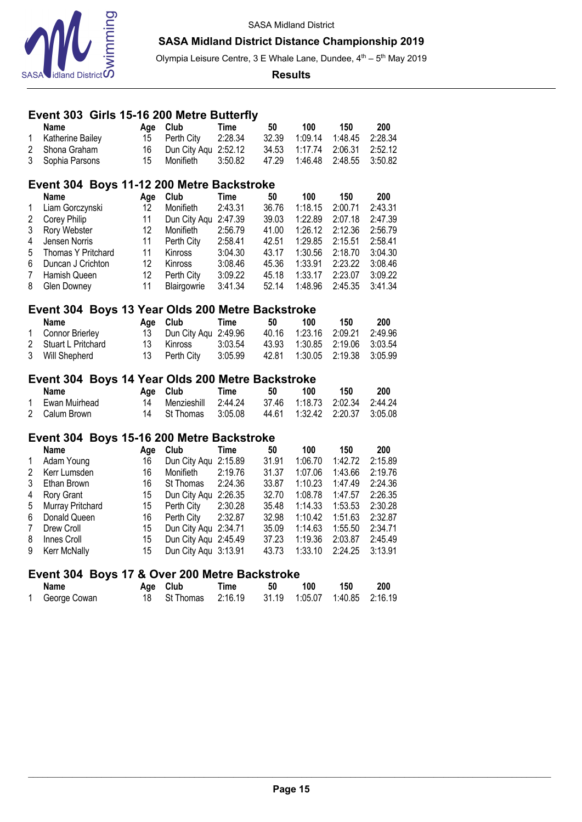

Olympia Leisure Centre, 3 E Whale Lane, Dundee, 4<sup>th</sup> - 5<sup>th</sup> May 2019

**Results**

#### **Event 303 Girls 15-16 200 Metre Butterfly**

|                | <b>Name</b>                                      | Age       | Club                 | Time        | 50    | 100     | 150     | 200     |
|----------------|--------------------------------------------------|-----------|----------------------|-------------|-------|---------|---------|---------|
| 1              | Katherine Bailey                                 | 15        | Perth City           | 2:28.34     | 32.39 | 1:09.14 | 1:48.45 | 2:28.34 |
| $\overline{2}$ | Shona Graham                                     | 16        | Dun City Aqu 2:52.12 |             | 34.53 | 1:17.74 | 2:06.31 | 2:52.12 |
| 3              | Sophia Parsons                                   | 15        | Monifieth            | 3:50.82     | 47.29 | 1:46.48 | 2:48.55 | 3:50.82 |
|                | Event 304 Boys 11-12 200 Metre Backstroke        |           |                      |             |       |         |         |         |
|                | <b>Name</b>                                      | Age       | Club                 | <b>Time</b> | 50    | 100     | 150     | 200     |
| $\mathbf 1$    | Liam Gorczynski                                  | 12        | Monifieth            | 2:43.31     | 36.76 | 1:18.15 | 2:00.71 | 2:43.31 |
| $\overline{c}$ | Corey Philip                                     | 11        | Dun City Aqu         | 2:47.39     | 39.03 | 1:22.89 | 2:07.18 | 2:47.39 |
| 3              | Rory Webster                                     | 12        | Monifieth            | 2:56.79     | 41.00 | 1:26.12 | 2:12.36 | 2:56.79 |
| 4              | Jensen Norris                                    | 11        | Perth City           | 2:58.41     | 42.51 | 1:29.85 | 2:15.51 | 2:58.41 |
| 5              | Thomas Y Pritchard                               | 11        | Kinross              | 3:04.30     | 43.17 | 1:30.56 | 2:18.70 | 3:04.30 |
| 6              |                                                  | 12        |                      | 3:08.46     | 45.36 | 1:33.91 | 2:23.22 | 3:08.46 |
| $\overline{7}$ | Duncan J Crichton                                | 12        | Kinross              |             |       |         |         |         |
|                | Hamish Queen                                     |           | Perth City           | 3:09.22     | 45.18 | 1:33.17 | 2:23.07 | 3:09.22 |
| 8              | <b>Glen Downey</b>                               | 11        | Blairgowrie          | 3:41.34     | 52.14 | 1:48.96 | 2:45.35 | 3:41.34 |
|                | Event 304 Boys 13 Year Olds 200 Metre Backstroke |           |                      |             |       |         |         |         |
|                | <b>Name</b>                                      | Age       | Club                 | <b>Time</b> | 50    | 100     | 150     | 200     |
| 1              | Connor Brierley                                  | 13        | Dun City Aqu         | 2:49.96     | 40.16 | 1:23.16 | 2:09.21 | 2:49.96 |
| $\overline{2}$ | Stuart L Pritchard                               | 13        | Kinross              | 3:03.54     | 43.93 | 1:30.85 | 2:19.06 | 3:03.54 |
| 3              | Will Shepherd                                    | 13        | Perth City           | 3:05.99     | 42.81 | 1:30.05 | 2:19.38 | 3:05.99 |
|                | Event 304 Boys 14 Year Olds 200 Metre Backstroke |           |                      |             |       |         |         |         |
|                | <b>Name</b>                                      |           | Club                 | <b>Time</b> | 50    | 100     | 150     | 200     |
| 1              | Ewan Muirhead                                    | Age<br>14 | Menzieshill          | 2:44.24     | 37.46 | 1:18.73 | 2:02.34 | 2:44.24 |
| $\overline{2}$ |                                                  | 14        |                      |             | 44.61 | 1:32.42 | 2:20.37 | 3:05.08 |
|                | Calum Brown                                      |           | St Thomas            | 3:05.08     |       |         |         |         |
|                | Event 304 Boys 15-16 200 Metre Backstroke        |           |                      |             |       |         |         |         |
|                | <b>Name</b>                                      | Age       | Club                 | <b>Time</b> | 50    | 100     | 150     | 200     |
| 1              | Adam Young                                       | 16        | Dun City Aqu         | 2:15.89     | 31.91 | 1:06.70 | 1:42.72 | 2:15.89 |
| $\overline{2}$ | Kerr Lumsden                                     | 16        | Monifieth            | 2:19.76     | 31.37 | 1:07.06 | 1:43.66 | 2:19.76 |
| 3              | Ethan Brown                                      | 16        | St Thomas            | 2:24.36     | 33.87 | 1:10.23 | 1:47.49 | 2:24.36 |
| 4              | Rory Grant                                       | 15        | Dun City Aqu 2:26.35 |             | 32.70 | 1:08.78 | 1:47.57 | 2:26.35 |
| 5              | Murray Pritchard                                 | 15        | Perth City           | 2:30.28     | 35.48 | 1:14.33 | 1:53.53 | 2:30.28 |
| 6              | Donald Queen                                     | 16        | Perth City           | 2:32.87     | 32.98 | 1:10.42 | 1:51.63 | 2:32.87 |
| $\overline{7}$ | Drew Croll                                       | 15        | Dun City Aqu 2:34.71 |             | 35.09 | 1:14.63 | 1:55.50 | 2:34.71 |
| 8              | Innes Croll                                      | 15        | Dun City Aqu 2:45.49 |             | 37.23 | 1:19.36 | 2:03.87 | 2:45.49 |
| 9              | Kerr McNally                                     | 15        | Dun City Aqu 3:13.91 |             | 43.73 | 1:33.10 | 2:24.25 | 3:13.91 |

#### **Event 304 Boys 17 & Over 200 Metre Backstroke**

| <b>Name</b>  | Age Club                                           | Time | 50 | 100 | 150 | 200 |
|--------------|----------------------------------------------------|------|----|-----|-----|-----|
| George Cowan | 18 St Thomas 2:16.19 31.19 1:05.07 1:40.85 2:16.19 |      |    |     |     |     |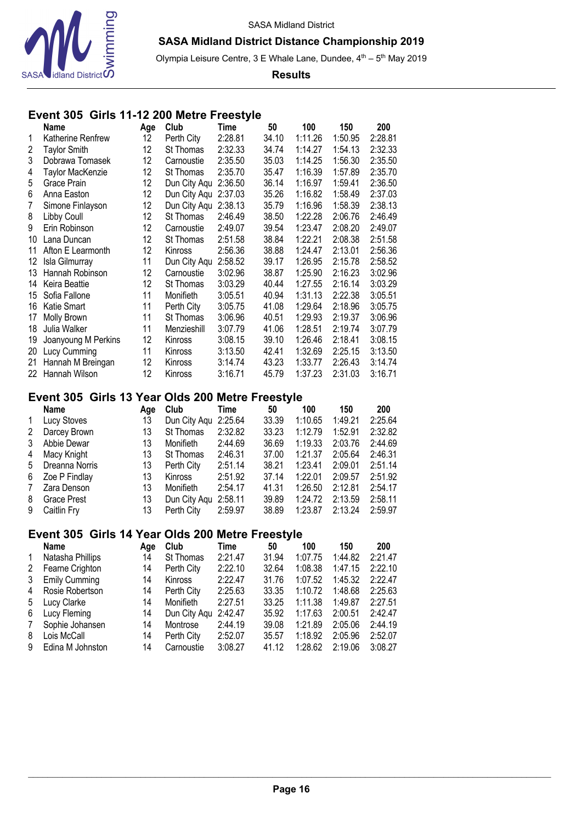

Olympia Leisure Centre, 3 E Whale Lane, Dundee, 4<sup>th</sup> - 5<sup>th</sup> May 2019

**Results**

# **Event 305 Girls 11-12 200 Metre Freestyle**

|    | <b>Name</b>         | Age | Club           | Time    | 50    | 100     | 150     | 200     |
|----|---------------------|-----|----------------|---------|-------|---------|---------|---------|
| 1  | Katherine Renfrew   | 12  | Perth City     | 2:28.81 | 34.10 | 1:11.26 | 1:50.95 | 2:28.81 |
| 2  | <b>Taylor Smith</b> | 12  | St Thomas      | 2:32.33 | 34.74 | 1:14.27 | 1:54.13 | 2:32.33 |
| 3  | Dobrawa Tomasek     | 12  | Carnoustie     | 2:35.50 | 35.03 | 1:14.25 | 1:56.30 | 2:35.50 |
| 4  | Taylor MacKenzie    | 12  | St Thomas      | 2:35.70 | 35.47 | 1:16.39 | 1:57.89 | 2:35.70 |
| 5  | Grace Prain         | 12  | Dun City Aqu   | 2:36.50 | 36.14 | 1:16.97 | 1:59.41 | 2:36.50 |
| 6  | Anna Easton         | 12  | Dun City Aqu   | 2:37.03 | 35.26 | 1:16.82 | 1:58.49 | 2:37.03 |
| 7  | Simone Finlayson    | 12  | Dun City Aqu   | 2:38.13 | 35.79 | 1:16.96 | 1:58.39 | 2:38.13 |
| 8  | Libby Coull         | 12  | St Thomas      | 2:46.49 | 38.50 | 1:22.28 | 2:06.76 | 2:46.49 |
| 9  | Erin Robinson       | 12  | Carnoustie     | 2:49.07 | 39.54 | 1:23.47 | 2:08.20 | 2:49.07 |
| 10 | Lana Duncan         | 12  | St Thomas      | 2:51.58 | 38.84 | 1:22.21 | 2:08.38 | 2:51.58 |
| 11 | Afton E Learmonth   | 12  | <b>Kinross</b> | 2:56.36 | 38.88 | 1:24.47 | 2:13.01 | 2:56.36 |
| 12 | Isla Gilmurray      | 11  | Dun City Aqu   | 2:58.52 | 39.17 | 1:26.95 | 2:15.78 | 2:58.52 |
| 13 | Hannah Robinson     | 12  | Carnoustie     | 3:02.96 | 38.87 | 1:25.90 | 2:16.23 | 3:02.96 |
| 14 | Keira Beattie       | 12  | St Thomas      | 3:03.29 | 40.44 | 1:27.55 | 2:16.14 | 3:03.29 |
| 15 | Sofia Fallone       | 11  | Monifieth      | 3:05.51 | 40.94 | 1:31.13 | 2:22.38 | 3:05.51 |
| 16 | Katie Smart         | 11  | Perth City     | 3:05.75 | 41.08 | 1:29.64 | 2:18.96 | 3:05.75 |
| 17 | Molly Brown         | 11  | St Thomas      | 3:06.96 | 40.51 | 1:29.93 | 2:19.37 | 3:06.96 |
| 18 | Julia Walker        | 11  | Menzieshill    | 3:07.79 | 41.06 | 1:28.51 | 2:19.74 | 3:07.79 |
| 19 | Joanyoung M Perkins | 12  | Kinross        | 3:08.15 | 39.10 | 1:26.46 | 2:18.41 | 3:08.15 |
| 20 | Lucy Cumming        | 11  | Kinross        | 3:13.50 | 42.41 | 1:32.69 | 2:25.15 | 3:13.50 |
| 21 | Hannah M Breingan   | 12  | Kinross        | 3:14.74 | 43.23 | 1:33.77 | 2:26.43 | 3:14.74 |
| 22 | Hannah Wilson       | 12  | Kinross        | 3:16.71 | 45.79 | 1:37.23 | 2:31.03 | 3:16.71 |
|    |                     |     |                |         |       |         |         |         |

# **Event 305 Girls 13 Year Olds 200 Metre Freestyle**

|              | <b>Name</b>        | Age | Club                 | Time    | 50    | 100     | 150     | 200     |
|--------------|--------------------|-----|----------------------|---------|-------|---------|---------|---------|
| $\mathbf{1}$ | Lucy Stoves        | 13  | Dun City Agu 2:25.64 |         | 33.39 | 1:10.65 | 1:49.21 | 2:25.64 |
| 2            | Darcey Brown       | 13  | St Thomas            | 2:32.82 | 33.23 | 1:12.79 | 1:52.91 | 2:32.82 |
| 3            | Abbie Dewar        | 13  | Monifieth            | 2:44.69 | 36.69 | 1:19.33 | 2:03.76 | 2:44.69 |
| 4            | Macy Knight        | 13  | St Thomas            | 2:46.31 | 37.00 | 1:21.37 | 2:05.64 | 2:46.31 |
| 5            | Dreanna Norris     | 13  | Perth City           | 2:51.14 | 38.21 | 1:23.41 | 2:09.01 | 2:51.14 |
| 6            | Zoe P Findlay      | 13  | Kinross              | 2:51.92 | 37.14 | 1:22.01 | 2:09.57 | 2:51.92 |
| 7            | Zara Denson        | 13  | Monifieth            | 2:54.17 | 41.31 | 1:26.50 | 2:12.81 | 2:54.17 |
| 8            | <b>Grace Prest</b> | 13  | Dun City Aqu 2:58.11 |         | 39.89 | 1:24.72 | 2:13.59 | 2:58.11 |
| 9            | Caitlin Fry        | 13  | Perth City           | 2:59.97 | 38.89 | 1:23.87 | 2:13.24 | 2:59.97 |

# **Event 305 Girls 14 Year Olds 200 Metre Freestyle**

|              | <b>Name</b>          | Aae | Club           | Time    | 50    | 100     | 150     | 200     |
|--------------|----------------------|-----|----------------|---------|-------|---------|---------|---------|
| $\mathbf{1}$ | Natasha Phillips     | 14  | St Thomas      | 2:21.47 | 31.94 | 1:07.75 | 1:44.82 | 2:21.47 |
| 2            | Fearne Crighton      | 14  | Perth City     | 2:22.10 | 32.64 | 1:08.38 | 1:47.15 | 2:22.10 |
| 3            | <b>Emily Cumming</b> | 14  | <b>Kinross</b> | 2:22.47 | 31.76 | 1:07.52 | 1:45.32 | 2:22.47 |
| 4            | Rosie Robertson      | 14  | Perth City     | 2:25.63 | 33.35 | 1:10.72 | 1:48.68 | 2:25.63 |
| 5            | Lucy Clarke          | 14  | Monifieth      | 2:27.51 | 33.25 | 1:11.38 | 1:49.87 | 2:27.51 |
| 6            | Lucy Fleming         | 14  | Dun City Agu   | 2:42.47 | 35.92 | 1:17.63 | 2:00.51 | 2:42.47 |
| 7            | Sophie Johansen      | 14  | Montrose       | 2:44.19 | 39.08 | 1:21.89 | 2:05.06 | 2:44.19 |
| 8            | Lois McCall          | 14  | Perth City     | 2:52.07 | 35.57 | 1:18.92 | 2:05.96 | 2:52.07 |
| 9            | Edina M Johnston     | 14  | Carnoustie     | 3:08.27 | 41.12 | 1:28.62 | 2:19.06 | 3:08.27 |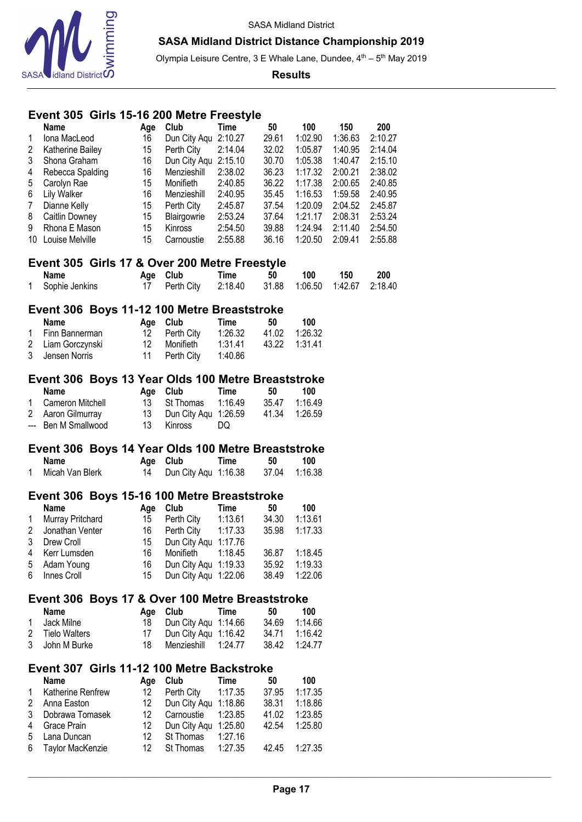

Olympia Leisure Centre, 3 E Whale Lane, Dundee, 4<sup>th</sup> - 5<sup>th</sup> May 2019

**Results**

## **Event 305 Girls 15-16 200 Metre Freestyle**

| 1<br>2<br>3<br>4<br>5<br>6<br>$\overline{7}$<br>8<br>9 | Name<br>Iona MacLeod<br>Katherine Bailey<br>Shona Graham<br>Rebecca Spalding<br>Carolyn Rae<br><b>Lily Walker</b><br>Dianne Kelly<br>Caitlin Downey<br>Rhona E Mason<br>10 Louise Melville | Age<br>16<br>15<br>16<br>16<br>15<br>16<br>15<br>15<br>15<br>15 | Club<br>Dun City Aqu 2:10.27<br>Perth City<br>Dun City Aqu 2:15.10<br>Menzieshill<br>Monifieth<br>Menzieshill<br>Perth City<br>Blairgowrie<br>Kinross<br>Carnoustie | Time<br>2:14.04<br>2:38.02<br>2:40.85<br>2:40.95<br>2:45.87<br>2:53.24<br>2:54.50<br>2:55.88 | 50<br>29.61<br>32.02<br>30.70<br>36.23<br>36.22<br>35.45<br>37.54<br>37.64<br>39.88<br>36.16 | 100<br>1:02.90<br>1:05.87<br>1:05.38<br>1:17.32<br>1:17.38<br>1:16.53<br>1:20.09<br>1:21.17<br>1:24.94<br>1:20.50 | 150<br>1:36.63<br>1:40.95<br>1:40.47<br>2:00.21<br>2:00.65<br>1:59.58<br>2:04.52<br>2:08.31<br>2:11.40<br>2:09.41 | 200<br>2:10.27<br>2:14.04<br>2:15.10<br>2:38.02<br>2:40.85<br>2:40.95<br>2:45.87<br>2:53.24<br>2:54.50<br>2:55.88 |  |
|--------------------------------------------------------|--------------------------------------------------------------------------------------------------------------------------------------------------------------------------------------------|-----------------------------------------------------------------|---------------------------------------------------------------------------------------------------------------------------------------------------------------------|----------------------------------------------------------------------------------------------|----------------------------------------------------------------------------------------------|-------------------------------------------------------------------------------------------------------------------|-------------------------------------------------------------------------------------------------------------------|-------------------------------------------------------------------------------------------------------------------|--|
|                                                        | Event 305 Girls 17 & Over 200 Metre Freestyle                                                                                                                                              |                                                                 |                                                                                                                                                                     |                                                                                              |                                                                                              |                                                                                                                   |                                                                                                                   |                                                                                                                   |  |
| 1.                                                     | <b>Name</b><br>Sophie Jenkins                                                                                                                                                              | Age<br>17                                                       | Club<br>Perth City                                                                                                                                                  | Time<br>2:18.40                                                                              | 50<br>31.88                                                                                  | 100<br>1:06.50                                                                                                    | 150<br>1:42.67                                                                                                    | 200<br>2:18.40                                                                                                    |  |
|                                                        |                                                                                                                                                                                            |                                                                 |                                                                                                                                                                     |                                                                                              |                                                                                              |                                                                                                                   |                                                                                                                   |                                                                                                                   |  |
|                                                        | Event 306 Boys 11-12 100 Metre Breaststroke                                                                                                                                                |                                                                 |                                                                                                                                                                     |                                                                                              |                                                                                              |                                                                                                                   |                                                                                                                   |                                                                                                                   |  |
|                                                        | <b>Name</b>                                                                                                                                                                                |                                                                 | Age Club                                                                                                                                                            | <b>Time</b>                                                                                  | 50                                                                                           | 100                                                                                                               |                                                                                                                   |                                                                                                                   |  |
| 1.<br>$\mathbf{2}$                                     | Finn Bannerman<br>Liam Gorczynski                                                                                                                                                          | 12<br>12                                                        | Perth City<br>Monifieth                                                                                                                                             | 1:26.32<br>1:31.41                                                                           | 41.02<br>43.22                                                                               | 1:26.32<br>1:31.41                                                                                                |                                                                                                                   |                                                                                                                   |  |
| 3                                                      | Jensen Norris                                                                                                                                                                              | 11                                                              | Perth City                                                                                                                                                          | 1:40.86                                                                                      |                                                                                              |                                                                                                                   |                                                                                                                   |                                                                                                                   |  |
|                                                        |                                                                                                                                                                                            |                                                                 |                                                                                                                                                                     |                                                                                              |                                                                                              |                                                                                                                   |                                                                                                                   |                                                                                                                   |  |
|                                                        | Event 306 Boys 13 Year Olds 100 Metre Breaststroke                                                                                                                                         |                                                                 |                                                                                                                                                                     |                                                                                              |                                                                                              |                                                                                                                   |                                                                                                                   |                                                                                                                   |  |
|                                                        | <b>Name</b>                                                                                                                                                                                | Age                                                             | Club                                                                                                                                                                | <b>Time</b>                                                                                  | 50                                                                                           | 100                                                                                                               |                                                                                                                   |                                                                                                                   |  |
| 1.<br>$^{2}$                                           | Cameron Mitchell<br>Aaron Gilmurray                                                                                                                                                        | 13<br>13                                                        | St Thomas                                                                                                                                                           | 1:16.49                                                                                      | 35.47<br>41.34                                                                               | 1:16.49<br>1:26.59                                                                                                |                                                                                                                   |                                                                                                                   |  |
|                                                        | --- Ben M Smallwood                                                                                                                                                                        | 13                                                              | Dun City Aqu 1:26.59<br>Kinross                                                                                                                                     | DQ                                                                                           |                                                                                              |                                                                                                                   |                                                                                                                   |                                                                                                                   |  |
|                                                        |                                                                                                                                                                                            |                                                                 |                                                                                                                                                                     |                                                                                              |                                                                                              |                                                                                                                   |                                                                                                                   |                                                                                                                   |  |
|                                                        |                                                                                                                                                                                            |                                                                 |                                                                                                                                                                     |                                                                                              |                                                                                              |                                                                                                                   |                                                                                                                   |                                                                                                                   |  |
|                                                        | Event 306 Boys 14 Year Olds 100 Metre Breaststroke                                                                                                                                         |                                                                 |                                                                                                                                                                     |                                                                                              |                                                                                              |                                                                                                                   |                                                                                                                   |                                                                                                                   |  |
|                                                        | <b>Name</b>                                                                                                                                                                                | Age                                                             | Club                                                                                                                                                                | <b>Time</b>                                                                                  | 50                                                                                           | 100                                                                                                               |                                                                                                                   |                                                                                                                   |  |
| $\mathbf{1}$                                           | Micah Van Blerk                                                                                                                                                                            | 14                                                              | Dun City Aqu 1:16.38                                                                                                                                                |                                                                                              | 37.04                                                                                        | 1:16.38                                                                                                           |                                                                                                                   |                                                                                                                   |  |
|                                                        |                                                                                                                                                                                            |                                                                 |                                                                                                                                                                     |                                                                                              |                                                                                              |                                                                                                                   |                                                                                                                   |                                                                                                                   |  |
|                                                        | Event 306 Boys 15-16 100 Metre Breaststroke<br><b>Name</b>                                                                                                                                 | Age                                                             | Club                                                                                                                                                                | <b>Time</b>                                                                                  | 50                                                                                           | 100                                                                                                               |                                                                                                                   |                                                                                                                   |  |
| 1                                                      | Murray Pritchard                                                                                                                                                                           | 15                                                              | Perth City                                                                                                                                                          | 1:13.61                                                                                      | 34.30                                                                                        | 1:13.61                                                                                                           |                                                                                                                   |                                                                                                                   |  |
| $\overline{c}$                                         | Jonathan Venter                                                                                                                                                                            | 16                                                              | Perth City                                                                                                                                                          | 1:17.33                                                                                      | 35.98                                                                                        | 1:17.33                                                                                                           |                                                                                                                   |                                                                                                                   |  |
| 3                                                      | Drew Croll                                                                                                                                                                                 | 15                                                              | Dun City Aqu                                                                                                                                                        | 1:17.76                                                                                      |                                                                                              |                                                                                                                   |                                                                                                                   |                                                                                                                   |  |
| 4                                                      | Kerr Lumsden                                                                                                                                                                               | 16                                                              | Monifieth                                                                                                                                                           | 1:18.45                                                                                      | 36.87                                                                                        | 1:18.45                                                                                                           |                                                                                                                   |                                                                                                                   |  |
| 5                                                      | Adam Young                                                                                                                                                                                 | 16                                                              | Dun City Aqu 1:19.33                                                                                                                                                |                                                                                              | 35.92                                                                                        | 1:19.33                                                                                                           |                                                                                                                   |                                                                                                                   |  |
| 6                                                      | Innes Croll                                                                                                                                                                                | 15                                                              | Dun City Aqu 1:22.06                                                                                                                                                |                                                                                              | 38.49                                                                                        | 1:22.06                                                                                                           |                                                                                                                   |                                                                                                                   |  |
|                                                        | Event 306 Boys 17 & Over 100 Metre Breaststroke                                                                                                                                            |                                                                 |                                                                                                                                                                     |                                                                                              |                                                                                              |                                                                                                                   |                                                                                                                   |                                                                                                                   |  |
|                                                        | <b>Name</b>                                                                                                                                                                                | Age                                                             | Club                                                                                                                                                                | <b>Time</b>                                                                                  | 50                                                                                           | 100                                                                                                               |                                                                                                                   |                                                                                                                   |  |
| 1                                                      | Jack Milne                                                                                                                                                                                 | 18                                                              | Dun City Aqu 1:14.66                                                                                                                                                |                                                                                              | 34.69                                                                                        | 1:14.66                                                                                                           |                                                                                                                   |                                                                                                                   |  |
| $\overline{c}$<br>3                                    | <b>Tielo Walters</b>                                                                                                                                                                       | 17                                                              | Dun City Aqu 1:16.42                                                                                                                                                |                                                                                              | 34.71                                                                                        | 1:16.42                                                                                                           |                                                                                                                   |                                                                                                                   |  |
|                                                        | John M Burke                                                                                                                                                                               | 18                                                              | Menzieshill                                                                                                                                                         | 1:24.77                                                                                      | 38.42                                                                                        | 1:24.77                                                                                                           |                                                                                                                   |                                                                                                                   |  |
|                                                        | Event 307 Girls 11-12 100 Metre Backstroke                                                                                                                                                 |                                                                 |                                                                                                                                                                     |                                                                                              |                                                                                              |                                                                                                                   |                                                                                                                   |                                                                                                                   |  |
|                                                        | <b>Name</b>                                                                                                                                                                                | Age                                                             | Club                                                                                                                                                                | <b>Time</b>                                                                                  | 50                                                                                           | 100                                                                                                               |                                                                                                                   |                                                                                                                   |  |
| 1                                                      | Katherine Renfrew                                                                                                                                                                          | 12                                                              | Perth City                                                                                                                                                          | 1:17.35                                                                                      | 37.95                                                                                        | 1:17.35                                                                                                           |                                                                                                                   |                                                                                                                   |  |
| 2                                                      | Anna Easton                                                                                                                                                                                | 12                                                              | Dun City Aqu 1:18.86                                                                                                                                                |                                                                                              | 38.31                                                                                        | 1:18.86                                                                                                           |                                                                                                                   |                                                                                                                   |  |
| 3                                                      | Dobrawa Tomasek                                                                                                                                                                            | 12                                                              | Carnoustie                                                                                                                                                          | 1:23.85                                                                                      | 41.02                                                                                        | 1:23.85                                                                                                           |                                                                                                                   |                                                                                                                   |  |
| 4<br>5                                                 | Grace Prain<br>Lana Duncan                                                                                                                                                                 | 12<br>12                                                        | Dun City Aqu 1:25.80<br>St Thomas                                                                                                                                   | 1:27.16                                                                                      | 42.54                                                                                        | 1:25.80                                                                                                           |                                                                                                                   |                                                                                                                   |  |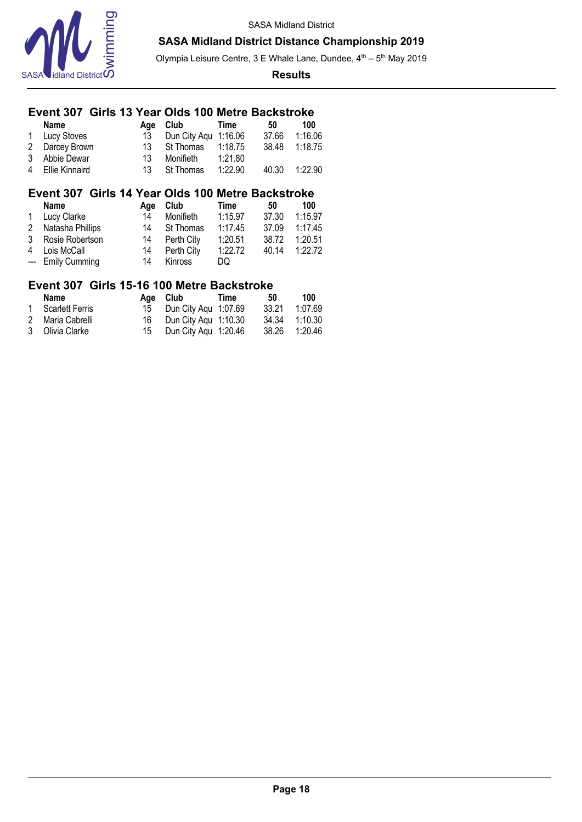



Olympia Leisure Centre, 3 E Whale Lane, Dundee, 4<sup>th</sup> - 5<sup>th</sup> May 2019

#### **Results**

## **Event 307 Girls 13 Year Olds 100 Metre Backstroke**

| <b>Name</b>      |     | Age Club             | Time    | 50    | 100     |
|------------------|-----|----------------------|---------|-------|---------|
| 1 Lucy Stoves    | 13  | Dun City Aqu 1:16.06 |         | 37.66 | 1:16.06 |
| 2 Darcey Brown   | 13. | St Thomas            | 1:18.75 | 38.48 | 1:18.75 |
| 3 Abbie Dewar    | 13  | Monifieth            | 1:21.80 |       |         |
| 4 Ellie Kinnaird | 13. | St Thomas            | 1:22.90 | 40.30 | 1:22.90 |

## **Event 307 Girls 14 Year Olds 100 Metre Backstroke**

| <b>Name</b>        | Aae | Club       | Time    | 50    | 100     |
|--------------------|-----|------------|---------|-------|---------|
| 1 Lucy Clarke      | 14  | Monifieth  | 1:15.97 | 37.30 | 1:15.97 |
| 2 Natasha Phillips | 14  | St Thomas  | 1:17.45 | 37.09 | 1:17.45 |
| 3 Rosie Robertson  | 14  | Perth City | 1:20.51 | 38.72 | 1:20.51 |
| 4 Lois McCall      | 14  | Perth City | 1:22.72 | 40.14 | 1:22.72 |
| --- Emily Cumming  | 14  | Kinross    | DQ      |       |         |

# **Event 307 Girls 15-16 100 Metre Backstroke**

| Name              | Age Club                | Time | 50    | 100     |
|-------------------|-------------------------|------|-------|---------|
| 1 Scarlett Ferris | 15 Dun City Agu 1:07.69 |      | 33.21 | 1:07.69 |
| 2 Maria Cabrelli  | 16 Dun City Agu 1:10.30 |      | 34.34 | 1:10.30 |
| 3 Olivia Clarke   | 15 Dun City Agu 1:20.46 |      | 38.26 | 1:20.46 |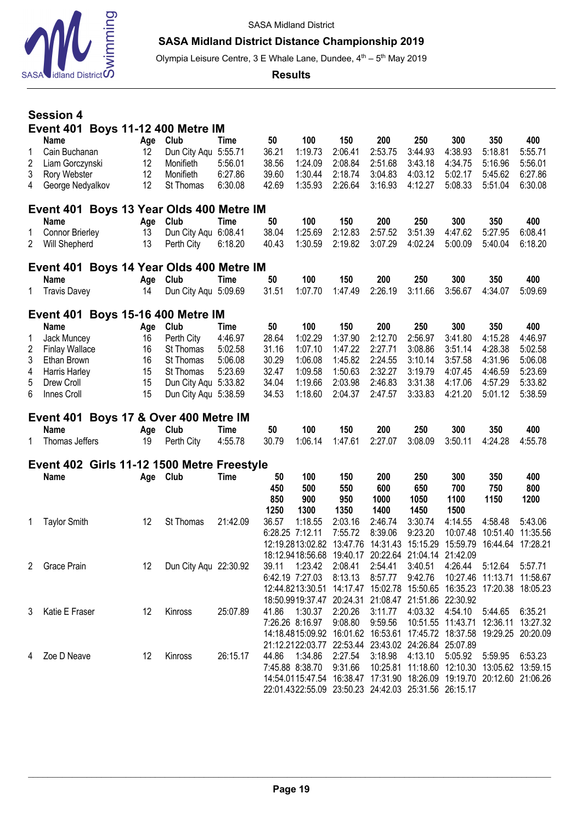

# **SASA Midland District Distance Championship 2019**

Olympia Leisure Centre, 3 E Whale Lane, Dundee, 4<sup>th</sup> – 5<sup>th</sup> May 2019

**Results**

|                  | <b>Session 4</b>                                                                    |  |                      |                                                                         |                                       |                                        |                                                                                                 |                                                 |                                                      |                                                 |                                                 |                                                 |                                                 |
|------------------|-------------------------------------------------------------------------------------|--|----------------------|-------------------------------------------------------------------------|---------------------------------------|----------------------------------------|-------------------------------------------------------------------------------------------------|-------------------------------------------------|------------------------------------------------------|-------------------------------------------------|-------------------------------------------------|-------------------------------------------------|-------------------------------------------------|
|                  |                                                                                     |  |                      | <b>Event 401 Boys 11-12 400 Metre IM</b>                                |                                       |                                        |                                                                                                 |                                                 |                                                      |                                                 |                                                 |                                                 |                                                 |
| 1<br>2<br>3<br>4 | <b>Name</b><br>Cain Buchanan<br>Liam Gorczynski<br>Rory Webster<br>George Nedyalkov |  | 12<br>12<br>12<br>12 | Age Club<br>Dun City Aqu 5:55.71<br>Monifieth<br>Monifieth<br>St Thomas | Time<br>5:56.01<br>6:27.86<br>6:30.08 | 50<br>36.21<br>38.56<br>39.60<br>42.69 | 100<br>1:19.73<br>1:24.09<br>1:30.44<br>1:35.93                                                 | 150<br>2:06.41<br>2:08.84<br>2:18.74<br>2:26.64 | 200<br>2:53.75<br>2:51.68<br>3:04.83<br>3:16.93      | 250<br>3:44.93<br>3:43.18<br>4:03.12<br>4:12.27 | 300<br>4:38.93<br>4:34.75<br>5:02.17<br>5:08.33 | 350<br>5:18.81<br>5:16.96<br>5:45.62<br>5:51.04 | 400<br>5:55.71<br>5:56.01<br>6:27.86<br>6:30.08 |
|                  |                                                                                     |  |                      | Event 401 Boys 13 Year Olds 400 Metre IM                                |                                       |                                        |                                                                                                 |                                                 |                                                      |                                                 |                                                 |                                                 |                                                 |
|                  | <b>Name</b>                                                                         |  | Age                  | Club                                                                    | Time                                  | 50                                     | 100                                                                                             | 150                                             | 200                                                  | 250                                             | 300                                             | 350                                             | 400                                             |
| 1<br>2           | <b>Connor Brierley</b><br>Will Shepherd                                             |  | 13<br>13             | Dun City Aqu 6:08.41<br>Perth City                                      | 6:18.20                               | 38.04<br>40.43                         | 1:25.69<br>1:30.59                                                                              | 2:12.83<br>2:19.82                              | 2:57.52<br>3:07.29                                   | 3:51.39<br>4:02.24                              | 4:47.62<br>5:00.09                              | 5:27.95<br>5:40.04                              | 6:08.41<br>6:18.20                              |
|                  |                                                                                     |  |                      | Event 401 Boys 14 Year Olds 400 Metre IM                                |                                       |                                        |                                                                                                 |                                                 |                                                      |                                                 |                                                 |                                                 |                                                 |
| 1.               | <b>Name</b><br><b>Travis Davey</b>                                                  |  | Age<br>14            | Club<br>Dun City Aqu 5:09.69                                            | Time                                  | 50<br>31.51                            | 100<br>1:07.70                                                                                  | 150<br>1:47.49                                  | 200<br>2:26.19                                       | 250<br>3:11.66                                  | 300<br>3:56.67                                  | 350<br>4:34.07                                  | 400<br>5:09.69                                  |
|                  |                                                                                     |  |                      | <b>Event 401 Boys 15-16 400 Metre IM</b>                                |                                       |                                        |                                                                                                 |                                                 |                                                      |                                                 |                                                 |                                                 |                                                 |
|                  | <b>Name</b>                                                                         |  | Age                  | Club                                                                    | Time                                  | 50                                     | 100                                                                                             | 150                                             | 200                                                  | 250                                             | 300                                             | 350                                             | 400                                             |
| 1                | Jack Muncey                                                                         |  | 16                   | Perth City                                                              | 4:46.97                               | 28.64                                  | 1:02.29                                                                                         | 1:37.90                                         | 2:12.70                                              | 2:56.97                                         | 3:41.80                                         | 4:15.28                                         | 4:46.97                                         |
| 2                | <b>Finlay Wallace</b>                                                               |  | 16                   | St Thomas                                                               | 5:02.58                               | 31.16                                  | 1:07.10                                                                                         | 1:47.22                                         | 2:27.71                                              | 3:08.86                                         | 3:51.14                                         | 4:28.38                                         | 5:02.58                                         |
| 3                | Ethan Brown                                                                         |  | 16                   | <b>St Thomas</b>                                                        | 5:06.08                               | 30.29                                  | 1:06.08                                                                                         | 1:45.82                                         | 2:24.55                                              | 3:10.14                                         | 3:57.58                                         | 4:31.96                                         | 5:06.08                                         |
| 4                | Harris Harley                                                                       |  | 15                   | St Thomas                                                               | 5:23.69                               | 32.47                                  | 1:09.58                                                                                         | 1:50.63                                         | 2:32.27                                              | 3:19.79                                         | 4:07.45                                         | 4:46.59                                         | 5:23.69                                         |
| 5                | Drew Croll                                                                          |  | 15                   | Dun City Aqu 5:33.82                                                    |                                       | 34.04                                  | 1:19.66                                                                                         | 2:03.98                                         | 2:46.83                                              | 3:31.38                                         | 4:17.06                                         | 4:57.29                                         | 5:33.82                                         |
| 6                | Innes Croll                                                                         |  | 15                   | Dun City Aqu 5:38.59                                                    |                                       | 34.53                                  | 1:18.60                                                                                         | 2:04.37                                         | 2:47.57                                              | 3:33.83                                         | 4:21.20                                         | 5:01.12                                         | 5:38.59                                         |
|                  |                                                                                     |  |                      | Event 401 Boys 17 & Over 400 Metre IM                                   |                                       |                                        |                                                                                                 |                                                 |                                                      |                                                 |                                                 |                                                 |                                                 |
|                  | <b>Name</b>                                                                         |  | Age                  | Club                                                                    | Time                                  | 50                                     | 100                                                                                             | 150                                             | 200                                                  | 250                                             | 300                                             | 350                                             | 400                                             |
| 1.               | Thomas Jeffers                                                                      |  | 19                   | Perth City                                                              | 4:55.78                               | 30.79                                  | 1:06.14                                                                                         | 1:47.61                                         | 2:27.07                                              | 3:08.09                                         | 3:50.11                                         | 4:24.28                                         | 4:55.78                                         |
|                  |                                                                                     |  |                      | Event 402 Girls 11-12 1500 Metre Freestyle                              |                                       |                                        |                                                                                                 |                                                 |                                                      |                                                 |                                                 |                                                 |                                                 |
|                  | Name                                                                                |  |                      | Age Club                                                                | Time                                  | 50<br>450<br>850<br>1250               | 100<br>500<br>900<br>1300                                                                       | 150<br>550<br>950<br>1350                       | 200<br>600<br>1000<br>1400                           | 250<br>650<br>1050<br>1450                      | 300<br>700<br>1100<br>1500                      | 350<br>750<br>1150                              | 400<br>800<br>1200                              |
| 1                | <b>Taylor Smith</b>                                                                 |  | 12                   | <b>St Thomas</b>                                                        | 21:42.09                              | 36.57                                  | 1:18.55                                                                                         | 2:03.16                                         | 2:46.74                                              | 3:30.74                                         | 4:14.55                                         | 4:58.48                                         | 5:43.06                                         |
|                  |                                                                                     |  |                      |                                                                         |                                       |                                        | 6:28.25 7:12.11                                                                                 | 7:55.72                                         | 8:39.06                                              | 9:23.20                                         |                                                 | 10:07.48 10:51.40                               | 11:35.56                                        |
|                  |                                                                                     |  |                      |                                                                         |                                       |                                        | 12:19.2813:02.82 13:47.76 14:31.43 15:15.29 15:59.79 16:44.64 17:28.21                          |                                                 |                                                      |                                                 |                                                 |                                                 |                                                 |
|                  |                                                                                     |  |                      |                                                                         |                                       |                                        | 18:12.9418:56.68  19:40.17  20:22.64  21:04.14  21:42.09                                        |                                                 |                                                      |                                                 |                                                 |                                                 |                                                 |
|                  | 2 Grace Prain                                                                       |  | 12                   | Dun City Aqu 22:30.92                                                   |                                       | 39.11                                  | 1:23.42                                                                                         | 2:08.41                                         | 2:54.41                                              | 3:40.51                                         | 4:26.44 5:12.64                                 |                                                 | 5:57.71                                         |
|                  |                                                                                     |  |                      |                                                                         |                                       |                                        | 6:42.19 7:27.03                                                                                 | 8:13.13                                         | 8:57.77                                              | 9:42.76                                         |                                                 | 10:27.46 11:13.71 11:58.67                      |                                                 |
|                  |                                                                                     |  |                      |                                                                         |                                       |                                        | 12:44.8213:30.51  14:17.47  15:02.78  15:50.65  16:35.23  17:20.38  18:05.23                    |                                                 |                                                      |                                                 |                                                 |                                                 |                                                 |
|                  |                                                                                     |  |                      |                                                                         |                                       |                                        | 18:50.9919:37.47 20:24.31 21:08.47 21:51.86 22:30.92                                            |                                                 |                                                      |                                                 |                                                 |                                                 |                                                 |
|                  | 3 Katie E Fraser                                                                    |  | 12                   | Kinross                                                                 | 25:07.89                              | 41.86                                  | 1:30.37                                                                                         | 2:20.26<br>9:08.80                              | 3:11.77                                              | 4:03.32                                         | 4:54.10                                         | 5:44.65                                         | 6:35.21                                         |
|                  |                                                                                     |  |                      |                                                                         |                                       |                                        | 7:26.26 8:16.97<br>14:18.4815:09.92  16:01.62  16:53.61  17:45.72  18:37.58  19:29.25  20:20.09 |                                                 | 9:59.56                                              |                                                 | 10:51.55 11:43.71 12:36.11 13:27.32             |                                                 |                                                 |
|                  |                                                                                     |  |                      |                                                                         |                                       |                                        | 21:12.2122:03.77 22:53.44 23:43.02 24:26.84 25:07.89                                            |                                                 |                                                      |                                                 |                                                 |                                                 |                                                 |
|                  | 4 Zoe D Neave                                                                       |  | 12                   | Kinross                                                                 | 26:15.17                              | 44.86                                  | 1:34.86                                                                                         | 2:27.54                                         | 3:18.98                                              | 4:13.10                                         | 5:05.92                                         | 5:59.95                                         | 6:53.23                                         |
|                  |                                                                                     |  |                      |                                                                         |                                       |                                        | 7:45.88 8:38.70                                                                                 | 9:31.66                                         |                                                      |                                                 | 10:25.81 11:18.60 12:10.30 13:05.62 13:59.15    |                                                 |                                                 |
|                  |                                                                                     |  |                      |                                                                         |                                       |                                        | 14:54.0115:47.54 16:38.47 17:31.90 18:26.09 19:19.70 20:12.60 21:06.26                          |                                                 |                                                      |                                                 |                                                 |                                                 |                                                 |
|                  |                                                                                     |  |                      |                                                                         |                                       |                                        |                                                                                                 |                                                 | 22:01.4322:55.09 23:50.23 24:42.03 25:31.56 26:15.17 |                                                 |                                                 |                                                 |                                                 |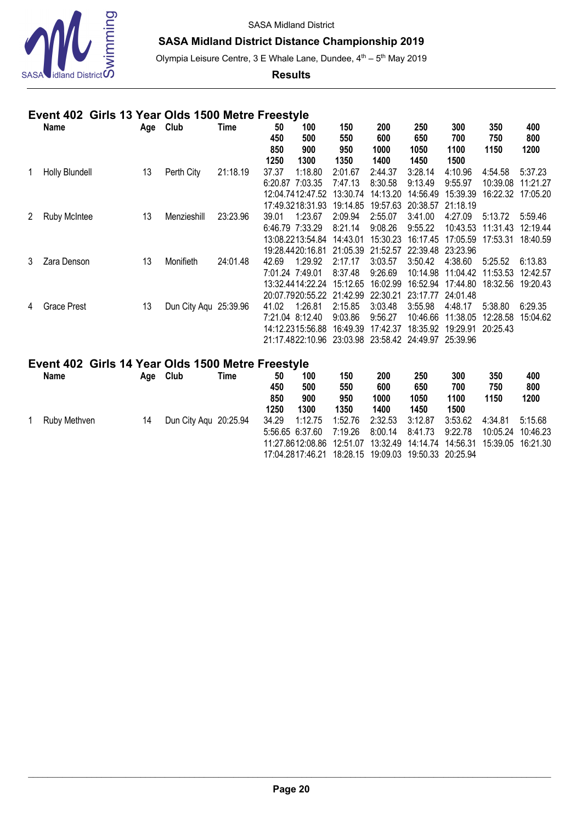

# **SASA Midland District Distance Championship 2019**

Olympia Leisure Centre, 3 E Whale Lane, Dundee, 4<sup>th</sup> - 5<sup>th</sup> May 2019

#### **Results**

## **Event 402 Girls 13 Year Olds 1500 Metre Freestyle**

|   | Name                  | Age | Club                  | Time     | 50<br>450 | 100<br>500                | 150<br>550 | 200<br>600        | 250<br>650 | 300<br>700 | 350<br>750 | 400<br>800 |
|---|-----------------------|-----|-----------------------|----------|-----------|---------------------------|------------|-------------------|------------|------------|------------|------------|
|   |                       |     |                       |          | 850       | 900                       | 950        | 1000              | 1050       | 1100       | 1150       | 1200       |
|   |                       |     |                       |          | 1250      | 1300                      | 1350       | 1400              | 1450       | 1500       |            |            |
|   | <b>Holly Blundell</b> | 13  | Perth City            | 21:18.19 | 37.37     | 1:18.80                   | 2:01.67    | 2:44.37           | 3:28.14    | 4:10.96    | 4:54.58    | 5:37.23    |
|   |                       |     |                       |          | 6:20.87   | 7:03.35                   | 7:47.13    | 8:30.58           | 9:13.49    | 9:55.97    | 10:39.08   | 11:21.27   |
|   |                       |     |                       |          |           | 12:04:74:12:47.52         | 13:30.74   | 14:13.20          | 14:56.49   | 15:39.39   | 16:22.32   | 17:05.20   |
|   |                       |     |                       |          |           | 17:49.3218:31.93          | 19:14.85   | 19:57.63          | 20:38.57   | 21:18.19   |            |            |
| 2 | <b>Ruby McIntee</b>   | 13  | Menzieshill           | 23:23.96 | 39.01     | 1:23.67                   | 2:09.94    | 2:55.07           | 3:41.00    | 4:27.09    | 5:13.72    | 5:59.46    |
|   |                       |     |                       |          |           | 6:46.79 7:33.29           | 8:21.14    | 9:08.26           | 9:55.22    | 10:43.53   | 11:31.43   | 12:19.44   |
|   |                       |     |                       |          |           | 13:08.2213:54.84          | 14:43.01   | 15:30.23          | 16:17.45   | 17:05.59   | 17:53.31   | 18:40.59   |
|   |                       |     |                       |          |           | 19:28.4420:16.81          | 21:05.39   | 21:52.57          | 22:39.48   | 23:23.96   |            |            |
| 3 | Zara Denson           | 13  | Monifieth             | 24:01.48 | 42.69     | 1:29.92                   | 2:17.17    | 3:03.57           | 3:50.42    | 4:38.60    | 5:25.52    | 6:13.83    |
|   |                       |     |                       |          |           | 7:01.24 7:49.01           | 8:37.48    | 9:26.69           | 10:14.98   | 11:04.42   | 11:53.53   | 12:42.57   |
|   |                       |     |                       |          |           | 13:32 44 14:22 24         | 15:12.65   | 16:02.99          | 16:52.94   | 17:44.80   | 18:32.56   | 19:20.43   |
|   |                       |     |                       |          |           | 20:07.7920:55.22          | 21:42.99   | 22:30.21          | 23:17.77   | 24:01.48   |            |            |
| 4 | <b>Grace Prest</b>    | 13  | Dun City Aqu 25:39.96 |          | 41.02     | 1:26.81                   | 2:15.85    | 3:03.48           | 3:55.98    | 4:48.17    | 5:38.80    | 6:29.35    |
|   |                       |     |                       |          |           | 7:21.04 8:12.40           | 9:03.86    | 9:56.27           | 10:46.66   | 11:38.05   | 12:28.58   | 15:04.62   |
|   |                       |     |                       |          |           | 14:12.2315:56.88          | 16:49.39   | 17:42.37          | 18:35.92   | 19:29.91   | 20:25.43   |            |
|   |                       |     |                       |          |           | 21:17.4822:10.96 23:03.98 |            | 23:58.42 24:49.97 |            | 25:39.96   |            |            |

# **Event 402 Girls 14 Year Olds 1500 Metre Freestyle**

| <b>Name</b>  | Age | Club                  | Time | 50<br>450<br>850<br>1250 | 100<br>500<br>900<br>1300                      | 150<br>550<br>950<br>1350                                                                  | 200<br>600<br>1000<br>1400 | 250<br>650<br>1050<br>1450 | 300<br>700<br>1100<br>1500 | 350<br>750<br>1150                                                               | 400<br>800<br>1200 |
|--------------|-----|-----------------------|------|--------------------------|------------------------------------------------|--------------------------------------------------------------------------------------------|----------------------------|----------------------------|----------------------------|----------------------------------------------------------------------------------|--------------------|
| Ruby Methven | 14  | Dun City Aqu 20:25.94 |      | 34.29                    | 1:12.75<br>5:56.65 6:37.60<br>11:27.8612:08.86 | 1:52.76<br>7:19.26<br>12:51.07<br>17:04.2817:46.21  18:28.15  19:09.03  19:50.33  20:25.94 | 2:32.53<br>8:00.14         | 3:12.87<br>8:41.73         | 3:53.62<br>9:22.78         | 4:34.81<br>10:05.24 10:46.23<br>13:32.49  14:14.74  14:56.31  15:39.05  16:21.30 | 5:15.68            |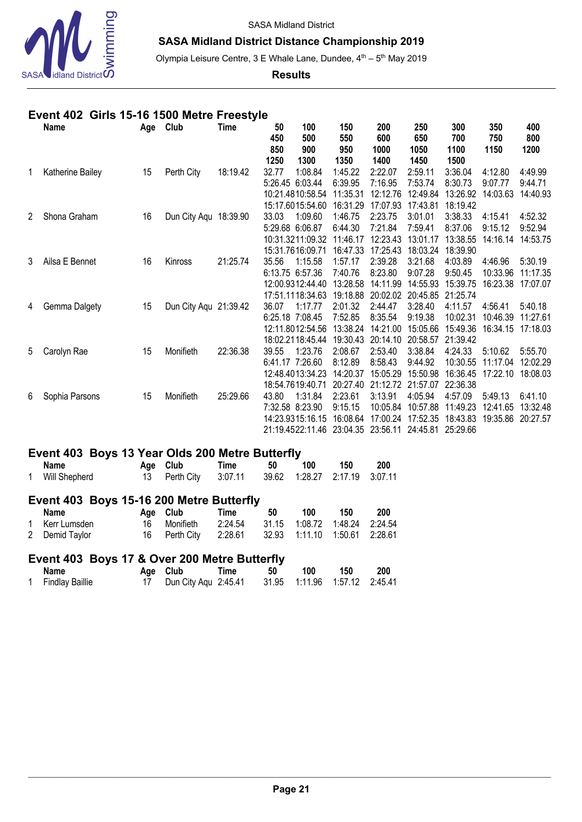

## **SASA Midland District Distance Championship 2019**

Olympia Leisure Centre, 3 E Whale Lane, Dundee, 4<sup>th</sup> - 5<sup>th</sup> May 2019

**Results**

## **Event 402 Girls 15-16 1500 Metre Freestyle**

|   | Name             | Age | Club                  | Time     | 50<br>450<br>850 | 100<br>500<br>900 | 150<br>550<br>950 | 200<br>600<br>1000 | 250<br>650<br>1050 | 300<br>700<br>1100 | 350<br>750<br>1150 | 400<br>800<br>1200 |
|---|------------------|-----|-----------------------|----------|------------------|-------------------|-------------------|--------------------|--------------------|--------------------|--------------------|--------------------|
|   |                  |     |                       |          | 1250             | 1300              | 1350              | 1400               | 1450               | 1500               |                    |                    |
| 1 | Katherine Bailey | 15  | Perth City            | 18:19.42 | 32.77            | 1:08.84           | 1:45.22           | 2:22.07            | 2:59.11            | 3:36.04            | 4:12.80            | 4:49.99            |
|   |                  |     |                       |          |                  | 5:26.45 6:03.44   | 6:39.95           | 7:16.95            | 7:53.74            | 8:30.73            | 9:07.77            | 9:44.71            |
|   |                  |     |                       |          |                  | 10:21.4810:58.54  | 11:35.31          | 12:12.76           | 12:49.84           | 13:26.92           | 14:03.63           | 14:40.93           |
|   |                  |     |                       |          |                  | 15:17.6015:54.60  | 16:31.29          | 17:07.93           | 17:43.81           | 18:19.42           |                    |                    |
| 2 | Shona Graham     | 16  | Dun City Aqu 18:39.90 |          | 33.03            | 1:09.60           | 1:46.75           | 2:23.75            | 3:01.01            | 3:38.33            | 4:15.41            | 4:52.32            |
|   |                  |     |                       |          |                  | 5:29.68 6:06.87   | 6:44.30           | 7:21.84            | 7:59.41            | 8:37.06            | 9:15.12            | 9:52.94            |
|   |                  |     |                       |          |                  | 10:31.3211:09.32  | 11:46.17          | 12:23.43           | 13:01.17           | 13:38.55           | 14:16.14           | 14:53.75           |
|   |                  |     |                       |          |                  | 15:31.7616:09.71  | 16:47.33          | 17:25.43           | 18:03.24           | 18:39.90           |                    |                    |
| 3 | Ailsa E Bennet   | 16  | Kinross               | 21:25.74 | 35.56            | 1:15.58           | 1:57.17           | 2:39.28            | 3:21.68            | 4:03.89            | 4:46.96            | 5:30.19            |
|   |                  |     |                       |          |                  | 6:13.75 6:57.36   | 7:40.76           | 8:23.80            | 9:07.28            | 9:50.45            | 10:33.96           | 11:17.35           |
|   |                  |     |                       |          |                  | 12:00.9312:44.40  | 13:28.58          | 14:11.99           | 14:55.93           | 15:39.75           | 16:23.38           | 17:07.07           |
|   |                  |     |                       |          |                  | 17:51.1118:34.63  | 19:18.88          | 20:02.02           | 20:45.85           | 21:25.74           |                    |                    |
| 4 | Gemma Dalgety    | 15  | Dun City Aqu 21:39.42 |          | 36.07            | 1:17.77           | 2:01.32           | 2:44.47            | 3:28.40            | 4:11.57            | 4:56.41            | 5:40.18            |
|   |                  |     |                       |          |                  | 6:25.18 7:08.45   | 7:52.85           | 8:35.54            | 9:19.38            | 10:02.31           | 10:46.39           | 11:27.61           |
|   |                  |     |                       |          |                  | 12:11.8012:54.56  | 13:38.24          | 14:21.00           | 15:05.66           | 15:49.36           | 16:34.15           | 17:18.03           |
|   |                  |     |                       |          |                  | 18:02.2118:45.44  | 19:30.43          | 20:14.10           | 20:58.57           | 21:39.42           |                    |                    |
| 5 | Carolyn Rae      | 15  | Monifieth             | 22:36.38 | 39.55            | 1:23.76           | 2:08.67           | 2:53.40            | 3:38.84            | 4:24.33            | 5:10.62            | 5:55.70            |
|   |                  |     |                       |          |                  | 6:41.17 7:26.60   | 8:12.89           | 8:58.43            | 9:44.92            | 10:30.55           | 11:17.04           | 12:02.29           |
|   |                  |     |                       |          |                  | 12:48.4013:34.23  | 14:20.37          | 15:05.29           | 15:50.98           | 16:36.45           | 17:22.10           | 18:08.03           |
|   |                  |     |                       |          |                  | 18:54.7619:40.71  | 20:27.40          | 21:12.72           | 21:57.07           | 22:36.38           |                    |                    |
| 6 | Sophia Parsons   | 15  | Monifieth             | 25:29.66 | 43.80            | 1:31.84           | 2:23.61           | 3:13.91            | 4:05.94            | 4:57.09            | 5:49.13            | 6:41.10            |
|   |                  |     |                       |          |                  | 7:32.58 8:23.90   | 9:15.15           | 10:05.84           | 10:57.88           | 11:49.23           | 12:41.65           | 13:32.48           |
|   |                  |     |                       |          |                  | 14:23.9315:16.15  | 16:08.64          | 17:00.24           | 17:52.35           | 18:43.83           | 19:35.86           | 20:27.57           |
|   |                  |     |                       |          |                  | 21:19.4522:11.46  | 23:04.35          | 23:56.11           | 24:45.81           | 25:29.66           |                    |                    |

## **Event 403 Boys 13 Year Olds 200 Metre Butterfly**

| <b>Name</b>   | Age Club                                            | Time | 50 | 100 | 150 | 200 |
|---------------|-----------------------------------------------------|------|----|-----|-----|-----|
| Will Shepherd | 13 Perth City 3:07.11 39.62 1:28.27 2:17.19 3:07.11 |      |    |     |     |     |

# **Event 403 Boys 15-16 200 Metre Butterfly**

| Name           | Age Club                                            | Time | -50 | 100 | 150 | 200 |
|----------------|-----------------------------------------------------|------|-----|-----|-----|-----|
| 1 Kerr Lumsden | 16 Monifieth 2:24.54 31.15 1:08.72 1:48.24 2:24.54  |      |     |     |     |     |
| 2 Demid Taylor | 16 Perth City 2:28.61 32.93 1:11.10 1:50.61 2:28.61 |      |     |     |     |     |

## **Event 403 Boys 17 & Over 200 Metre Butterfly**

| Name              | Age Club                                              | Time | 50 | 100 | 150 | 200 |
|-------------------|-------------------------------------------------------|------|----|-----|-----|-----|
| 1 Findlay Baillie | 17 Dun City Aqu 2:45.41 31.95 1:11.96 1:57.12 2:45.41 |      |    |     |     |     |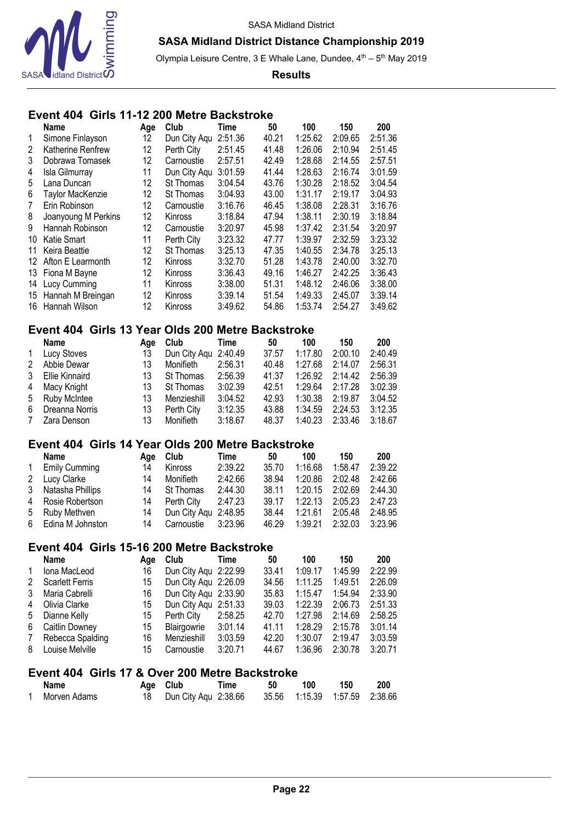

Olympia Leisure Centre, 3 E Whale Lane, Dundee, 4<sup>th</sup> - 5<sup>th</sup> May 2019

**Results**

## **Event 404 Girls 11-12 200 Metre Backstroke**

|                | Name                 | Age | Club           | Time    | 50    | 100     | 150     | 200     |
|----------------|----------------------|-----|----------------|---------|-------|---------|---------|---------|
| $\mathbf 1$    | Simone Finlayson     | 12  | Dun City Agu   | 2:51.36 | 40.21 | 1:25.62 | 2:09.65 | 2:51.36 |
| 2              | Katherine Renfrew    | 12  | Perth City     | 2:51.45 | 41.48 | 1:26.06 | 2:10.94 | 2:51.45 |
| 3              | Dobrawa Tomasek      | 12  | Carnoustie     | 2:57.51 | 42.49 | 1:28.68 | 2:14.55 | 2:57.51 |
| 4              | Isla Gilmurray       | 11  | Dun City Agu   | 3:01.59 | 41.44 | 1:28.63 | 2:16.74 | 3:01.59 |
| 5              | Lana Duncan          | 12  | St Thomas      | 3:04.54 | 43.76 | 1:30.28 | 2:18.52 | 3:04.54 |
| 6              | Taylor MacKenzie     | 12  | St Thomas      | 3:04.93 | 43.00 | 1:31.17 | 2:19.17 | 3:04.93 |
| $\overline{7}$ | Erin Robinson        | 12  | Carnoustie     | 3:16.76 | 46.45 | 1:38.08 | 2:28.31 | 3:16.76 |
| 8              | Joanyoung M Perkins  | 12  | Kinross        | 3:18.84 | 47.94 | 1:38.11 | 2:30.19 | 3:18.84 |
| 9              | Hannah Robinson      | 12  | Carnoustie     | 3:20.97 | 45.98 | 1:37.42 | 2:31.54 | 3:20.97 |
| 10             | Katie Smart          | 11  | Perth City     | 3:23.32 | 47.77 | 1:39.97 | 2:32.59 | 3:23.32 |
| 11             | Keira Beattie        | 12  | St Thomas      | 3:25.13 | 47.35 | 1:40.55 | 2:34.78 | 3:25.13 |
|                | 12 Afton E Learmonth | 12  | <b>Kinross</b> | 3:32.70 | 51.28 | 1:43.78 | 2:40.00 | 3:32.70 |
|                | 13 Fiona M Bayne     | 12  | <b>Kinross</b> | 3:36.43 | 49.16 | 1:46.27 | 2:42.25 | 3:36.43 |
| 14             | <b>Lucy Cumming</b>  | 11  | Kinross        | 3:38.00 | 51.31 | 1:48.12 | 2:46.06 | 3:38.00 |
|                | 15 Hannah M Breingan | 12  | <b>Kinross</b> | 3:39.14 | 51.54 | 1:49.33 | 2:45.07 | 3:39.14 |
| 16             | Hannah Wilson        | 12  | Kinross        | 3:49.62 | 54.86 | 1:53.74 | 2:54.27 | 3:49.62 |

#### **Event 404 Girls 13 Year Olds 200 Metre Backstroke**

|                | Name                | Aae | Club                 | Time    | 50    | 100     | 150     | 200     |
|----------------|---------------------|-----|----------------------|---------|-------|---------|---------|---------|
| $\overline{1}$ | Lucy Stoves         | 13  | Dun City Aqu 2:40.49 |         | 37.57 | 1:17.80 | 2:00.10 | 2:40.49 |
| 2              | Abbie Dewar         | 13  | Monifieth            | 2:56.31 | 40.48 | 1:27.68 | 2:14.07 | 2:56.31 |
| 3              | Ellie Kinnaird      | 13  | St Thomas            | 2:56.39 | 41.37 | 1:26.92 | 2:14.42 | 2:56.39 |
| 4              | Macy Knight         | 13  | St Thomas            | 3:02.39 | 42.51 | 1:29.64 | 2:17.28 | 3:02.39 |
| 5              | <b>Ruby McIntee</b> | 13  | Menzieshill          | 3:04.52 | 42.93 | 1:30.38 | 2:19.87 | 3:04.52 |
| 6              | Dreanna Norris      | 13  | Perth City           | 3:12.35 | 43.88 | 1:34.59 | 2:24.53 | 3:12.35 |
| 7              | Zara Denson         | 13  | Monifieth            | 3:18.67 | 48.37 | 1:40.23 | 2:33.46 | 3:18.67 |

## **Event 404 Girls 14 Year Olds 200 Metre Backstroke**

|              | <b>Name</b>          | Aae | Club                 | Time    | 50    | 100     | 150                     | 200     |
|--------------|----------------------|-----|----------------------|---------|-------|---------|-------------------------|---------|
| $\mathbf{1}$ | <b>Emily Cumming</b> | 14  | Kinross              | 2:39.22 | 35.70 | 1:16.68 | 1:58.47                 | 2:39.22 |
|              | 2 Lucy Clarke        | 14  | Monifieth            | 2:42.66 | 38.94 | 1:20.86 | 2:02.48                 | 2:42.66 |
|              | 3 Natasha Phillips   | 14  | St Thomas            | 2:44.30 | 38.11 |         | 1:20.15 2:02.69 2:44.30 |         |
|              | 4 Rosie Robertson    | 14  | Perth City           | 2:47.23 | 39.17 |         | 1:22.13 2:05.23 2:47.23 |         |
|              | 5 Ruby Methven       | 14  | Dun City Agu 2:48.95 |         | 38.44 | 1:21.61 | 2:05.48                 | 2:48.95 |
|              | 6 Edina M Johnston   | 14  | Carnoustie 3:23.96   |         | 46.29 | 1:39.21 | 2:32.03                 | 3:23.96 |

#### **Event 404 Girls 15-16 200 Metre Backstroke**

|              | <b>Name</b>            | Aae | Club                 | Time    | 50    | 100     | 150     | <b>200</b> |
|--------------|------------------------|-----|----------------------|---------|-------|---------|---------|------------|
| $\mathbf{1}$ | Iona MacLeod           | 16  | Dun City Agu 2:22.99 |         | 33.41 | 1:09.17 | 1:45.99 | 2:22.99    |
| 2            | <b>Scarlett Ferris</b> | 15  | Dun City Agu 2:26.09 |         | 34.56 | 1:11.25 | 1:49.51 | 2:26.09    |
| 3            | Maria Cabrelli         | 16  | Dun City Aqu 2:33.90 |         | 35.83 | 1:15.47 | 1:54.94 | 2:33.90    |
| 4            | Olivia Clarke          | 15  | Dun City Agu 2:51.33 |         | 39.03 | 1:22.39 | 2:06.73 | 2:51.33    |
| 5            | Dianne Kelly           | 15  | Perth City           | 2:58.25 | 42.70 | 1:27.98 | 2:14.69 | 2:58.25    |
| 6            | Caitlin Downey         | 15  | Blairgowrie          | 3:01.14 | 41.11 | 1:28.29 | 2:15.78 | 3:01.14    |
| 7            | Rebecca Spalding       | 16  | Menzieshill          | 3:03.59 | 42.20 | 1:30.07 | 2:19.47 | 3:03.59    |
| 8            | Louise Melville        | 15  | Carnoustie           | 3:20.71 | 44.67 | 1:36.96 | 2:30.78 | 3:20.71    |

## **Event 404 Girls 17 & Over 200 Metre Backstroke**

| <b>Name</b>  | Age Club                                              | Time | 50 | 100 | 150 | 200 |
|--------------|-------------------------------------------------------|------|----|-----|-----|-----|
| Morven Adams | 18 Dun City Aqu 2:38.66 35.56 1:15.39 1:57.59 2:38.66 |      |    |     |     |     |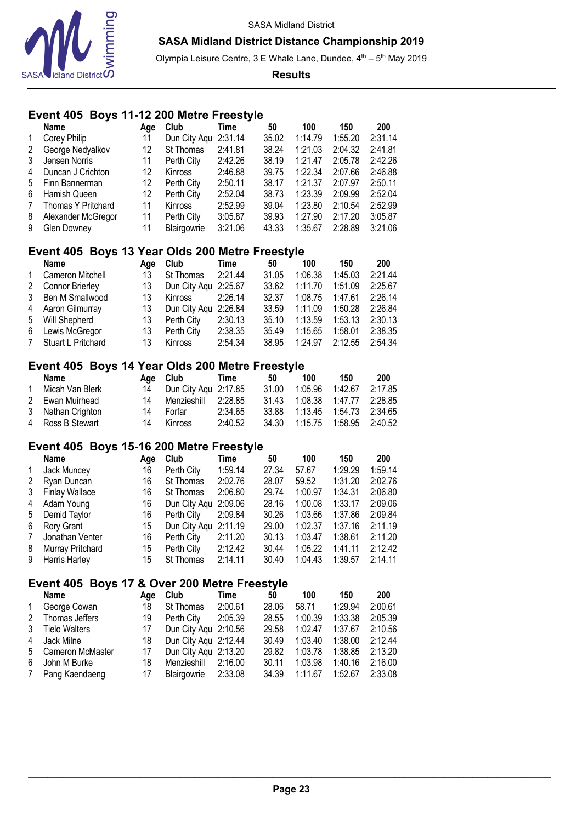

Olympia Leisure Centre, 3 E Whale Lane, Dundee, 4<sup>th</sup> - 5<sup>th</sup> May 2019

**Results**

## **Event 405 Boys 11-12 200 Metre Freestyle**

|                | <b>Name</b>        | Aae | Club                 | Time    | 50    | 100     | 150     | 200     |
|----------------|--------------------|-----|----------------------|---------|-------|---------|---------|---------|
| $\mathbf{1}$   | Corey Philip       | 11  | Dun City Aqu 2:31.14 |         | 35.02 | 1:14.79 | 1:55.20 | 2:31.14 |
| 2              | George Nedyalkov   | 12  | St Thomas            | 2:41.81 | 38.24 | 1:21.03 | 2:04.32 | 2:41.81 |
| 3              | Jensen Norris      | 11  | Perth City           | 2:42.26 | 38.19 | 1:21.47 | 2:05.78 | 2:42.26 |
| 4              | Duncan J Crichton  | 12  | Kinross              | 2:46.88 | 39.75 | 1:22.34 | 2:07.66 | 2:46.88 |
| 5              | Finn Bannerman     | 12  | Perth City           | 2:50.11 | 38.17 | 1:21.37 | 2:07.97 | 2:50.11 |
| 6              | Hamish Queen       | 12  | Perth City           | 2:52.04 | 38.73 | 1:23.39 | 2:09.99 | 2:52.04 |
| $7\phantom{.}$ | Thomas Y Pritchard | 11  | <b>Kinross</b>       | 2:52.99 | 39.04 | 1:23.80 | 2:10.54 | 2:52.99 |
| 8              | Alexander McGregor | 11  | Perth City           | 3:05.87 | 39.93 | 1:27.90 | 2:17.20 | 3:05.87 |
| 9              | Glen Downey        | 11  | Blairgowrie          | 3:21.06 | 43.33 | 1:35.67 | 2:28.89 | 3:21.06 |

## **Event 405 Boys 13 Year Olds 200 Metre Freestyle**

|              | Name                   | Aae | Club                 | Time    | 50    | 100     | 150     | 200     |
|--------------|------------------------|-----|----------------------|---------|-------|---------|---------|---------|
| $\mathbf{1}$ | Cameron Mitchell       | 13  | St Thomas            | 2:21.44 | 31.05 | 1:06.38 | 1:45.03 | 2:21.44 |
| 2            | <b>Connor Brierley</b> | 13  | Dun City Aqu 2:25.67 |         | 33.62 | 1:11.70 | 1:51.09 | 2:25.67 |
|              | 3 Ben M Smallwood      | 13  | Kinross              | 2:26.14 | 32.37 | 1:08.75 | 1:47.61 | 2:26.14 |
|              | 4 Aaron Gilmurray      | 13  | Dun City Agu 2:26.84 |         | 33.59 | 1:11.09 | 1:50.28 | 2:26.84 |
|              | 5 Will Shepherd        | 13  | Perth City           | 2:30.13 | 35.10 | 1:13.59 | 1:53.13 | 2:30.13 |
|              | 6 Lewis McGregor       | 13  | Perth City           | 2:38.35 | 35.49 | 1:15.65 | 1:58.01 | 2:38.35 |
|              | 7 Stuart L Pritchard   | 13  | Kinross              | 2:54.34 | 38.95 | 1:24.97 | 2:12.55 | 2:54.34 |

#### **Event 405 Boys 14 Year Olds 200 Metre Freestyle**

|                | <b>Name</b>       |    | Age Club                | Time    | 50    | 100                           | 150             | 200     |
|----------------|-------------------|----|-------------------------|---------|-------|-------------------------------|-----------------|---------|
| $\overline{1}$ | Micah Van Blerk   |    | 14 Dun City Agu 2:17.85 |         | 31.00 | 1:05.96                       | 1:42.67         | 2:17.85 |
|                | 2 Ewan Muirhead   | 14 | Menzieshill 2:28.85     |         | 31.43 |                               | 1:08.38 1:47.77 | 2:28.85 |
|                | 3 Nathan Crighton | 14 | Forfar                  | 2:34.65 | 33.88 |                               |                 | 2:34.65 |
|                | 4 Ross B Stewart  | 14 | Kinross                 | 2:40.52 |       | 34.30 1:15.75 1:58.95 2:40.52 |                 |         |

#### **Event 405 Boys 15-16 200 Metre Freestyle**

|                | Name                  | Age | Club                 | Time    | 50    | 100     | 150     | 200     |
|----------------|-----------------------|-----|----------------------|---------|-------|---------|---------|---------|
| $\mathbf{1}$   | Jack Muncey           | 16  | Perth City           | 1:59.14 | 27.34 | 57.67   | 1:29.29 | 1:59.14 |
| 2              | Ryan Duncan           | 16  | St Thomas            | 2:02.76 | 28.07 | 59.52   | 1:31.20 | 2:02.76 |
| 3              | <b>Finlay Wallace</b> | 16  | St Thomas            | 2:06.80 | 29.74 | 1:00.97 | 1:34.31 | 2:06.80 |
| 4              | Adam Young            | 16  | Dun City Agu 2:09.06 |         | 28.16 | 1:00.08 | 1:33.17 | 2:09.06 |
| 5              | Demid Taylor          | 16  | Perth City           | 2:09.84 | 30.26 | 1:03.66 | 1:37.86 | 2:09.84 |
| 6              | Rory Grant            | 15  | Dun City Agu 2:11.19 |         | 29.00 | 1:02.37 | 1:37.16 | 2:11.19 |
| $7\phantom{.}$ | Jonathan Venter       | 16  | Perth City           | 2:11.20 | 30.13 | 1:03.47 | 1:38.61 | 2:11.20 |
| 8              | Murray Pritchard      | 15  | Perth City           | 2:12.42 | 30.44 | 1:05.22 | 1:41.11 | 2:12.42 |
| 9              | Harris Harley         | 15  | St Thomas            | 2:14.11 | 30.40 | 1:04.43 | 1:39.57 | 2:14.11 |

# **Event 405 Boys 17 & Over 200 Metre Freestyle**

|              | <b>Name</b>          | Aae | Club                 | Time    | 50    | 100     | 150     | 200     |
|--------------|----------------------|-----|----------------------|---------|-------|---------|---------|---------|
| $\mathbf{1}$ | George Cowan         | 18  | St Thomas            | 2:00.61 | 28.06 | 58.71   | 1:29.94 | 2:00.61 |
| 2            | Thomas Jeffers       | 19  | Perth City           | 2:05.39 | 28.55 | 1:00.39 | 1:33.38 | 2:05.39 |
| 3            | <b>Tielo Walters</b> | 17  | Dun City Agu 2:10.56 |         | 29.58 | 1:02.47 | 1:37.67 | 2:10.56 |
| 4            | Jack Milne           | 18  | Dun City Agu 2:12.44 |         | 30.49 | 1:03.40 | 1:38.00 | 2:12.44 |
|              | 5 Cameron McMaster   | 17  | Dun City Agu 2:13.20 |         | 29.82 | 1:03.78 | 1:38.85 | 2:13.20 |
| 6            | John M Burke         | 18  | Menzieshill 2:16.00  |         | 30.11 | 1:03.98 | 1:40.16 | 2:16.00 |
| 7            | Pang Kaendaeng       | 17  | Blairgowrie 2:33.08  |         | 34.39 | 1:11.67 | 1:52.67 | 2:33.08 |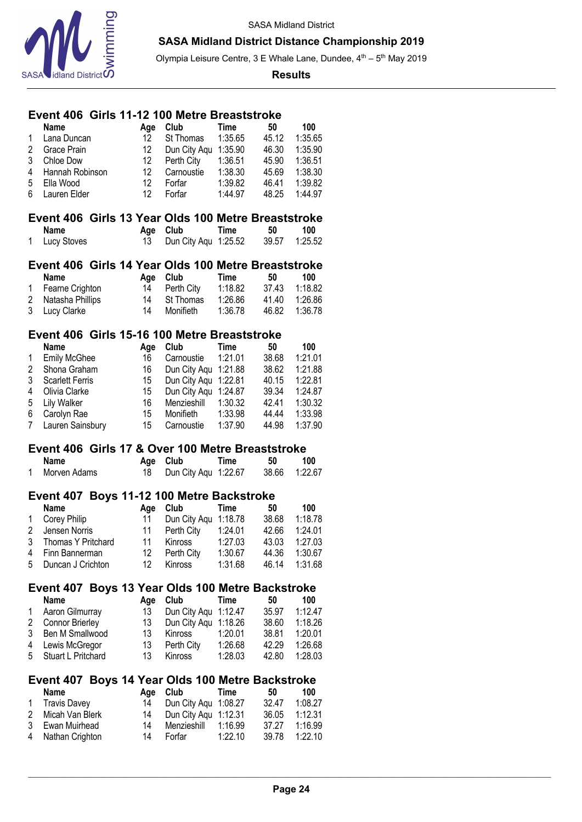

Olympia Leisure Centre, 3 E Whale Lane, Dundee, 4<sup>th</sup> - 5<sup>th</sup> May 2019

#### **Results**

## **Event 406 Girls 11-12 100 Metre Breaststroke**

|                | <b>Name</b>            |  | Age | Club                                                | <b>Time</b> | 50    | 100     |  |  |  |  |  |  |  |
|----------------|------------------------|--|-----|-----------------------------------------------------|-------------|-------|---------|--|--|--|--|--|--|--|
| 1              | Lana Duncan            |  | 12  | St Thomas                                           | 1:35.65     | 45.12 | 1:35.65 |  |  |  |  |  |  |  |
| $\overline{c}$ | Grace Prain            |  | 12  | Dun City Aqu                                        | 1:35.90     | 46.30 | 1:35.90 |  |  |  |  |  |  |  |
| 3              | Chloe Dow              |  | 12  | Perth City                                          | 1:36.51     | 45.90 | 1:36.51 |  |  |  |  |  |  |  |
| 4              | Hannah Robinson        |  | 12  | Carnoustie                                          | 1:38.30     | 45.69 | 1:38.30 |  |  |  |  |  |  |  |
| 5              | Ella Wood              |  | 12  |                                                     |             |       |         |  |  |  |  |  |  |  |
|                |                        |  |     | Forfar                                              | 1:39.82     | 46.41 | 1:39.82 |  |  |  |  |  |  |  |
| 6              | Lauren Elder           |  | 12  | Forfar                                              | 1:44.97     | 48.25 | 1:44.97 |  |  |  |  |  |  |  |
|                |                        |  |     |                                                     |             |       |         |  |  |  |  |  |  |  |
|                |                        |  |     | Event 406 Girls 13 Year Olds 100 Metre Breaststroke |             |       |         |  |  |  |  |  |  |  |
|                | <b>Name</b>            |  | Age | Club                                                | <b>Time</b> | 50    | 100     |  |  |  |  |  |  |  |
| 1              | Lucy Stoves            |  | 13  | Dun City Agu 1:25.52                                |             | 39.57 | 1:25.52 |  |  |  |  |  |  |  |
|                |                        |  |     |                                                     |             |       |         |  |  |  |  |  |  |  |
|                |                        |  |     | Event 406 Girls 14 Year Olds 100 Metre Breaststroke |             |       |         |  |  |  |  |  |  |  |
|                |                        |  |     |                                                     |             |       |         |  |  |  |  |  |  |  |
|                | <b>Name</b>            |  | Age | Club                                                | <b>Time</b> | 50    | 100     |  |  |  |  |  |  |  |
| 1              | Fearne Crighton        |  | 14  | Perth City                                          | 1:18.82     | 37.43 | 1:18.82 |  |  |  |  |  |  |  |
| 2              | Natasha Phillips       |  | 14  | St Thomas                                           | 1:26.86     | 41.40 | 1:26.86 |  |  |  |  |  |  |  |
| 3              | Lucy Clarke            |  | 14  | Monifieth                                           | 1:36.78     | 46.82 | 1:36.78 |  |  |  |  |  |  |  |
|                |                        |  |     |                                                     |             |       |         |  |  |  |  |  |  |  |
|                |                        |  |     | Event 406 Girls 15-16 100 Metre Breaststroke        |             |       |         |  |  |  |  |  |  |  |
|                | <b>Name</b>            |  | Age | Club                                                | <b>Time</b> | 50    | 100     |  |  |  |  |  |  |  |
| 1              | <b>Emily McGhee</b>    |  | 16  | Carnoustie                                          | 1:21.01     | 38.68 | 1:21.01 |  |  |  |  |  |  |  |
| 2              | Shona Graham           |  | 16  | Dun City Aqu                                        | 1:21.88     | 38.62 | 1:21.88 |  |  |  |  |  |  |  |
| 3              | <b>Scarlett Ferris</b> |  | 15  | Dun City Aqu                                        | 1:22.81     | 40.15 | 1:22.81 |  |  |  |  |  |  |  |
|                |                        |  |     |                                                     |             |       |         |  |  |  |  |  |  |  |
| 4              | Olivia Clarke          |  | 15  | Dun City Aqu                                        | 1:24.87     | 39.34 | 1:24.87 |  |  |  |  |  |  |  |
| 5              | <b>Lily Walker</b>     |  | 16  | Menzieshill                                         | 1:30.32     | 42.41 | 1:30.32 |  |  |  |  |  |  |  |
| 6              | Carolyn Rae            |  | 15  | Monifieth                                           | 1:33.98     | 44.44 | 1:33.98 |  |  |  |  |  |  |  |
| $\overline{7}$ | Lauren Sainsbury       |  | 15  | Carnoustie                                          | 1:37.90     | 44.98 | 1:37.90 |  |  |  |  |  |  |  |
|                |                        |  |     |                                                     |             |       |         |  |  |  |  |  |  |  |
|                |                        |  |     |                                                     |             |       |         |  |  |  |  |  |  |  |
|                |                        |  |     | Event 406 Girls 17 & Over 100 Metre Breaststroke    |             |       |         |  |  |  |  |  |  |  |
|                | <b>Name</b>            |  |     | Club                                                |             | 50    |         |  |  |  |  |  |  |  |
| 1              |                        |  | Age |                                                     | <b>Time</b> |       | 100     |  |  |  |  |  |  |  |
|                | Morven Adams           |  | 18  | Dun City Aqu 1:22.67                                |             | 38.66 | 1:22.67 |  |  |  |  |  |  |  |
|                |                        |  |     |                                                     |             |       |         |  |  |  |  |  |  |  |
|                |                        |  |     | Event 407 Boys 11-12 100 Metre Backstroke           |             |       |         |  |  |  |  |  |  |  |
|                | <b>Name</b>            |  | Age | Club                                                | <b>Time</b> | 50    | 100     |  |  |  |  |  |  |  |
| 1              | Corey Philip           |  | 11  | Dun City Aqu 1:18.78                                |             | 38.68 | 1:18.78 |  |  |  |  |  |  |  |
| $\overline{2}$ | Jensen Norris          |  | 11  | Perth City                                          | 1:24.01     | 42.66 | 1:24.01 |  |  |  |  |  |  |  |
| 3              | Thomas Y Pritchard     |  | 11  | Kinross                                             | 1:27.03     | 43.03 | 1:27.03 |  |  |  |  |  |  |  |
| 4              | Finn Bannerman         |  | 12  | Perth City                                          | 1:30.67     | 44.36 | 1:30.67 |  |  |  |  |  |  |  |
| 5.             | Duncan J Crichton      |  | 12  | Kinross                                             | 1:31.68     | 46.14 | 1:31.68 |  |  |  |  |  |  |  |
|                |                        |  |     |                                                     |             |       |         |  |  |  |  |  |  |  |
|                |                        |  |     | Event 407 Boys 13 Year Olds 100 Metre Backstroke    |             |       |         |  |  |  |  |  |  |  |
|                | <b>Name</b>            |  |     |                                                     |             | 50    |         |  |  |  |  |  |  |  |
|                |                        |  | Age | Club                                                | <b>Time</b> |       | 100     |  |  |  |  |  |  |  |
| 1              | Aaron Gilmurray        |  | 13  | Dun City Aqu 1:12.47                                |             | 35.97 | 1:12.47 |  |  |  |  |  |  |  |
| 2              | Connor Brierley        |  | 13  | Dun City Aqu                                        | 1:18.26     | 38.60 | 1:18.26 |  |  |  |  |  |  |  |
| 3              | Ben M Smallwood        |  | 13  | Kinross                                             | 1:20.01     | 38.81 | 1:20.01 |  |  |  |  |  |  |  |
| 4              | Lewis McGregor         |  | 13  | Perth City                                          | 1:26.68     | 42.29 | 1:26.68 |  |  |  |  |  |  |  |
| 5              | Stuart L Pritchard     |  | 13  | Kinross                                             | 1:28.03     | 42.80 | 1:28.03 |  |  |  |  |  |  |  |
|                |                        |  |     |                                                     |             |       |         |  |  |  |  |  |  |  |
|                |                        |  |     | Event 407 Boys 14 Year Olds 100 Metre Backstroke    |             |       |         |  |  |  |  |  |  |  |
|                | Name                   |  | Age | Club                                                | Time        | 50    | 100     |  |  |  |  |  |  |  |
| 1              | <b>Travis Davey</b>    |  | 14  | Dun City Aqu                                        | 1:08.27     | 32.47 | 1:08.27 |  |  |  |  |  |  |  |
| 2              | Micah Van Blerk        |  | 14  | Dun City Aqu                                        | 1:12.31     | 36.05 | 1:12.31 |  |  |  |  |  |  |  |

4 Nathan Crighton 14 Forfar 1:22.10 39.78 1:22.10